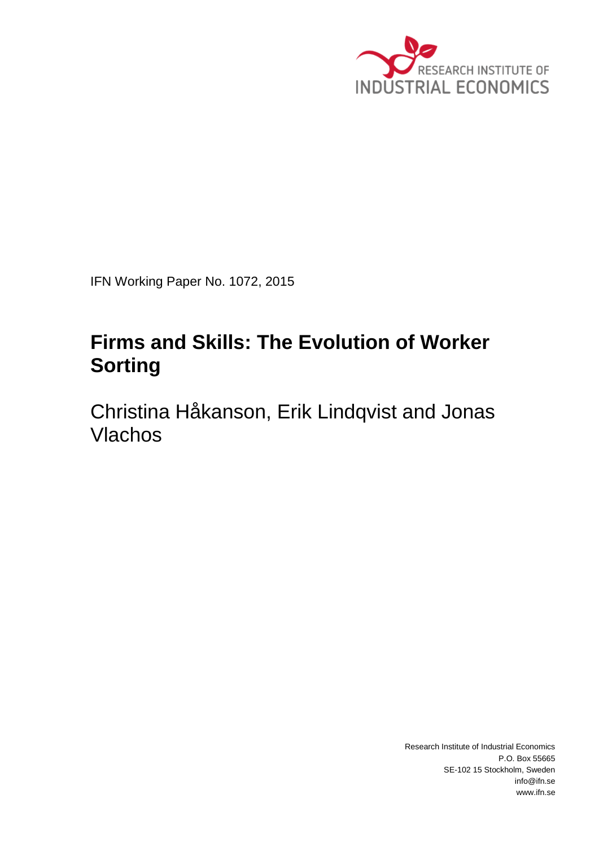

IFN Working Paper No. 1072, 2015

# **Firms and Skills: The Evolution of Worker Sorting**

Christina Håkanson, Erik Lindqvist and Jonas Vlachos

> Research Institute of Industrial Economics P.O. Box 55665 SE-102 15 Stockholm, Sweden info@ifn.se www.ifn.se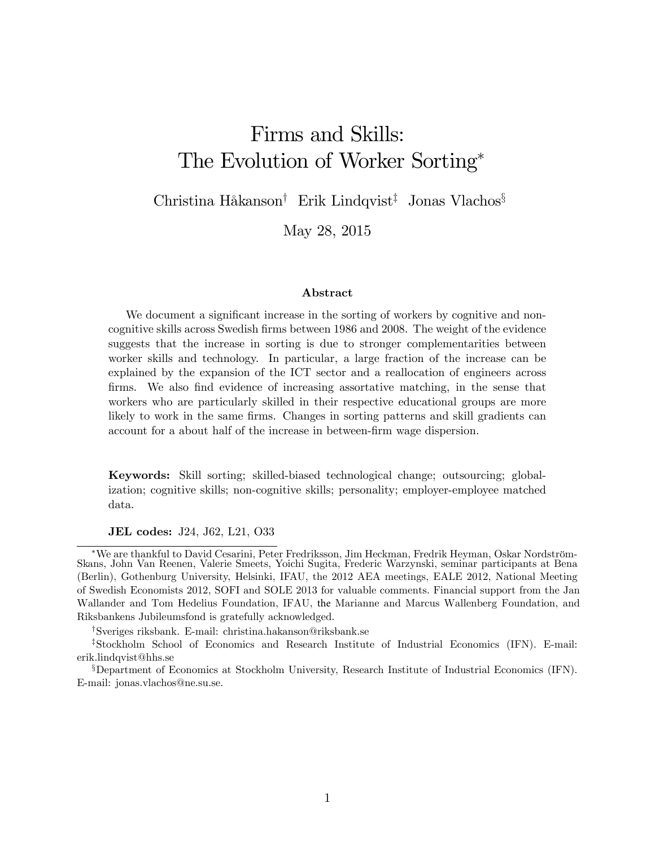# Firms and Skills: The Evolution of Worker Sorting

Christina Håkanson<sup>†</sup> Erik Lindqvist<sup>‡</sup> Jonas Vlachos<sup>§</sup>

May 28, 2015

#### Abstract

We document a significant increase in the sorting of workers by cognitive and noncognitive skills across Swedish firms between 1986 and 2008. The weight of the evidence suggests that the increase in sorting is due to stronger complementarities between worker skills and technology. In particular, a large fraction of the increase can be explained by the expansion of the ICT sector and a reallocation of engineers across firms. We also find evidence of increasing assortative matching, in the sense that workers who are particularly skilled in their respective educational groups are more likely to work in the same firms. Changes in sorting patterns and skill gradients can account for a about half of the increase in between-firm wage dispersion.

Keywords: Skill sorting; skilled-biased technological change; outsourcing; globalization; cognitive skills; non-cognitive skills; personality; employer-employee matched data.

JEL codes: J24, J62, L21, O33

<sup>†</sup>Sveriges riksbank. E-mail: christina.hakanson@riksbank.se

<sup>\*</sup>We are thankful to David Cesarini, Peter Fredriksson, Jim Heckman, Fredrik Heyman, Oskar Nordström-Skans, John Van Reenen, Valerie Smeets, Yoichi Sugita, Frederic Warzynski, seminar participants at Bena (Berlin), Gothenburg University, Helsinki, IFAU, the 2012 AEA meetings, EALE 2012, National Meeting of Swedish Economists 2012, SOFI and SOLE 2013 for valuable comments. Financial support from the Jan Wallander and Tom Hedelius Foundation, IFAU, the Marianne and Marcus Wallenberg Foundation, and Riksbankens Jubileumsfond is gratefully acknowledged.

<sup>&</sup>lt;sup>‡</sup>Stockholm School of Economics and Research Institute of Industrial Economics (IFN). E-mail: erik.lindqvist@hhs.se

<sup>&</sup>lt;sup>§</sup>Department of Economics at Stockholm University, Research Institute of Industrial Economics (IFN). E-mail: jonas.vlachos@ne.su.se.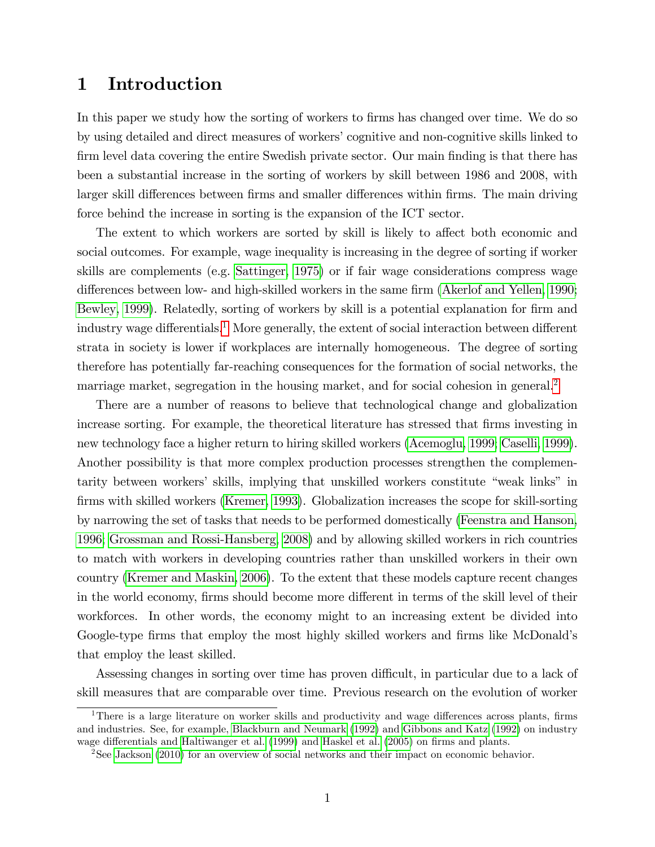## 1 Introduction

In this paper we study how the sorting of workers to firms has changed over time. We do so by using detailed and direct measures of workersícognitive and non-cognitive skills linked to firm level data covering the entire Swedish private sector. Our main finding is that there has been a substantial increase in the sorting of workers by skill between 1986 and 2008, with larger skill differences between firms and smaller differences within firms. The main driving force behind the increase in sorting is the expansion of the ICT sector.

The extent to which workers are sorted by skill is likely to affect both economic and social outcomes. For example, wage inequality is increasing in the degree of sorting if worker skills are complements (e.g. [Sattinger, 1975\)](#page-37-0) or if fair wage considerations compress wage differences between low- and high-skilled workers in the same firm [\(Akerlof and Yellen, 1990;](#page-33-0) [Bewley, 1999\)](#page-33-0). Relatedly, sorting of workers by skill is a potential explanation for firm and industry wage differentials.<sup>1</sup> More generally, the extent of social interaction between different strata in society is lower if workplaces are internally homogeneous. The degree of sorting therefore has potentially far-reaching consequences for the formation of social networks, the marriage market, segregation in the housing market, and for social cohesion in general.<sup>2</sup>

There are a number of reasons to believe that technological change and globalization increase sorting. For example, the theoretical literature has stressed that firms investing in new technology face a higher return to hiring skilled workers [\(Acemoglu, 1999;](#page-33-0) [Caselli, 1999\)](#page-34-0). Another possibility is that more complex production processes strengthen the complementarity between workers' skills, implying that unskilled workers constitute "weak links" in firms with skilled workers [\(Kremer, 1993\)](#page-36-0). Globalization increases the scope for skill-sorting by narrowing the set of tasks that needs to be performed domestically [\(Feenstra and Hanson,](#page-35-0) [1996; Grossman and Rossi-Hansberg, 2008\)](#page-35-0) and by allowing skilled workers in rich countries to match with workers in developing countries rather than unskilled workers in their own country [\(Kremer and Maskin, 2006\)](#page-36-0). To the extent that these models capture recent changes in the world economy, firms should become more different in terms of the skill level of their workforces. In other words, the economy might to an increasing extent be divided into Google-type firms that employ the most highly skilled workers and firms like McDonald's that employ the least skilled.

Assessing changes in sorting over time has proven difficult, in particular due to a lack of skill measures that are comparable over time. Previous research on the evolution of worker

<sup>&</sup>lt;sup>1</sup>There is a large literature on worker skills and productivity and wage differences across plants, firms and industries. See, for example, [Blackburn and Neumark](#page-33-0) [\(1992\)](#page-33-0) and [Gibbons and Katz](#page-35-0) [\(1992\)](#page-35-0) on industry wage differentials and [Haltiwanger et al.](#page-35-0) [\(1999\)](#page-35-0) and [Haskel et al.](#page-35-0) [\(2005\)](#page-35-0) on firms and plants.

<sup>2</sup>See [Jackson](#page-36-0) [\(2010\)](#page-36-0) for an overview of social networks and their impact on economic behavior.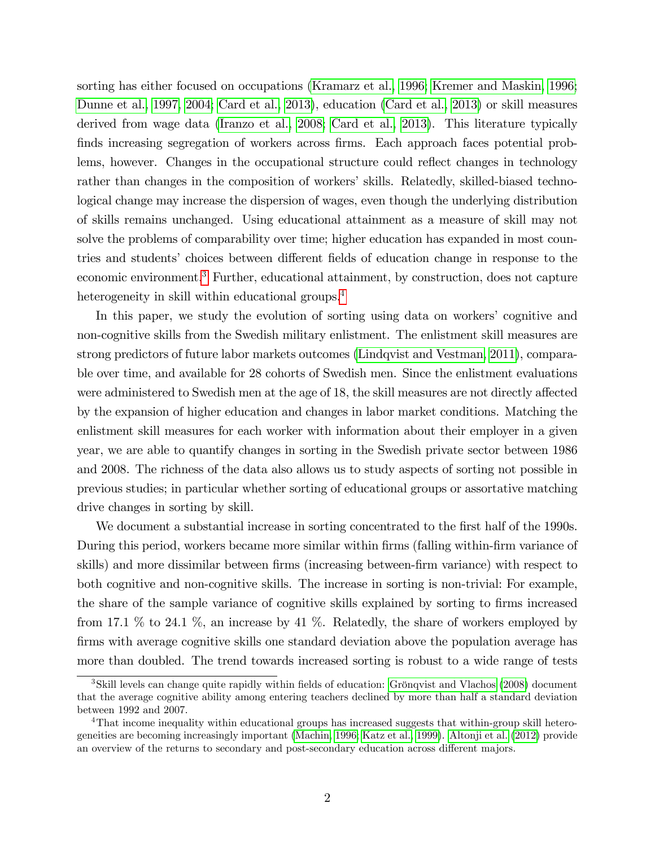sorting has either focused on occupations [\(Kramarz et al., 1996; Kremer and Maskin, 1996;](#page-36-0) [Dunne et al., 1997, 2004; Card et al., 2013\)](#page-34-0), education [\(Card et al., 2013\)](#page-34-0) or skill measures derived from wage data [\(Iranzo et al., 2008;](#page-36-0) [Card et al., 2013\)](#page-34-0). This literature typically finds increasing segregation of workers across firms. Each approach faces potential problems, however. Changes in the occupational structure could reflect changes in technology rather than changes in the composition of workers' skills. Relatedly, skilled-biased technological change may increase the dispersion of wages, even though the underlying distribution of skills remains unchanged. Using educational attainment as a measure of skill may not solve the problems of comparability over time; higher education has expanded in most countries and students' choices between different fields of education change in response to the economic environment.<sup>3</sup> Further, educational attainment, by construction, does not capture heterogeneity in skill within educational groups.<sup>4</sup>

In this paper, we study the evolution of sorting using data on workers' cognitive and non-cognitive skills from the Swedish military enlistment. The enlistment skill measures are strong predictors of future labor markets outcomes [\(Lindqvist and Vestman, 2011\)](#page-36-0), comparable over time, and available for 28 cohorts of Swedish men. Since the enlistment evaluations were administered to Swedish men at the age of 18, the skill measures are not directly affected by the expansion of higher education and changes in labor market conditions. Matching the enlistment skill measures for each worker with information about their employer in a given year, we are able to quantify changes in sorting in the Swedish private sector between 1986 and 2008. The richness of the data also allows us to study aspects of sorting not possible in previous studies; in particular whether sorting of educational groups or assortative matching drive changes in sorting by skill.

We document a substantial increase in sorting concentrated to the first half of the 1990s. During this period, workers became more similar within firms (falling within-firm variance of skills) and more dissimilar between firms (increasing between-firm variance) with respect to both cognitive and non-cognitive skills. The increase in sorting is non-trivial: For example, the share of the sample variance of cognitive skills explained by sorting to firms increased from 17.1  $\%$  to 24.1  $\%$ , an increase by 41  $\%$ . Relatedly, the share of workers employed by firms with average cognitive skills one standard deviation above the population average has more than doubled. The trend towards increased sorting is robust to a wide range of tests

<sup>&</sup>lt;sup>3</sup>Skill levels can change quite rapidly within fields of education: Grönqvist and Vlachos [\(2008\)](#page-35-0) document that the average cognitive ability among entering teachers declined by more than half a standard deviation between 1992 and 2007.

<sup>4</sup>That income inequality within educational groups has increased suggests that within-group skill heterogeneities are becoming increasingly important [\(Machin, 1996; Katz et al., 1999\)](#page-36-0). [Altonji et al.](#page-33-0) [\(2012\)](#page-33-0) provide an overview of the returns to secondary and post-secondary education across different majors.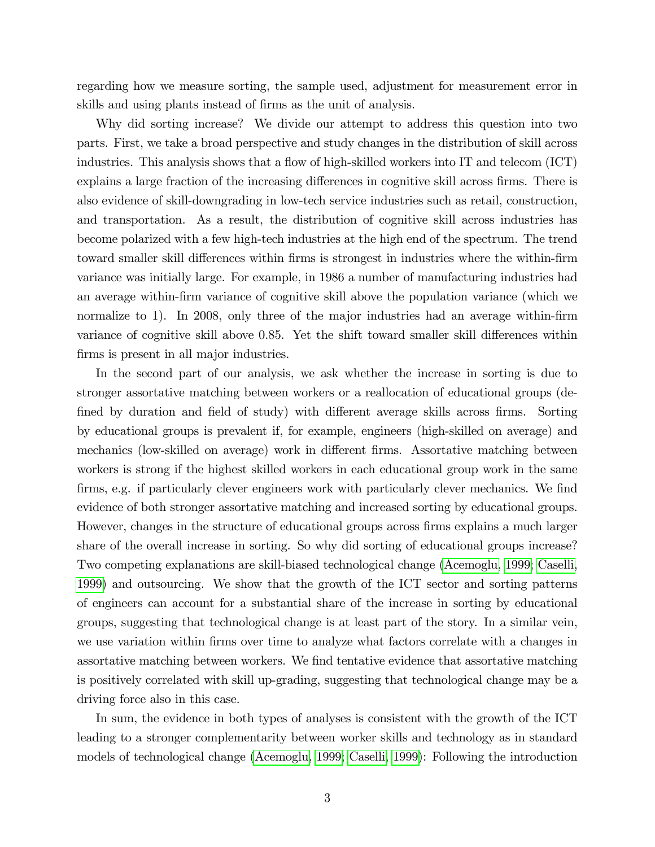regarding how we measure sorting, the sample used, adjustment for measurement error in skills and using plants instead of firms as the unit of analysis.

Why did sorting increase? We divide our attempt to address this question into two parts. First, we take a broad perspective and study changes in the distribution of skill across industries. This analysis shows that a flow of high-skilled workers into IT and telecom  $(ICT)$ explains a large fraction of the increasing differences in cognitive skill across firms. There is also evidence of skill-downgrading in low-tech service industries such as retail, construction, and transportation. As a result, the distribution of cognitive skill across industries has become polarized with a few high-tech industries at the high end of the spectrum. The trend toward smaller skill differences within firms is strongest in industries where the within-firm variance was initially large. For example, in 1986 a number of manufacturing industries had an average within-Örm variance of cognitive skill above the population variance (which we normalize to 1). In 2008, only three of the major industries had an average within-firm variance of cognitive skill above 0.85. Yet the shift toward smaller skill differences within firms is present in all major industries.

In the second part of our analysis, we ask whether the increase in sorting is due to stronger assortative matching between workers or a reallocation of educational groups (defined by duration and field of study) with different average skills across firms. Sorting by educational groups is prevalent if, for example, engineers (high-skilled on average) and mechanics (low-skilled on average) work in different firms. Assortative matching between workers is strong if the highest skilled workers in each educational group work in the same firms, e.g. if particularly clever engineers work with particularly clever mechanics. We find evidence of both stronger assortative matching and increased sorting by educational groups. However, changes in the structure of educational groups across firms explains a much larger share of the overall increase in sorting. So why did sorting of educational groups increase? Two competing explanations are skill-biased technological change [\(Acemoglu, 1999;](#page-33-0) [Caselli,](#page-34-0) [1999\)](#page-34-0) and outsourcing. We show that the growth of the ICT sector and sorting patterns of engineers can account for a substantial share of the increase in sorting by educational groups, suggesting that technological change is at least part of the story. In a similar vein, we use variation within firms over time to analyze what factors correlate with a changes in assortative matching between workers. We find tentative evidence that assortative matching is positively correlated with skill up-grading, suggesting that technological change may be a driving force also in this case.

In sum, the evidence in both types of analyses is consistent with the growth of the ICT leading to a stronger complementarity between worker skills and technology as in standard models of technological change [\(Acemoglu, 1999;](#page-33-0) [Caselli, 1999\)](#page-34-0): Following the introduction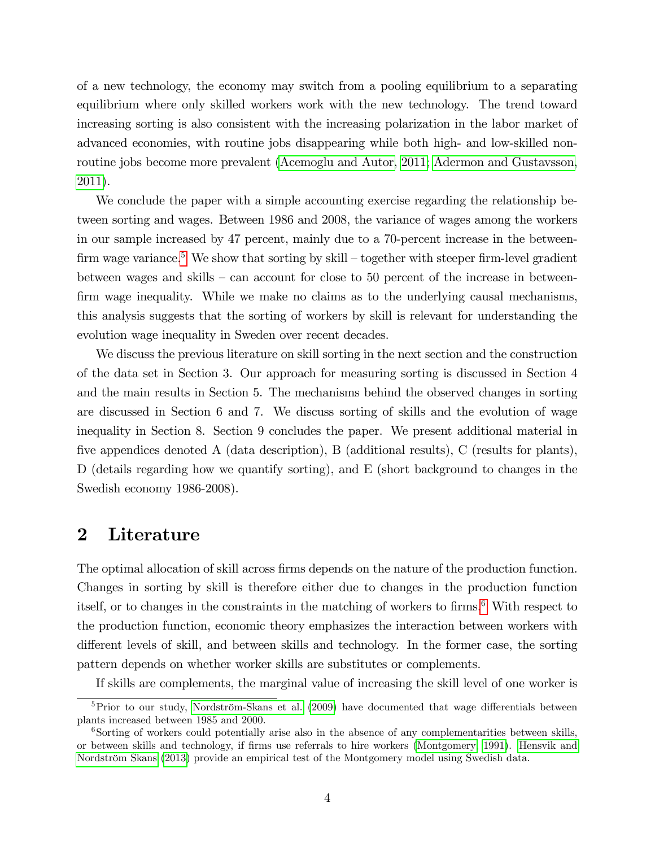of a new technology, the economy may switch from a pooling equilibrium to a separating equilibrium where only skilled workers work with the new technology. The trend toward increasing sorting is also consistent with the increasing polarization in the labor market of advanced economies, with routine jobs disappearing while both high- and low-skilled nonroutine jobs become more prevalent [\(Acemoglu and Autor, 2011; Adermon and Gustavsson,](#page-33-0) [2011\)](#page-33-0).

We conclude the paper with a simple accounting exercise regarding the relationship between sorting and wages. Between 1986 and 2008, the variance of wages among the workers in our sample increased by 47 percent, mainly due to a 70-percent increase in the betweenfirm wage variance.<sup>5</sup> We show that sorting by skill – together with steeper firm-level gradient between wages and skills  $-$  can account for close to 50 percent of the increase in betweenfirm wage inequality. While we make no claims as to the underlying causal mechanisms, this analysis suggests that the sorting of workers by skill is relevant for understanding the evolution wage inequality in Sweden over recent decades.

We discuss the previous literature on skill sorting in the next section and the construction of the data set in Section 3. Our approach for measuring sorting is discussed in Section 4 and the main results in Section 5. The mechanisms behind the observed changes in sorting are discussed in Section 6 and 7. We discuss sorting of skills and the evolution of wage inequality in Section 8. Section 9 concludes the paper. We present additional material in five appendices denoted A (data description), B (additional results), C (results for plants), D (details regarding how we quantify sorting), and E (short background to changes in the Swedish economy 1986-2008).

### 2 Literature

The optimal allocation of skill across firms depends on the nature of the production function. Changes in sorting by skill is therefore either due to changes in the production function itself, or to changes in the constraints in the matching of workers to firms.<sup>6</sup> With respect to the production function, economic theory emphasizes the interaction between workers with different levels of skill, and between skills and technology. In the former case, the sorting pattern depends on whether worker skills are substitutes or complements.

If skills are complements, the marginal value of increasing the skill level of one worker is

 $5P$ Frior to our study, Nordström-Skans et al. [\(2009\)](#page-37-0) have documented that wage differentials between plants increased between 1985 and 2000.

<sup>&</sup>lt;sup>6</sup>Sorting of workers could potentially arise also in the absence of any complementarities between skills, or between skills and technology, if Örms use referrals to hire workers [\(Montgomery, 1991\)](#page-37-0). [Hensvik and](#page-36-0) Nordström Skans [\(2013\)](#page-36-0) provide an empirical test of the Montgomery model using Swedish data.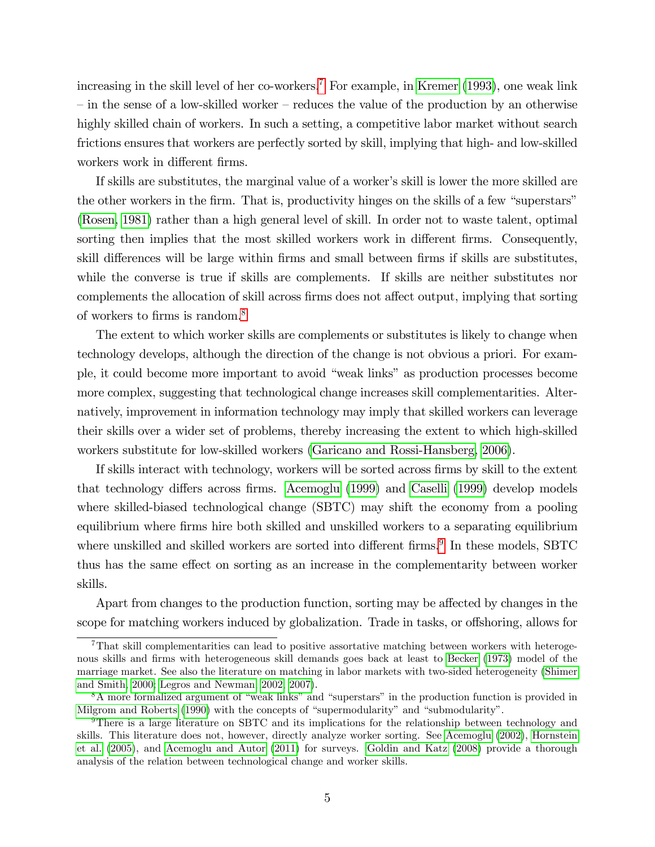increasing in the skill level of her co-workers.<sup>7</sup> For example, in [Kremer](#page-36-0)  $(1993)$ , one weak link  $\overline{\phantom{a}}$  in the sense of a low-skilled worker – reduces the value of the production by an otherwise highly skilled chain of workers. In such a setting, a competitive labor market without search frictions ensures that workers are perfectly sorted by skill, implying that high- and low-skilled workers work in different firms.

If skills are substitutes, the marginal value of a worker's skill is lower the more skilled are the other workers in the firm. That is, productivity hinges on the skills of a few "superstars" [\(Rosen, 1981\)](#page-37-0) rather than a high general level of skill. In order not to waste talent, optimal sorting then implies that the most skilled workers work in different firms. Consequently, skill differences will be large within firms and small between firms if skills are substitutes, while the converse is true if skills are complements. If skills are neither substitutes nor complements the allocation of skill across firms does not affect output, implying that sorting of workers to firms is random.<sup>8</sup>

The extent to which worker skills are complements or substitutes is likely to change when technology develops, although the direction of the change is not obvious a priori. For example, it could become more important to avoid "weak links" as production processes become more complex, suggesting that technological change increases skill complementarities. Alternatively, improvement in information technology may imply that skilled workers can leverage their skills over a wider set of problems, thereby increasing the extent to which high-skilled workers substitute for low-skilled workers [\(Garicano and Rossi-Hansberg, 2006\)](#page-35-0).

If skills interact with technology, workers will be sorted across firms by skill to the extent that technology differs across firms. [Acemoglu](#page-33-0) [\(1999\)](#page-34-0) and [Caselli](#page-34-0) (1999) develop models where skilled-biased technological change (SBTC) may shift the economy from a pooling equilibrium where Örms hire both skilled and unskilled workers to a separating equilibrium where unskilled and skilled workers are sorted into different firms.<sup>9</sup> In these models, SBTC thus has the same effect on sorting as an increase in the complementarity between worker skills.

Apart from changes to the production function, sorting may be affected by changes in the scope for matching workers induced by globalization. Trade in tasks, or offshoring, allows for

<sup>7</sup>That skill complementarities can lead to positive assortative matching between workers with heteroge-nous skills and firms with heterogeneous skill demands goes back at least to [Becker](#page-33-0) [\(1973\)](#page-33-0) model of the marriage market. See also the literature on matching in labor markets with two-sided heterogeneity [\(Shimer](#page-37-0) [and Smith, 2000;](#page-37-0) [Legros and Newman, 2002, 2007\)](#page-36-0).

 $8A$  more formalized argument of "weak links" and "superstars" in the production function is provided in [Milgrom and Roberts](#page-36-0) [\(1990\)](#page-36-0) with the concepts of "supermodularity" and "submodularity".

<sup>9</sup>There is a large literature on SBTC and its implications for the relationship between technology and skills. This literature does not, however, directly analyze worker sorting. See [Acemoglu](#page-33-0) [\(2002\)](#page-33-0), [Hornstein](#page-36-0) [et al.](#page-36-0) [\(2005\)](#page-36-0), and [Acemoglu and Autor](#page-33-0) [\(2011\)](#page-33-0) for surveys. [Goldin and Katz](#page-35-0) [\(2008\)](#page-35-0) provide a thorough analysis of the relation between technological change and worker skills.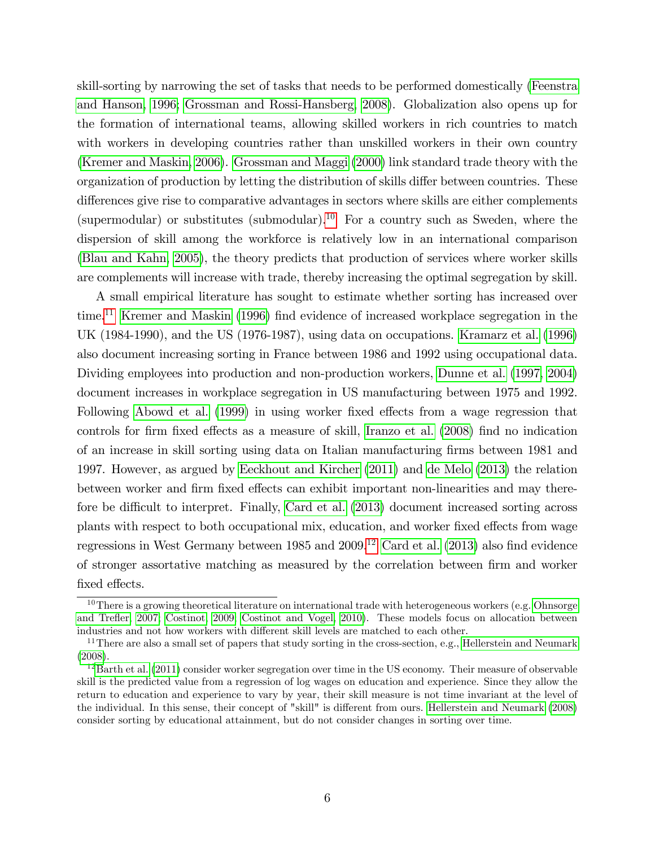skill-sorting by narrowing the set of tasks that needs to be performed domestically [\(Feenstra](#page-35-0) [and Hanson, 1996; Grossman and Rossi-Hansberg, 2008\)](#page-35-0). Globalization also opens up for the formation of international teams, allowing skilled workers in rich countries to match with workers in developing countries rather than unskilled workers in their own country [\(Kremer and Maskin, 2006\)](#page-36-0). [Grossman and Maggi](#page-35-0) [\(2000\)](#page-35-0) link standard trade theory with the organization of production by letting the distribution of skills differ between countries. These differences give rise to comparative advantages in sectors where skills are either complements (supermodular) or substitutes (submodular).<sup>10</sup> For a country such as Sweden, where the dispersion of skill among the workforce is relatively low in an international comparison [\(Blau and Kahn, 2005\)](#page-33-0), the theory predicts that production of services where worker skills are complements will increase with trade, thereby increasing the optimal segregation by skill.

A small empirical literature has sought to estimate whether sorting has increased over time.<sup>11</sup> [Kremer and Maskin](#page-36-0) [\(1996\)](#page-36-0) find evidence of increased workplace segregation in the UK (1984-1990), and the US (1976-1987), using data on occupations. [Kramarz et al.](#page-36-0) [\(1996\)](#page-36-0) also document increasing sorting in France between 1986 and 1992 using occupational data. Dividing employees into production and non-production workers, [Dunne et al.](#page-34-0) [\(1997, 2004\)](#page-34-0) document increases in workplace segregation in US manufacturing between 1975 and 1992. Following [Abowd et al.](#page-33-0) [\(1999\)](#page-33-0) in using worker fixed effects from a wage regression that controls for firm fixed effects as a measure of skill, [Iranzo et al.](#page-36-0) [\(2008\)](#page-36-0) find no indication of an increase in skill sorting using data on Italian manufacturing Örms between 1981 and 1997. However, as argued by [Eeckhout and Kircher](#page-34-0) [\(2011\)](#page-34-0) and [de Melo](#page-34-0) [\(2013\)](#page-34-0) the relation between worker and firm fixed effects can exhibit important non-linearities and may there-fore be difficult to interpret. Finally, [Card et al.](#page-34-0) [\(2013\)](#page-34-0) document increased sorting across plants with respect to both occupational mix, education, and worker fixed effects from wage regressions in West Germany between  $1985$  and  $2009$ .<sup>12</sup> [Card et al.](#page-34-0) [\(2013\)](#page-34-0) also find evidence of stronger assortative matching as measured by the correlation between firm and worker fixed effects.

 $10$ There is a growing theoretical literature on international trade with heterogeneous workers (e.g. [Ohnsorge](#page-37-0) and Trefler, 2007; [Costinot, 2009; Costinot and Vogel, 2010\)](#page-34-0). These models focus on allocation between industries and not how workers with different skill levels are matched to each other.

<sup>&</sup>lt;sup>11</sup>There are also a small set of papers that study sorting in the cross-section, e.g., [Hellerstein and Neumark](#page-35-0) [\(2008\)](#page-35-0).

 $12$ [Barth et al.](#page-33-0) [\(2011\)](#page-33-0) consider worker segregation over time in the US economy. Their measure of observable skill is the predicted value from a regression of log wages on education and experience. Since they allow the return to education and experience to vary by year, their skill measure is not time invariant at the level of the individual. In this sense, their concept of "skill" is different from ours. [Hellerstein and Neumark](#page-35-0) [\(2008\)](#page-35-0) consider sorting by educational attainment, but do not consider changes in sorting over time.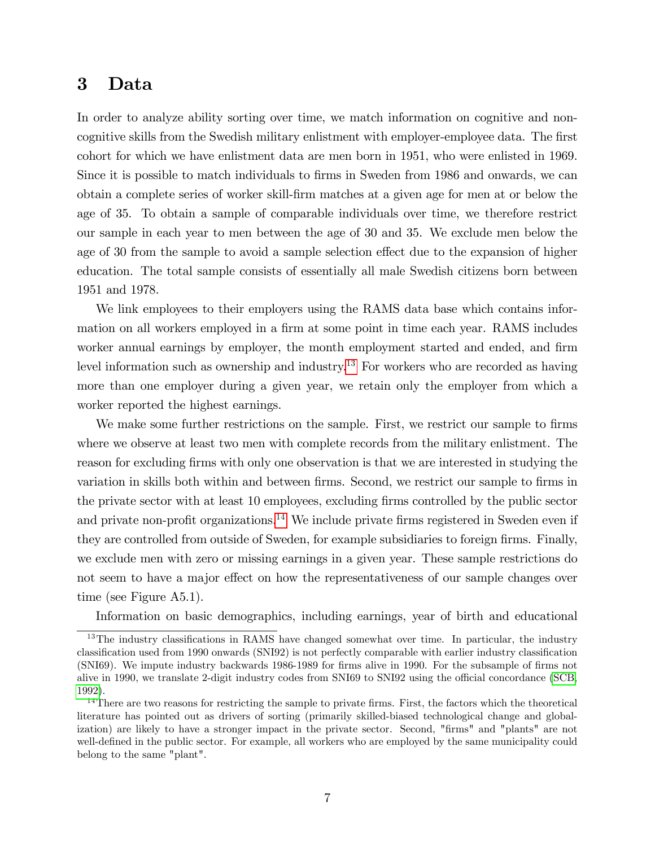## 3 Data

In order to analyze ability sorting over time, we match information on cognitive and noncognitive skills from the Swedish military enlistment with employer-employee data. The first cohort for which we have enlistment data are men born in 1951, who were enlisted in 1969. Since it is possible to match individuals to firms in Sweden from 1986 and onwards, we can obtain a complete series of worker skill-Örm matches at a given age for men at or below the age of 35. To obtain a sample of comparable individuals over time, we therefore restrict our sample in each year to men between the age of 30 and 35. We exclude men below the age of 30 from the sample to avoid a sample selection effect due to the expansion of higher education. The total sample consists of essentially all male Swedish citizens born between 1951 and 1978.

We link employees to their employers using the RAMS data base which contains information on all workers employed in a firm at some point in time each year. RAMS includes worker annual earnings by employer, the month employment started and ended, and firm level information such as ownership and industry.<sup>13</sup> For workers who are recorded as having more than one employer during a given year, we retain only the employer from which a worker reported the highest earnings.

We make some further restrictions on the sample. First, we restrict our sample to firms where we observe at least two men with complete records from the military enlistment. The reason for excluding firms with only one observation is that we are interested in studying the variation in skills both within and between firms. Second, we restrict our sample to firms in the private sector with at least 10 employees, excluding Örms controlled by the public sector and private non-profit organizations.<sup>14</sup> We include private firms registered in Sweden even if they are controlled from outside of Sweden, for example subsidiaries to foreign firms. Finally, we exclude men with zero or missing earnings in a given year. These sample restrictions do not seem to have a major effect on how the representativeness of our sample changes over time (see Figure A5.1).

Information on basic demographics, including earnings, year of birth and educational

 $13$ The industry classifications in RAMS have changed somewhat over time. In particular, the industry classification used from 1990 onwards (SNI92) is not perfectly comparable with earlier industry classification (SNI69). We impute industry backwards 1986-1989 for firms alive in 1990. For the subsample of firms not alive in 1990, we translate 2-digit industry codes from SNI69 to SNI92 using the official concordance [\(SCB,](#page-37-0) [1992\)](#page-37-0).

<sup>&</sup>lt;sup>14</sup>There are two reasons for restricting the sample to private firms. First, the factors which the theoretical literature has pointed out as drivers of sorting (primarily skilled-biased technological change and globalization) are likely to have a stronger impact in the private sector. Second, "firms" and "plants" are not well-defined in the public sector. For example, all workers who are employed by the same municipality could belong to the same "plant".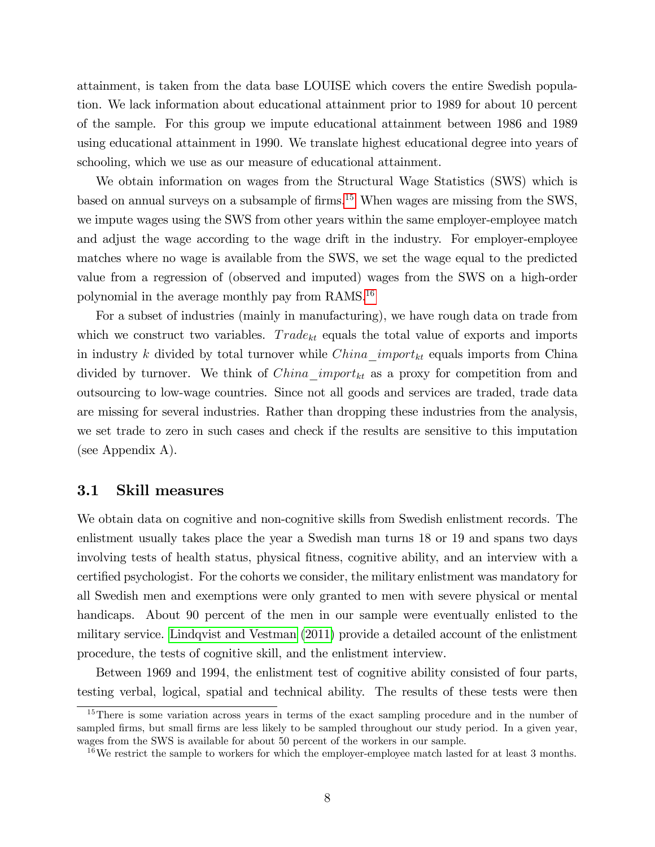attainment, is taken from the data base LOUISE which covers the entire Swedish population. We lack information about educational attainment prior to 1989 for about 10 percent of the sample. For this group we impute educational attainment between 1986 and 1989 using educational attainment in 1990. We translate highest educational degree into years of schooling, which we use as our measure of educational attainment.

We obtain information on wages from the Structural Wage Statistics (SWS) which is based on annual surveys on a subsample of firms.<sup>15</sup> When wages are missing from the SWS, we impute wages using the SWS from other years within the same employer-employee match and adjust the wage according to the wage drift in the industry. For employer-employee matches where no wage is available from the SWS, we set the wage equal to the predicted value from a regression of (observed and imputed) wages from the SWS on a high-order polynomial in the average monthly pay from RAMS.<sup>16</sup>

For a subset of industries (mainly in manufacturing), we have rough data on trade from which we construct two variables.  $Trade_{kt}$  equals the total value of exports and imports in industry k divided by total turnover while  $China\_import_{kt}$  equals imports from China divided by turnover. We think of  $China\_import_{kt}$  as a proxy for competition from and outsourcing to low-wage countries. Since not all goods and services are traded, trade data are missing for several industries. Rather than dropping these industries from the analysis, we set trade to zero in such cases and check if the results are sensitive to this imputation (see Appendix A).

#### 3.1 Skill measures

We obtain data on cognitive and non-cognitive skills from Swedish enlistment records. The enlistment usually takes place the year a Swedish man turns 18 or 19 and spans two days involving tests of health status, physical fitness, cognitive ability, and an interview with a certified psychologist. For the cohorts we consider, the military enlistment was mandatory for all Swedish men and exemptions were only granted to men with severe physical or mental handicaps. About 90 percent of the men in our sample were eventually enlisted to the military service. [Lindqvist and Vestman](#page-36-0) [\(2011\)](#page-36-0) provide a detailed account of the enlistment procedure, the tests of cognitive skill, and the enlistment interview.

Between 1969 and 1994, the enlistment test of cognitive ability consisted of four parts, testing verbal, logical, spatial and technical ability. The results of these tests were then

<sup>&</sup>lt;sup>15</sup>There is some variation across years in terms of the exact sampling procedure and in the number of sampled firms, but small firms are less likely to be sampled throughout our study period. In a given year, wages from the SWS is available for about 50 percent of the workers in our sample.

 $16$ We restrict the sample to workers for which the employer-employee match lasted for at least 3 months.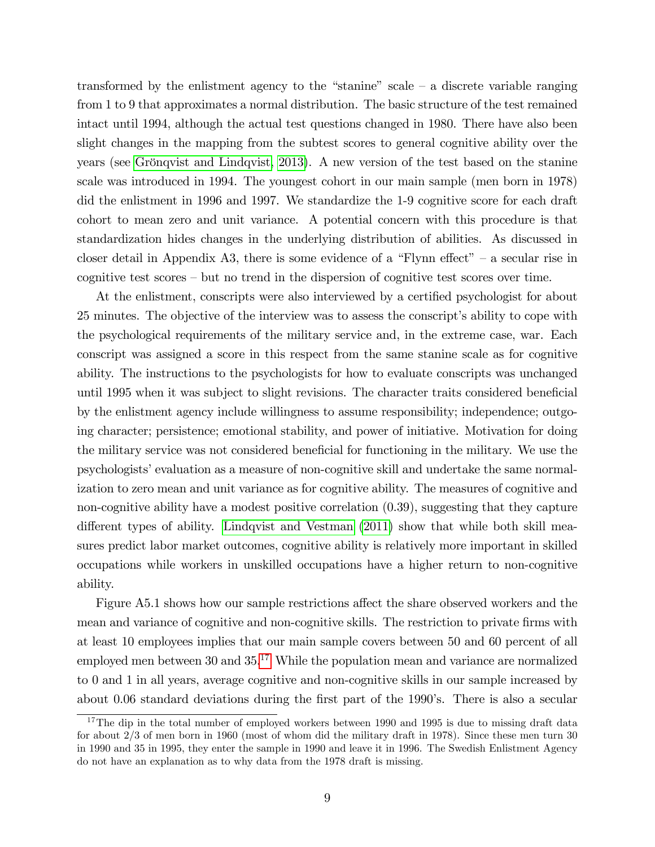transformed by the enlistment agency to the "stanine" scale  $-$  a discrete variable ranging from 1 to 9 that approximates a normal distribution. The basic structure of the test remained intact until 1994, although the actual test questions changed in 1980. There have also been slight changes in the mapping from the subtest scores to general cognitive ability over the years (see Grönqvist and Lindqvist, 2013). A new version of the test based on the stanine scale was introduced in 1994. The youngest cohort in our main sample (men born in 1978) did the enlistment in 1996 and 1997. We standardize the 1-9 cognitive score for each draft cohort to mean zero and unit variance. A potential concern with this procedure is that standardization hides changes in the underlying distribution of abilities. As discussed in closer detail in Appendix A3, there is some evidence of a "Flynn effect" – a secular rise in cognitive test scores  $-\text{ but no trend in the dispersion of cognitive test scores over time.}$ 

At the enlistment, conscripts were also interviewed by a certified psychologist for about 25 minutes. The objective of the interview was to assess the conscriptís ability to cope with the psychological requirements of the military service and, in the extreme case, war. Each conscript was assigned a score in this respect from the same stanine scale as for cognitive ability. The instructions to the psychologists for how to evaluate conscripts was unchanged until 1995 when it was subject to slight revisions. The character traits considered beneficial by the enlistment agency include willingness to assume responsibility; independence; outgoing character; persistence; emotional stability, and power of initiative. Motivation for doing the military service was not considered beneficial for functioning in the military. We use the psychologistsíevaluation as a measure of non-cognitive skill and undertake the same normalization to zero mean and unit variance as for cognitive ability. The measures of cognitive and non-cognitive ability have a modest positive correlation (0.39), suggesting that they capture different types of ability. [Lindqvist and Vestman](#page-36-0)  $(2011)$  show that while both skill measures predict labor market outcomes, cognitive ability is relatively more important in skilled occupations while workers in unskilled occupations have a higher return to non-cognitive ability.

Figure A5.1 shows how our sample restrictions affect the share observed workers and the mean and variance of cognitive and non-cognitive skills. The restriction to private firms with at least 10 employees implies that our main sample covers between 50 and 60 percent of all employed men between  $30$  and  $35<sup>17</sup>$  While the population mean and variance are normalized to 0 and 1 in all years, average cognitive and non-cognitive skills in our sample increased by about 0.06 standard deviations during the first part of the 1990's. There is also a secular

<sup>&</sup>lt;sup>17</sup>The dip in the total number of employed workers between 1990 and 1995 is due to missing draft data for about 2/3 of men born in 1960 (most of whom did the military draft in 1978). Since these men turn 30 in 1990 and 35 in 1995, they enter the sample in 1990 and leave it in 1996. The Swedish Enlistment Agency do not have an explanation as to why data from the 1978 draft is missing.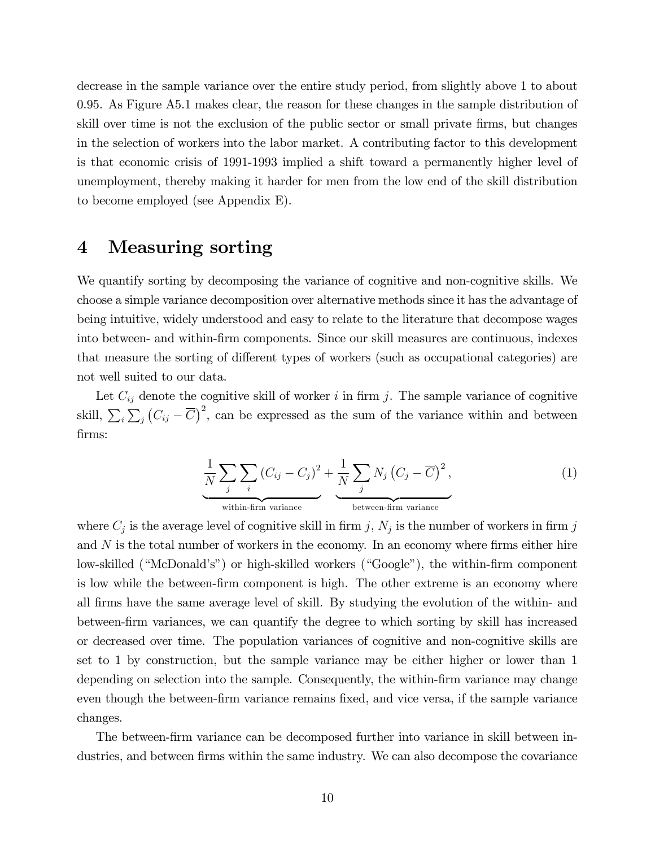decrease in the sample variance over the entire study period, from slightly above 1 to about 0.95. As Figure A5.1 makes clear, the reason for these changes in the sample distribution of skill over time is not the exclusion of the public sector or small private firms, but changes in the selection of workers into the labor market. A contributing factor to this development is that economic crisis of 1991-1993 implied a shift toward a permanently higher level of unemployment, thereby making it harder for men from the low end of the skill distribution to become employed (see Appendix E).

## 4 Measuring sorting

We quantify sorting by decomposing the variance of cognitive and non-cognitive skills. We choose a simple variance decomposition over alternative methods since it has the advantage of being intuitive, widely understood and easy to relate to the literature that decompose wages into between- and within-Örm components. Since our skill measures are continuous, indexes that measure the sorting of different types of workers (such as occupational categories) are not well suited to our data.

Let  $C_{ij}$  denote the cognitive skill of worker i in firm j. The sample variance of cognitive skill,  $\sum_i \sum_j (C_{ij} - \overline{C})^2$ , can be expressed as the sum of the variance within and between Örms:

$$
\underbrace{\frac{1}{N}\sum_{j}\sum_{i}(C_{ij}-C_{j})^{2}}_{\text{within-firm variance}} + \underbrace{\frac{1}{N}\sum_{j}N_{j}(C_{j}-\overline{C})^{2}}_{\text{between-firm variance}},
$$
\n(1)

where  $C_j$  is the average level of cognitive skill in firm j,  $N_j$  is the number of workers in firm j and  $N$  is the total number of workers in the economy. In an economy where firms either hire low-skilled ("McDonald's") or high-skilled workers ("Google"), the within-firm component is low while the between-Örm component is high. The other extreme is an economy where all Örms have the same average level of skill. By studying the evolution of the within- and between-Örm variances, we can quantify the degree to which sorting by skill has increased or decreased over time. The population variances of cognitive and non-cognitive skills are set to 1 by construction, but the sample variance may be either higher or lower than 1 depending on selection into the sample. Consequently, the within-firm variance may change even though the between-firm variance remains fixed, and vice versa, if the sample variance changes.

The between-firm variance can be decomposed further into variance in skill between industries, and between firms within the same industry. We can also decompose the covariance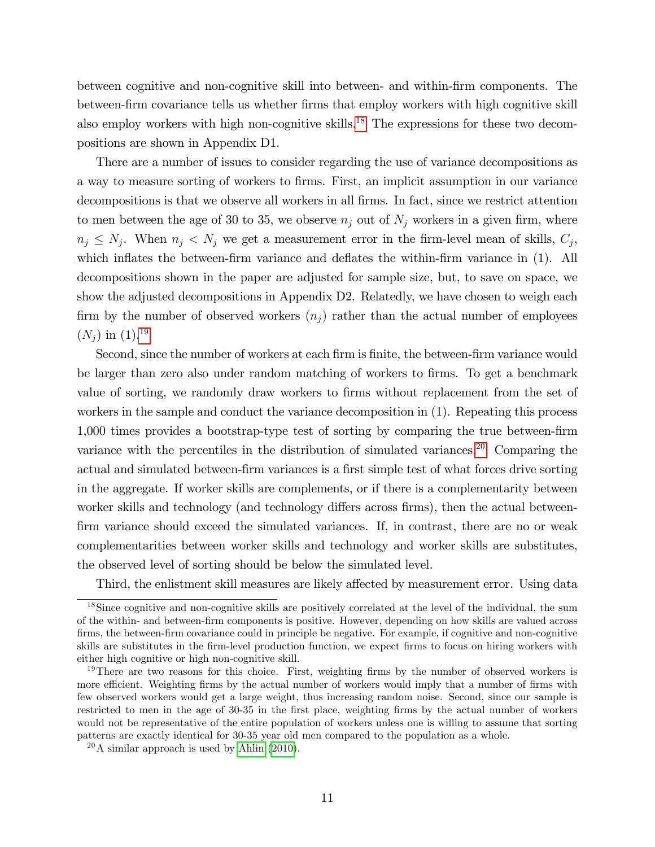between cognitive and non-cognitive skill into between- and within-Örm components. The between-firm covariance tells us whether firms that employ workers with high cognitive skill also employ workers with high non-cognitive skills.<sup>18</sup> The expressions for these two decompositions are shown in Appendix D1.

There are a number of issues to consider regarding the use of variance decompositions as a way to measure sorting of workers to Örms. First, an implicit assumption in our variance decompositions is that we observe all workers in all firms. In fact, since we restrict attention to men between the age of 30 to 35, we observe  $n_j$  out of  $N_j$  workers in a given firm, where  $n_j \leq N_j$ . When  $n_j < N_j$  we get a measurement error in the firm-level mean of skills,  $C_j$ , which inflates the between-firm variance and deflates the within-firm variance in (1). All decompositions shown in the paper are adjusted for sample size, but, to save on space, we show the adjusted decompositions in Appendix D2. Relatedly, we have chosen to weigh each firm by the number of observed workers  $(n<sub>j</sub>)$  rather than the actual number of employees  $(N_i)$  in  $(1).^{19}$ 

Second, since the number of workers at each firm is finite, the between-firm variance would be larger than zero also under random matching of workers to firms. To get a benchmark value of sorting, we randomly draw workers to firms without replacement from the set of workers in the sample and conduct the variance decomposition in (1). Repeating this process 1,000 times provides a bootstrap-type test of sorting by comparing the true between-firm variance with the percentiles in the distribution of simulated variances.<sup>20</sup> Comparing the actual and simulated between-firm variances is a first simple test of what forces drive sorting in the aggregate. If worker skills are complements, or if there is a complementarity between worker skills and technology (and technology differs across firms), then the actual betweenfirm variance should exceed the simulated variances. If, in contrast, there are no or weak complementarities between worker skills and technology and worker skills are substitutes, the observed level of sorting should be below the simulated level.

Third, the enlistment skill measures are likely affected by measurement error. Using data

<sup>18</sup>Since cognitive and non-cognitive skills are positively correlated at the level of the individual, the sum of the within- and between-Örm components is positive. However, depending on how skills are valued across firms, the between-firm covariance could in principle be negative. For example, if cognitive and non-cognitive skills are substitutes in the firm-level production function, we expect firms to focus on hiring workers with either high cognitive or high non-cognitive skill.

 $19$ There are two reasons for this choice. First, weighting firms by the number of observed workers is more efficient. Weighting firms by the actual number of workers would imply that a number of firms with few observed workers would get a large weight, thus increasing random noise. Second, since our sample is restricted to men in the age of 30-35 in the first place, weighting firms by the actual number of workers would not be representative of the entire population of workers unless one is willing to assume that sorting patterns are exactly identical for 30-35 year old men compared to the population as a whole.

 $^{20}$ A similar approach is used by [Ahlin](#page-33-0) [\(2010\)](#page-33-0).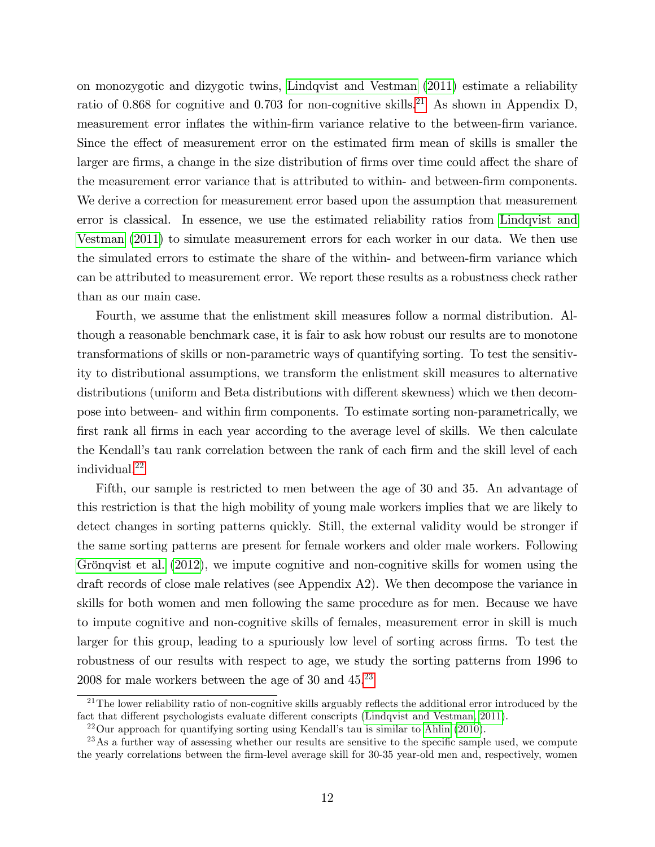on monozygotic and dizygotic twins, [Lindqvist and Vestman](#page-36-0) [\(2011\)](#page-36-0) estimate a reliability ratio of 0.868 for cognitive and 0.703 for non-cognitive skills.<sup>21</sup> As shown in Appendix D, measurement error inflates the within-firm variance relative to the between-firm variance. Since the effect of measurement error on the estimated firm mean of skills is smaller the larger are firms, a change in the size distribution of firms over time could affect the share of the measurement error variance that is attributed to within- and between-firm components. We derive a correction for measurement error based upon the assumption that measurement error is classical. In essence, we use the estimated reliability ratios from [Lindqvist and](#page-36-0) [Vestman](#page-36-0) [\(2011\)](#page-36-0) to simulate measurement errors for each worker in our data. We then use the simulated errors to estimate the share of the within- and between-firm variance which can be attributed to measurement error. We report these results as a robustness check rather than as our main case.

Fourth, we assume that the enlistment skill measures follow a normal distribution. Although a reasonable benchmark case, it is fair to ask how robust our results are to monotone transformations of skills or non-parametric ways of quantifying sorting. To test the sensitivity to distributional assumptions, we transform the enlistment skill measures to alternative distributions (uniform and Beta distributions with different skewness) which we then decompose into between- and within Örm components. To estimate sorting non-parametrically, we Örst rank all Örms in each year according to the average level of skills. We then calculate the Kendall's tau rank correlation between the rank of each firm and the skill level of each individual.<sup>22</sup>

Fifth, our sample is restricted to men between the age of 30 and 35. An advantage of this restriction is that the high mobility of young male workers implies that we are likely to detect changes in sorting patterns quickly. Still, the external validity would be stronger if the same sorting patterns are present for female workers and older male workers. Following Grönqvist et al.  $(2012)$ , we impute cognitive and non-cognitive skills for women using the draft records of close male relatives (see Appendix A2). We then decompose the variance in skills for both women and men following the same procedure as for men. Because we have to impute cognitive and non-cognitive skills of females, measurement error in skill is much larger for this group, leading to a spuriously low level of sorting across firms. To test the robustness of our results with respect to age, we study the sorting patterns from 1996 to 2008 for male workers between the age of 30 and  $45.^{23}$ 

 $21$ The lower reliability ratio of non-cognitive skills arguably reflects the additional error introduced by the fact that different psychologists evaluate different conscripts [\(Lindqvist and Vestman, 2011\)](#page-36-0).

 $^{22}$ Our approach for quantifying sorting using Kendall's tau is similar to [Ahlin](#page-33-0) [\(2010\)](#page-33-0).

<sup>&</sup>lt;sup>23</sup>As a further way of assessing whether our results are sensitive to the specific sample used, we compute the yearly correlations between the Örm-level average skill for 30-35 year-old men and, respectively, women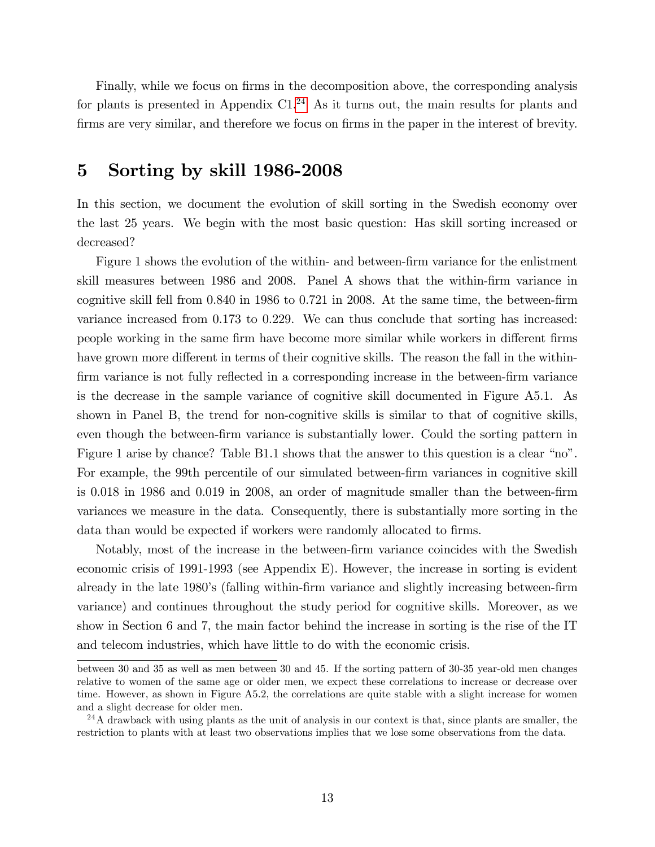Finally, while we focus on firms in the decomposition above, the corresponding analysis for plants is presented in Appendix  $C1<sup>24</sup>$  As it turns out, the main results for plants and firms are very similar, and therefore we focus on firms in the paper in the interest of brevity.

### 5 Sorting by skill 1986-2008

In this section, we document the evolution of skill sorting in the Swedish economy over the last 25 years. We begin with the most basic question: Has skill sorting increased or decreased?

Figure 1 shows the evolution of the within- and between-firm variance for the enlistment skill measures between 1986 and 2008. Panel A shows that the within-firm variance in cognitive skill fell from  $0.840$  in 1986 to  $0.721$  in 2008. At the same time, the between-firm variance increased from 0.173 to 0.229. We can thus conclude that sorting has increased: people working in the same firm have become more similar while workers in different firms have grown more different in terms of their cognitive skills. The reason the fall in the withinfirm variance is not fully reflected in a corresponding increase in the between-firm variance is the decrease in the sample variance of cognitive skill documented in Figure A5.1. As shown in Panel B, the trend for non-cognitive skills is similar to that of cognitive skills, even though the between-firm variance is substantially lower. Could the sorting pattern in Figure 1 arise by chance? Table  $B1.1$  shows that the answer to this question is a clear "no". For example, the 99th percentile of our simulated between-firm variances in cognitive skill is  $0.018$  in 1986 and  $0.019$  in 2008, an order of magnitude smaller than the between-firm variances we measure in the data. Consequently, there is substantially more sorting in the data than would be expected if workers were randomly allocated to firms.

Notably, most of the increase in the between-firm variance coincides with the Swedish economic crisis of 1991-1993 (see Appendix E). However, the increase in sorting is evident already in the late 1980's (falling within-firm variance and slightly increasing between-firm variance) and continues throughout the study period for cognitive skills. Moreover, as we show in Section 6 and 7, the main factor behind the increase in sorting is the rise of the IT and telecom industries, which have little to do with the economic crisis.

between 30 and 35 as well as men between 30 and 45. If the sorting pattern of 30-35 year-old men changes relative to women of the same age or older men, we expect these correlations to increase or decrease over time. However, as shown in Figure A5.2, the correlations are quite stable with a slight increase for women and a slight decrease for older men.

 $^{24}$ A drawback with using plants as the unit of analysis in our context is that, since plants are smaller, the restriction to plants with at least two observations implies that we lose some observations from the data.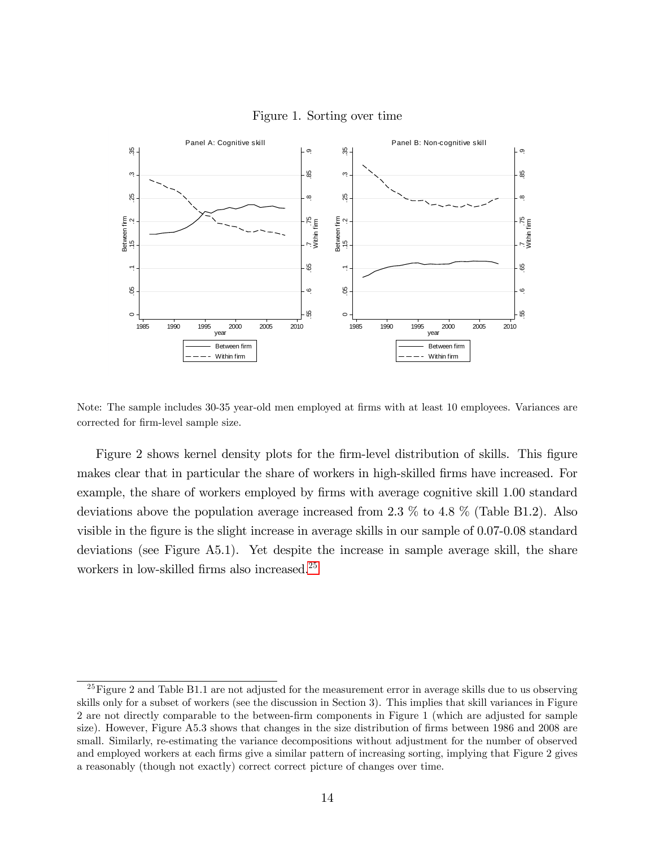

Figure 1. Sorting over time

Note: The sample includes 30-35 year-old men employed at firms with at least 10 employees. Variances are corrected for firm-level sample size.

Figure 2 shows kernel density plots for the firm-level distribution of skills. This figure makes clear that in particular the share of workers in high-skilled firms have increased. For example, the share of workers employed by firms with average cognitive skill 1.00 standard deviations above the population average increased from 2.3 % to 4.8 % (Table B1.2). Also visible in the Ögure is the slight increase in average skills in our sample of 0.07-0.08 standard deviations (see Figure A5.1). Yet despite the increase in sample average skill, the share workers in low-skilled firms also increased.<sup>25</sup>

<sup>&</sup>lt;sup>25</sup>Figure 2 and Table B1.1 are not adjusted for the measurement error in average skills due to us observing skills only for a subset of workers (see the discussion in Section 3). This implies that skill variances in Figure 2 are not directly comparable to the between-Örm components in Figure 1 (which are adjusted for sample size). However, Figure A5.3 shows that changes in the size distribution of firms between 1986 and 2008 are small. Similarly, re-estimating the variance decompositions without adjustment for the number of observed and employed workers at each firms give a similar pattern of increasing sorting, implying that Figure 2 gives a reasonably (though not exactly) correct correct picture of changes over time.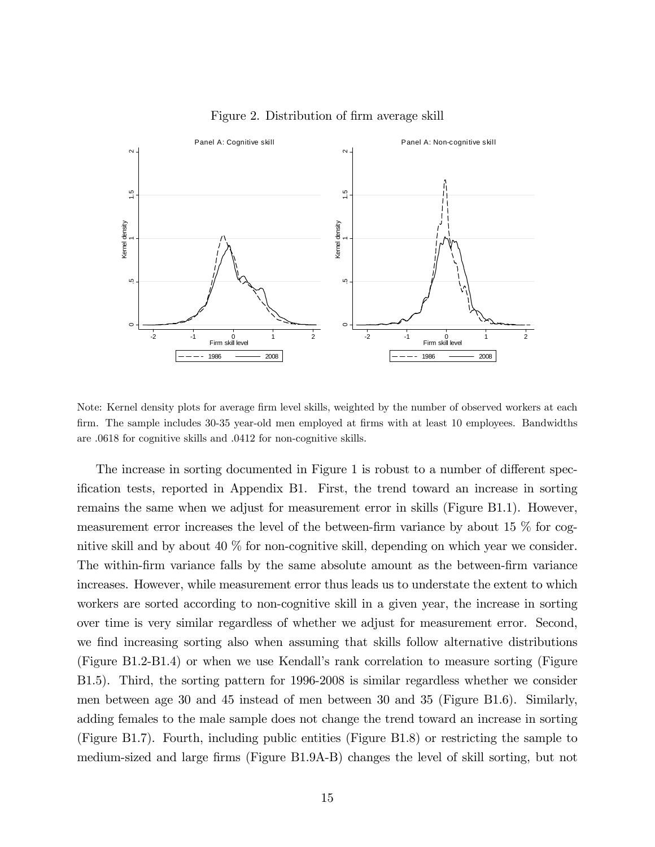

Figure 2. Distribution of firm average skill

Note: Kernel density plots for average firm level skills, weighted by the number of observed workers at each firm. The sample includes 30-35 year-old men employed at firms with at least 10 employees. Bandwidths are .0618 for cognitive skills and .0412 for non-cognitive skills.

The increase in sorting documented in Figure 1 is robust to a number of different specification tests, reported in Appendix B1. First, the trend toward an increase in sorting remains the same when we adjust for measurement error in skills (Figure B1.1). However, measurement error increases the level of the between-firm variance by about 15  $\%$  for cognitive skill and by about 40 % for non-cognitive skill, depending on which year we consider. The within-firm variance falls by the same absolute amount as the between-firm variance increases. However, while measurement error thus leads us to understate the extent to which workers are sorted according to non-cognitive skill in a given year, the increase in sorting over time is very similar regardless of whether we adjust for measurement error. Second, we find increasing sorting also when assuming that skills follow alternative distributions (Figure B1.2-B1.4) or when we use Kendallís rank correlation to measure sorting (Figure B1.5). Third, the sorting pattern for 1996-2008 is similar regardless whether we consider men between age 30 and 45 instead of men between 30 and 35 (Figure B1.6). Similarly, adding females to the male sample does not change the trend toward an increase in sorting (Figure B1.7). Fourth, including public entities (Figure B1.8) or restricting the sample to medium-sized and large firms (Figure B1.9A-B) changes the level of skill sorting, but not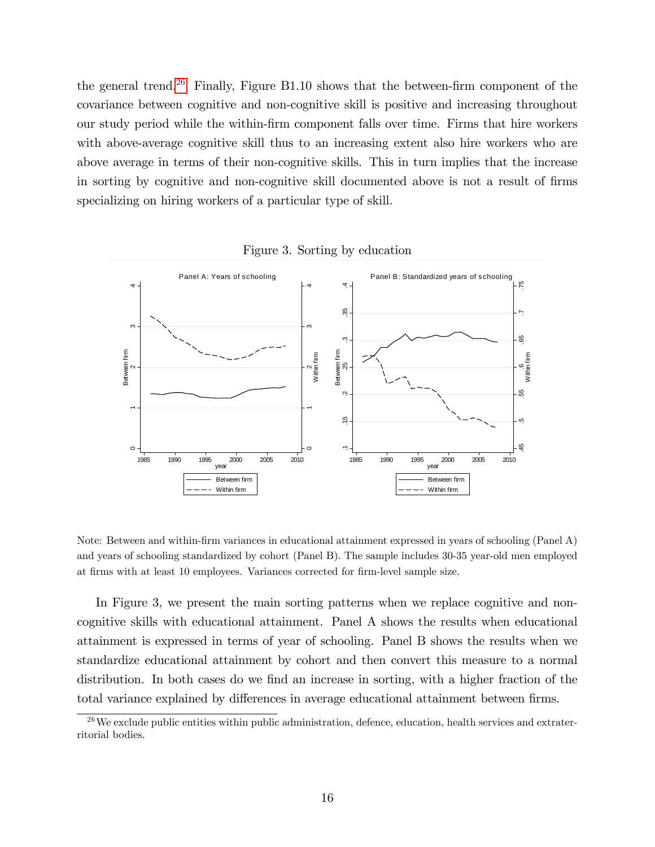the general trend.<sup>26</sup> Finally, Figure B1.10 shows that the between-firm component of the covariance between cognitive and non-cognitive skill is positive and increasing throughout our study period while the within-Örm component falls over time. Firms that hire workers with above-average cognitive skill thus to an increasing extent also hire workers who are above average in terms of their non-cognitive skills. This in turn implies that the increase in sorting by cognitive and non-cognitive skill documented above is not a result of firms specializing on hiring workers of a particular type of skill.



Figure 3. Sorting by education

Note: Between and within-Örm variances in educational attainment expressed in years of schooling (Panel A) and years of schooling standardized by cohort (Panel B). The sample includes 30-35 year-old men employed at firms with at least 10 employees. Variances corrected for firm-level sample size.

In Figure 3, we present the main sorting patterns when we replace cognitive and noncognitive skills with educational attainment. Panel A shows the results when educational attainment is expressed in terms of year of schooling. Panel B shows the results when we standardize educational attainment by cohort and then convert this measure to a normal distribution. In both cases do we find an increase in sorting, with a higher fraction of the total variance explained by differences in average educational attainment between firms.

 $^{26}$ We exclude public entities within public administration, defence, education, health services and extraterritorial bodies.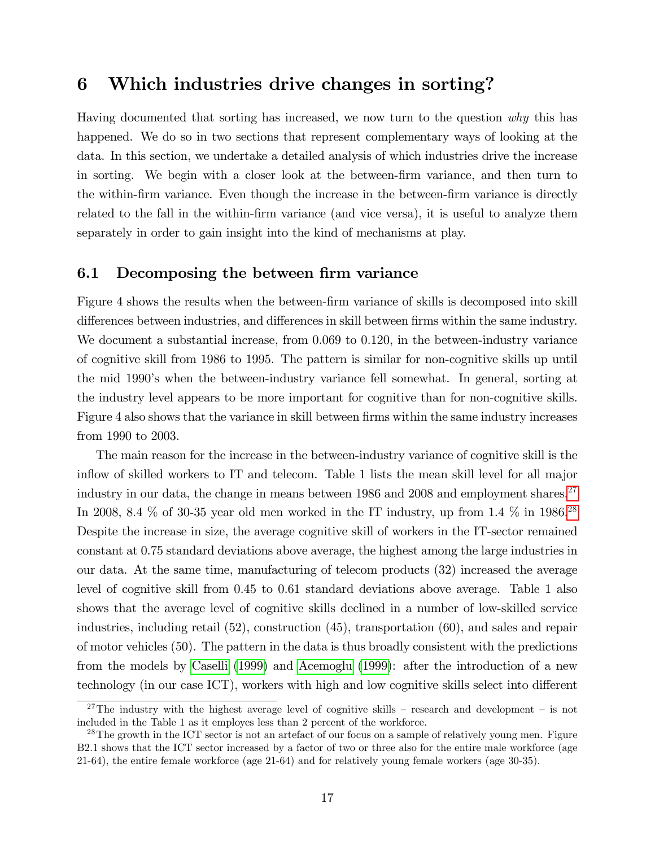## 6 Which industries drive changes in sorting?

Having documented that sorting has increased, we now turn to the question why this has happened. We do so in two sections that represent complementary ways of looking at the data. In this section, we undertake a detailed analysis of which industries drive the increase in sorting. We begin with a closer look at the between-Örm variance, and then turn to the within-firm variance. Even though the increase in the between-firm variance is directly related to the fall in the within-firm variance (and vice versa), it is useful to analyze them separately in order to gain insight into the kind of mechanisms at play.

#### 6.1 Decomposing the between firm variance

Figure 4 shows the results when the between-firm variance of skills is decomposed into skill differences between industries, and differences in skill between firms within the same industry. We document a substantial increase, from 0.069 to 0.120, in the between-industry variance of cognitive skill from 1986 to 1995. The pattern is similar for non-cognitive skills up until the mid 1990ís when the between-industry variance fell somewhat. In general, sorting at the industry level appears to be more important for cognitive than for non-cognitive skills. Figure 4 also shows that the variance in skill between firms within the same industry increases from 1990 to 2003.

The main reason for the increase in the between-industry variance of cognitive skill is the inflow of skilled workers to IT and telecom. Table 1 lists the mean skill level for all major industry in our data, the change in means between  $1986$  and  $2008$  and employment shares.<sup>27</sup> In 2008, 8.4  $\%$  of 30-35 year old men worked in the IT industry, up from 1.4  $\%$  in 1986.<sup>28</sup> Despite the increase in size, the average cognitive skill of workers in the IT-sector remained constant at 0.75 standard deviations above average, the highest among the large industries in our data. At the same time, manufacturing of telecom products (32) increased the average level of cognitive skill from 0.45 to 0.61 standard deviations above average. Table 1 also shows that the average level of cognitive skills declined in a number of low-skilled service industries, including retail (52), construction (45), transportation (60), and sales and repair of motor vehicles (50). The pattern in the data is thus broadly consistent with the predictions from the models by [Caselli](#page-34-0) [\(1999\)](#page-34-0) and [Acemoglu](#page-33-0) [\(1999\)](#page-33-0): after the introduction of a new technology (in our case ICT), workers with high and low cognitive skills select into different

<sup>&</sup>lt;sup>27</sup>The industry with the highest average level of cognitive skills – research and development – is not included in the Table 1 as it employes less than 2 percent of the workforce.

<sup>&</sup>lt;sup>28</sup>The growth in the ICT sector is not an artefact of our focus on a sample of relatively young men. Figure B2.1 shows that the ICT sector increased by a factor of two or three also for the entire male workforce (age 21-64), the entire female workforce (age 21-64) and for relatively young female workers (age 30-35).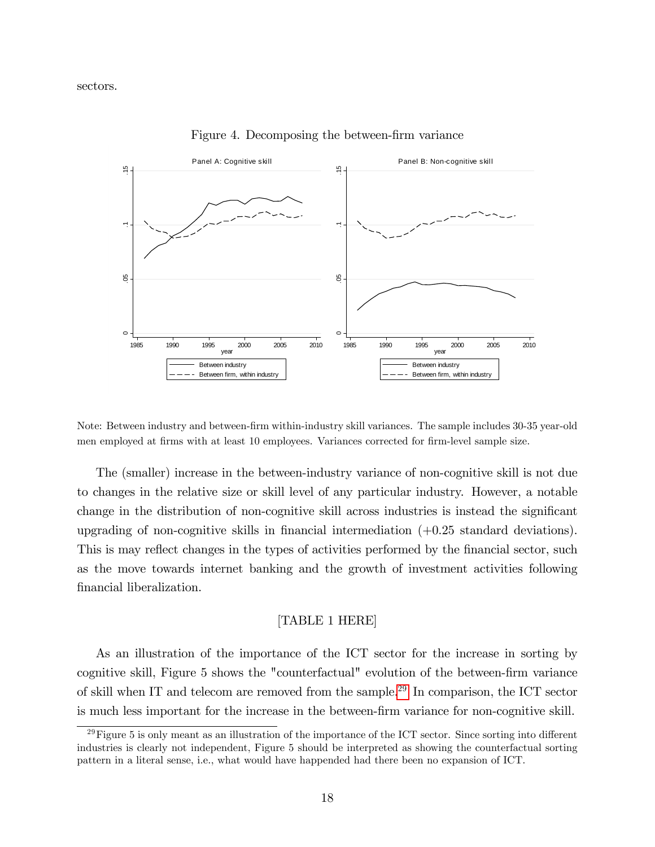

Figure 4. Decomposing the between-firm variance

Note: Between industry and between-firm within-industry skill variances. The sample includes 30-35 year-old men employed at firms with at least 10 employees. Variances corrected for firm-level sample size.

The (smaller) increase in the between-industry variance of non-cognitive skill is not due to changes in the relative size or skill level of any particular industry. However, a notable change in the distribution of non-cognitive skill across industries is instead the significant upgrading of non-cognitive skills in financial intermediation  $(+0.25 \text{ standard deviations}).$ This is may reflect changes in the types of activities performed by the financial sector, such as the move towards internet banking and the growth of investment activities following financial liberalization.

#### [TABLE 1 HERE]

As an illustration of the importance of the ICT sector for the increase in sorting by cognitive skill, Figure 5 shows the "counterfactual" evolution of the between-firm variance of skill when IT and telecom are removed from the sample.<sup>29</sup> In comparison, the ICT sector is much less important for the increase in the between-Örm variance for non-cognitive skill.

<sup>&</sup>lt;sup>29</sup>Figure 5 is only meant as an illustration of the importance of the ICT sector. Since sorting into different industries is clearly not independent, Figure 5 should be interpreted as showing the counterfactual sorting pattern in a literal sense, i.e., what would have happended had there been no expansion of ICT.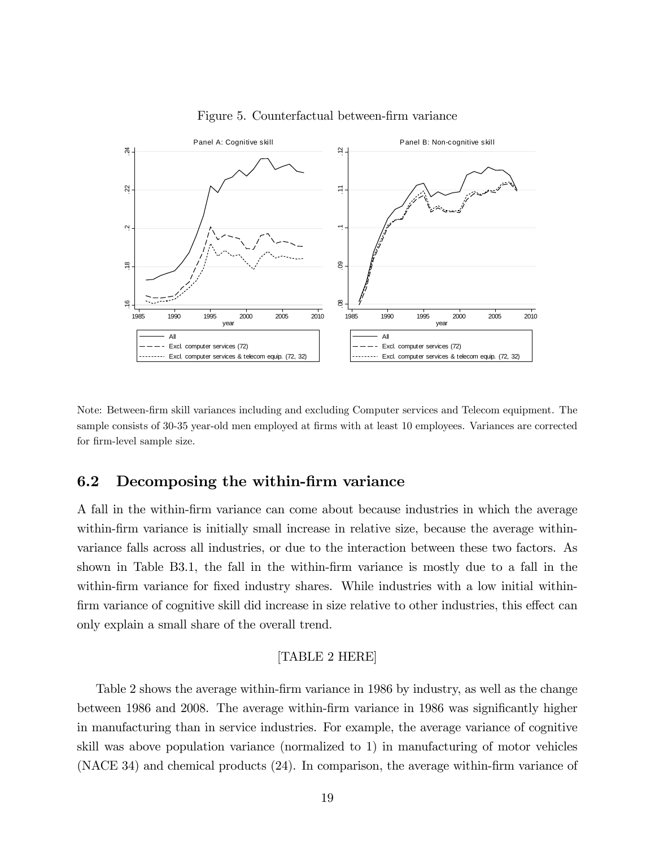

Figure 5. Counterfactual between-firm variance

Note: Between-Örm skill variances including and excluding Computer services and Telecom equipment. The sample consists of 30-35 year-old men employed at firms with at least 10 employees. Variances are corrected for firm-level sample size.

#### 6.2 Decomposing the within-firm variance

A fall in the within-Örm variance can come about because industries in which the average within-firm variance is initially small increase in relative size, because the average withinvariance falls across all industries, or due to the interaction between these two factors. As shown in Table B3.1, the fall in the within-firm variance is mostly due to a fall in the within-firm variance for fixed industry shares. While industries with a low initial withinfirm variance of cognitive skill did increase in size relative to other industries, this effect can only explain a small share of the overall trend.

#### [TABLE 2 HERE]

Table 2 shows the average within-firm variance in 1986 by industry, as well as the change between 1986 and 2008. The average within-firm variance in 1986 was significantly higher in manufacturing than in service industries. For example, the average variance of cognitive skill was above population variance (normalized to 1) in manufacturing of motor vehicles  $(NACE 34)$  and chemical products  $(24)$ . In comparison, the average within-firm variance of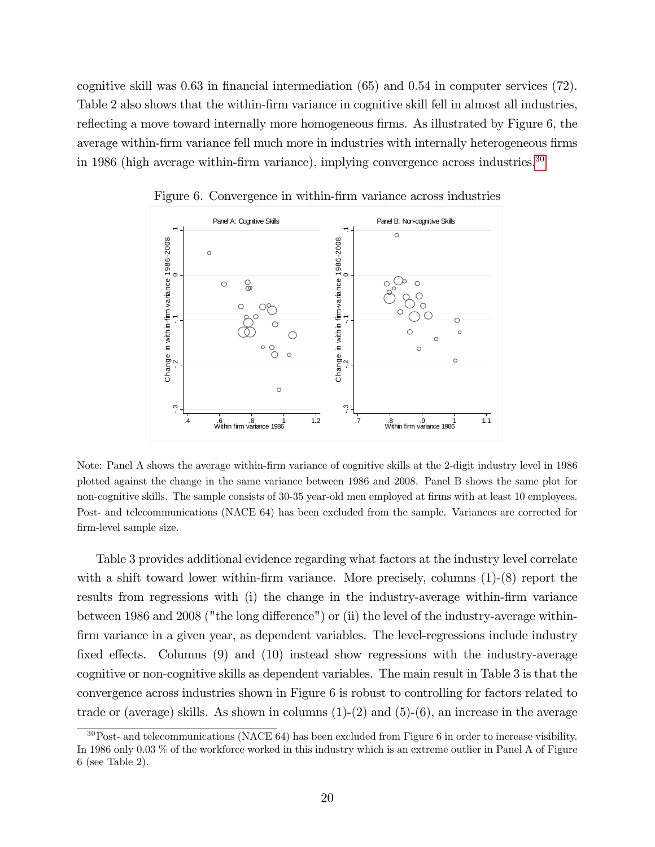cognitive skill was  $0.63$  in financial intermediation  $(65)$  and  $0.54$  in computer services  $(72)$ . Table 2 also shows that the within-firm variance in cognitive skill fell in almost all industries, reflecting a move toward internally more homogeneous firms. As illustrated by Figure 6, the average within-firm variance fell much more in industries with internally heterogeneous firms in 1986 (high average within-firm variance), implying convergence across industries. $30$ 



Figure 6. Convergence in within-firm variance across industries

Note: Panel A shows the average within-Örm variance of cognitive skills at the 2-digit industry level in 1986 plotted against the change in the same variance between 1986 and 2008. Panel B shows the same plot for non-cognitive skills. The sample consists of 30-35 year-old men employed at firms with at least 10 employees. Post- and telecommunications (NACE 64) has been excluded from the sample. Variances are corrected for Örm-level sample size.

Table 3 provides additional evidence regarding what factors at the industry level correlate with a shift toward lower within-firm variance. More precisely, columns  $(1)-(8)$  report the results from regressions with (i) the change in the industry-average within-firm variance between 1986 and 2008 ("the long difference") or (ii) the level of the industry-average withinfirm variance in a given year, as dependent variables. The level-regressions include industry fixed effects. Columns  $(9)$  and  $(10)$  instead show regressions with the industry-average cognitive or non-cognitive skills as dependent variables. The main result in Table 3 is that the convergence across industries shown in Figure 6 is robust to controlling for factors related to trade or (average) skills. As shown in columns  $(1)-(2)$  and  $(5)-(6)$ , an increase in the average

<sup>30</sup>Post- and telecommunications (NACE 64) has been excluded from Figure 6 in order to increase visibility. In 1986 only 0.03 % of the workforce worked in this industry which is an extreme outlier in Panel A of Figure 6 (see Table 2).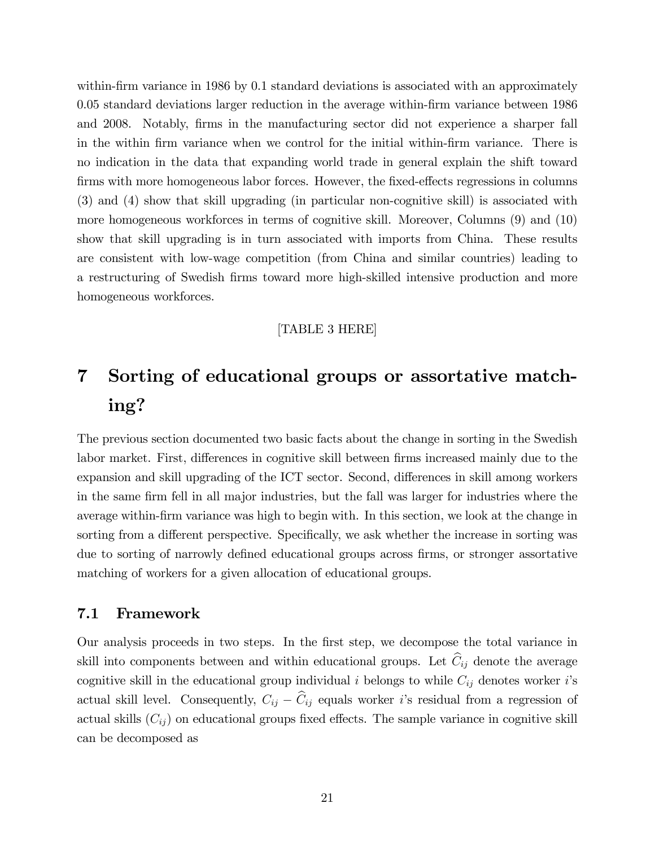within-firm variance in 1986 by 0.1 standard deviations is associated with an approximately 0.05 standard deviations larger reduction in the average within-Örm variance between 1986 and 2008. Notably, firms in the manufacturing sector did not experience a sharper fall in the within firm variance when we control for the initial within-firm variance. There is no indication in the data that expanding world trade in general explain the shift toward firms with more homogeneous labor forces. However, the fixed-effects regressions in columns (3) and (4) show that skill upgrading (in particular non-cognitive skill) is associated with more homogeneous workforces in terms of cognitive skill. Moreover, Columns (9) and (10) show that skill upgrading is in turn associated with imports from China. These results are consistent with low-wage competition (from China and similar countries) leading to a restructuring of Swedish firms toward more high-skilled intensive production and more homogeneous workforces.

#### [TABLE 3 HERE]

# 7 Sorting of educational groups or assortative matching?

The previous section documented two basic facts about the change in sorting in the Swedish labor market. First, differences in cognitive skill between firms increased mainly due to the expansion and skill upgrading of the ICT sector. Second, differences in skill among workers in the same firm fell in all major industries, but the fall was larger for industries where the average within-Örm variance was high to begin with. In this section, we look at the change in sorting from a different perspective. Specifically, we ask whether the increase in sorting was due to sorting of narrowly defined educational groups across firms, or stronger assortative matching of workers for a given allocation of educational groups.

#### 7.1 Framework

Our analysis proceeds in two steps. In the Örst step, we decompose the total variance in skill into components between and within educational groups. Let  $\hat{C}_{ij}$  denote the average cognitive skill in the educational group individual i belongs to while  $C_{ij}$  denotes worker i's actual skill level. Consequently,  $C_{ij} - \hat{C}_{ij}$  equals worker i's residual from a regression of actual skills  $(C_{ij})$  on educational groups fixed effects. The sample variance in cognitive skill can be decomposed as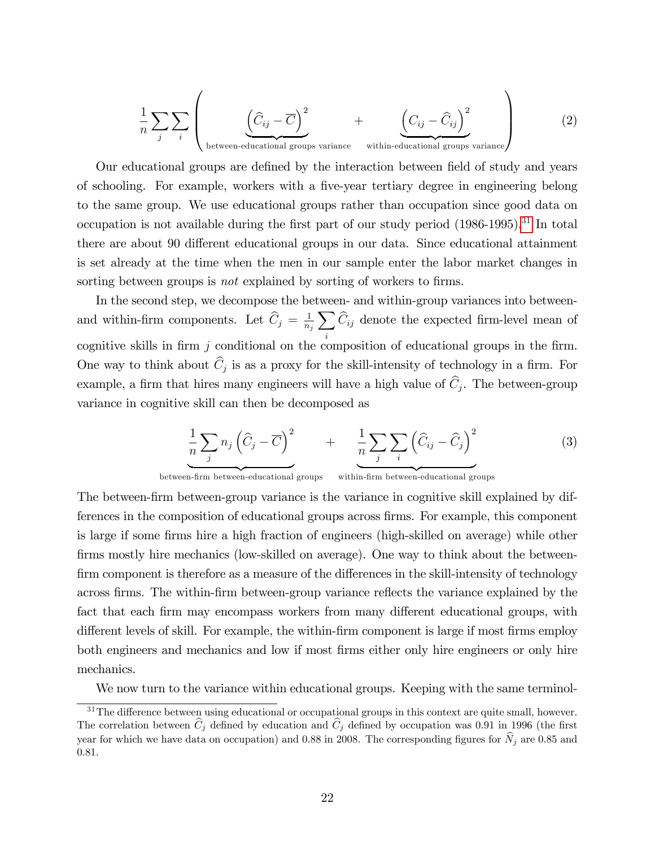$$
\frac{1}{n} \sum_{j} \sum_{i} \left( \underbrace{\left(\widehat{C}_{ij} - \overline{C}\right)^2}_{\text{between-educational groups variance}} + \underbrace{\left(C_{ij} - \widehat{C}_{ij}\right)^2}_{\text{within-educational groups variance}} \right)
$$
(2)

Our educational groups are defined by the interaction between field of study and years of schooling. For example, workers with a Öve-year tertiary degree in engineering belong to the same group. We use educational groups rather than occupation since good data on occupation is not available during the first part of our study period  $(1986-1995).$ <sup>31</sup> In total there are about 90 different educational groups in our data. Since educational attainment is set already at the time when the men in our sample enter the labor market changes in sorting between groups is *not* explained by sorting of workers to firms.

In the second step, we decompose the between- and within-group variances into betweenand within-firm components. Let  $\hat{C}_j = \frac{1}{n_j}$  $n_j$  $\overline{\phantom{0}}$ i  $C_{ij}$  denote the expected firm-level mean of cognitive skills in firm  $j$  conditional on the composition of educational groups in the firm. One way to think about  $C_j$  is as a proxy for the skill-intensity of technology in a firm. For example, a firm that hires many engineers will have a high value of  $C_j$ . The between-group variance in cognitive skill can then be decomposed as

$$
\underbrace{\frac{1}{n}\sum_{j}n_{j}\left(\widehat{C}_{j}-\overline{C}\right)^{2}}_{\text{max}} + \underbrace{\frac{1}{n}\sum_{j}\sum_{i}\left(\widehat{C}_{ij}-\widehat{C}_{j}\right)^{2}}_{\text{max}} \tag{3}
$$

between-firm between-educational groups within-firm between-educational groups

The between-firm between-group variance is the variance in cognitive skill explained by differences in the composition of educational groups across Örms. For example, this component is large if some firms hire a high fraction of engineers (high-skilled on average) while other firms mostly hire mechanics (low-skilled on average). One way to think about the betweenfirm component is therefore as a measure of the differences in the skill-intensity of technology across firms. The within-firm between-group variance reflects the variance explained by the fact that each firm may encompass workers from many different educational groups, with different levels of skill. For example, the within-firm component is large if most firms employ both engineers and mechanics and low if most firms either only hire engineers or only hire mechanics.

We now turn to the variance within educational groups. Keeping with the same terminol-

 $31$ The difference between using educational or occupational groups in this context are quite small, however. The correlation between  $\hat{C}_j$  defined by education and  $\hat{C}_j$  defined by occupation was 0.91 in 1996 (the first year for which we have data on occupation) and 0.88 in 2008. The corresponding figures for  $\hat{N}_j$  are 0.85 and 0.81.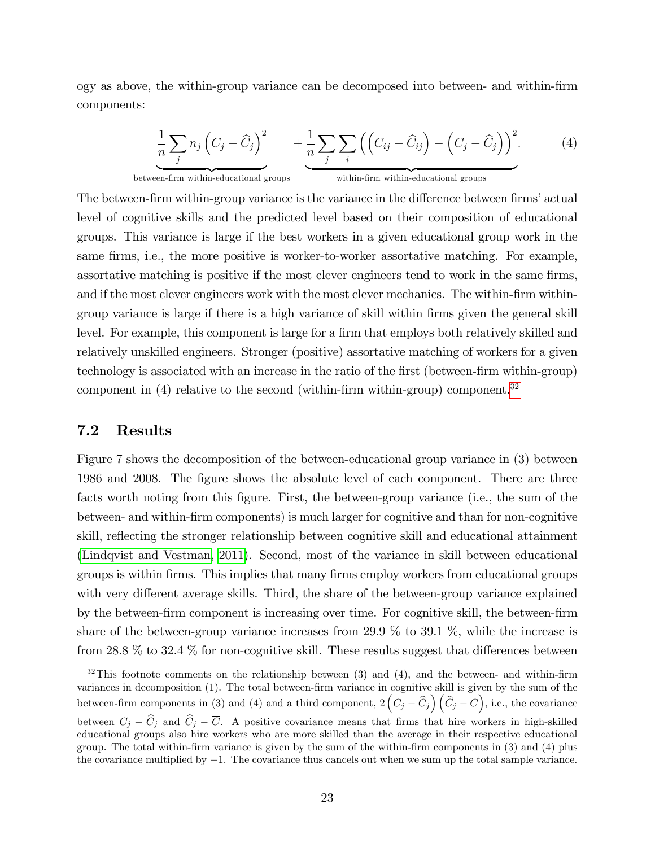ogy as above, the within-group variance can be decomposed into between- and within-Örm components:

$$
\underbrace{\frac{1}{n}\sum_{j}n_{j}\left(C_{j}-\widehat{C}_{j}\right)^{2}}_{\text{between-firm within-educational groups}}+\underbrace{\frac{1}{n}\sum_{j}\sum_{i}\left(\left(C_{ij}-\widehat{C}_{ij}\right)-\left(C_{j}-\widehat{C}_{j}\right)\right)^{2}}_{\text{within-firm within-educational groups}}.
$$
\n(4)

The between-firm within-group variance is the variance in the difference between firms' actual level of cognitive skills and the predicted level based on their composition of educational groups. This variance is large if the best workers in a given educational group work in the same firms, i.e., the more positive is worker-to-worker assortative matching. For example, assortative matching is positive if the most clever engineers tend to work in the same firms, and if the most clever engineers work with the most clever mechanics. The within-firm withingroup variance is large if there is a high variance of skill within Örms given the general skill level. For example, this component is large for a firm that employs both relatively skilled and relatively unskilled engineers. Stronger (positive) assortative matching of workers for a given technology is associated with an increase in the ratio of the first (between-firm within-group) component in  $(4)$  relative to the second (within-firm within-group) component.<sup>32</sup>

#### 7.2 Results

Figure 7 shows the decomposition of the between-educational group variance in (3) between 1986 and 2008. The Ögure shows the absolute level of each component. There are three facts worth noting from this figure. First, the between-group variance (i.e., the sum of the between- and within-Örm components) is much larger for cognitive and than for non-cognitive skill, reflecting the stronger relationship between cognitive skill and educational attainment [\(Lindqvist and Vestman, 2011\)](#page-36-0). Second, most of the variance in skill between educational groups is within Örms. This implies that many Örms employ workers from educational groups with very different average skills. Third, the share of the between-group variance explained by the between-Örm component is increasing over time. For cognitive skill, the between-Örm share of the between-group variance increases from 29.9  $\%$  to 39.1  $\%$ , while the increase is from 28.8  $\%$  to 32.4  $\%$  for non-cognitive skill. These results suggest that differences between

 $32$ This footnote comments on the relationship between (3) and (4), and the between- and within-firm variances in decomposition (1). The total between-firm variance in cognitive skill is given by the sum of the between-firm components in (3) and (4) and a third component,  $2\left(C_j - \widehat{C}_j\right)\left(\widehat{C}_j - \overline{C}\right)$ , i.e., the covariance between  $C_j - \widehat{C}_j$  and  $\widehat{C}_j - \overline{C}$ . A positive covariance means that firms that hire workers in high-skilled educational groups also hire workers who are more skilled than the average in their respective educational group. The total within-Örm variance is given by the sum of the within-Örm components in (3) and (4) plus the covariance multiplied by  $-1$ . The covariance thus cancels out when we sum up the total sample variance.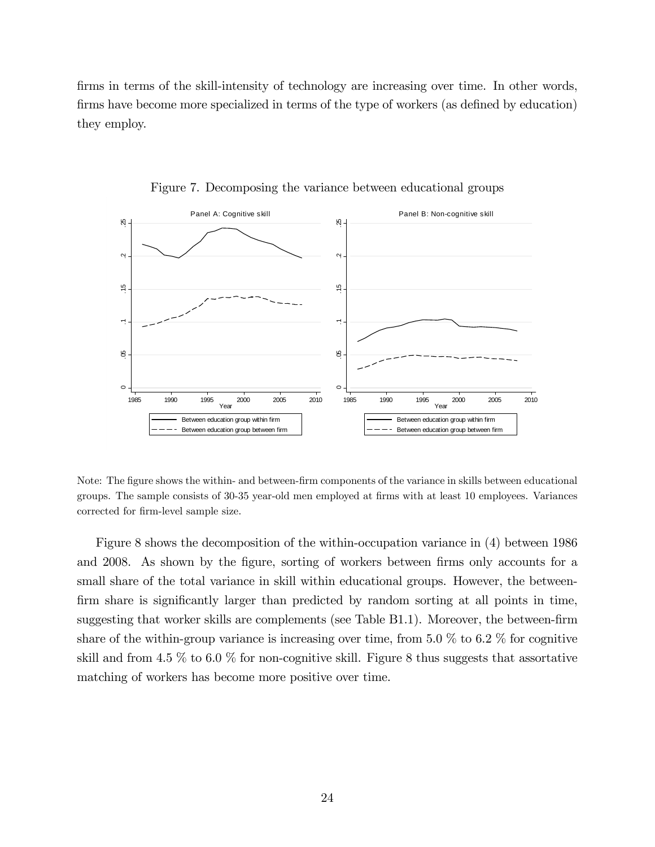firms in terms of the skill-intensity of technology are increasing over time. In other words, firms have become more specialized in terms of the type of workers (as defined by education) they employ.



Figure 7. Decomposing the variance between educational groups

Note: The figure shows the within- and between-firm components of the variance in skills between educational groups. The sample consists of 30-35 year-old men employed at firms with at least 10 employees. Variances corrected for firm-level sample size.

Figure 8 shows the decomposition of the within-occupation variance in (4) between 1986 and 2008. As shown by the figure, sorting of workers between firms only accounts for a small share of the total variance in skill within educational groups. However, the betweenfirm share is significantly larger than predicted by random sorting at all points in time, suggesting that worker skills are complements (see Table B1.1). Moreover, the between-firm share of the within-group variance is increasing over time, from 5.0  $\%$  to 6.2  $\%$  for cognitive skill and from 4.5  $\%$  to 6.0  $\%$  for non-cognitive skill. Figure 8 thus suggests that assortative matching of workers has become more positive over time.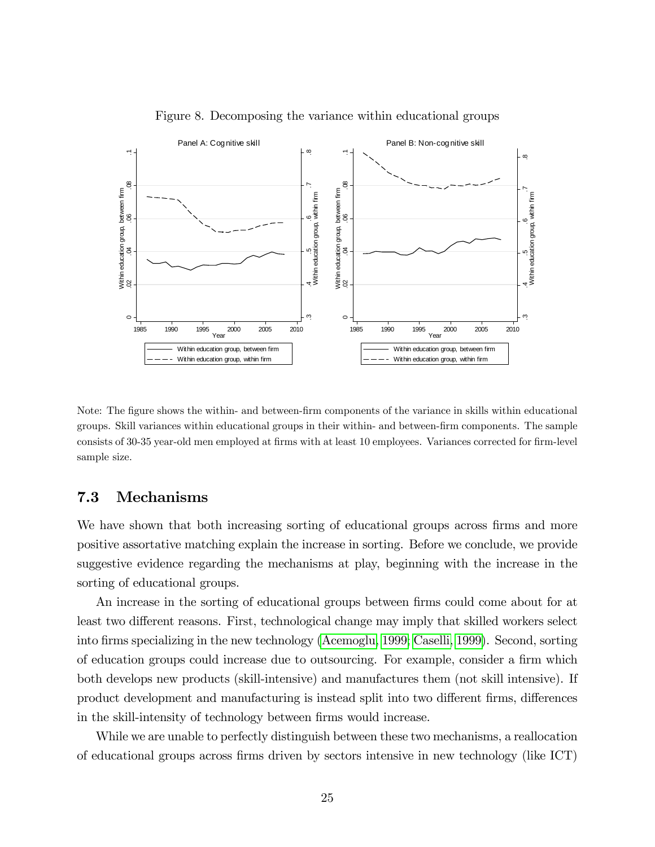

Figure 8. Decomposing the variance within educational groups

Note: The figure shows the within- and between-firm components of the variance in skills within educational groups. Skill variances within educational groups in their within- and between-Örm components. The sample consists of 30-35 year-old men employed at firms with at least 10 employees. Variances corrected for firm-level sample size.

#### 7.3 Mechanisms

We have shown that both increasing sorting of educational groups across firms and more positive assortative matching explain the increase in sorting. Before we conclude, we provide suggestive evidence regarding the mechanisms at play, beginning with the increase in the sorting of educational groups.

An increase in the sorting of educational groups between firms could come about for at least two different reasons. First, technological change may imply that skilled workers select into Örms specializing in the new technology [\(Acemoglu, 1999;](#page-33-0) [Caselli, 1999\)](#page-34-0). Second, sorting of education groups could increase due to outsourcing. For example, consider a firm which both develops new products (skill-intensive) and manufactures them (not skill intensive). If product development and manufacturing is instead split into two different firms, differences in the skill-intensity of technology between firms would increase.

While we are unable to perfectly distinguish between these two mechanisms, a reallocation of educational groups across Örms driven by sectors intensive in new technology (like ICT)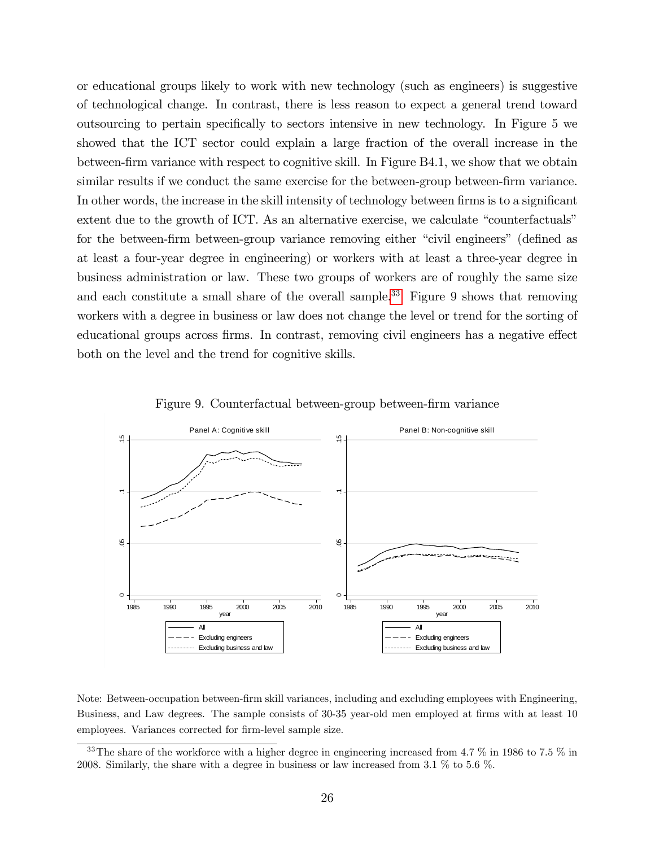or educational groups likely to work with new technology (such as engineers) is suggestive of technological change. In contrast, there is less reason to expect a general trend toward outsourcing to pertain specifically to sectors intensive in new technology. In Figure 5 we showed that the ICT sector could explain a large fraction of the overall increase in the between-firm variance with respect to cognitive skill. In Figure B4.1, we show that we obtain similar results if we conduct the same exercise for the between-group between-firm variance. In other words, the increase in the skill intensity of technology between firms is to a significant extent due to the growth of ICT. As an alternative exercise, we calculate "counterfactuals" for the between-firm between-group variance removing either "civil engineers" (defined as at least a four-year degree in engineering) or workers with at least a three-year degree in business administration or law. These two groups of workers are of roughly the same size and each constitute a small share of the overall sample.<sup>33</sup> Figure 9 shows that removing workers with a degree in business or law does not change the level or trend for the sorting of educational groups across firms. In contrast, removing civil engineers has a negative effect both on the level and the trend for cognitive skills.



Figure 9. Counterfactual between-group between-firm variance

Note: Between-occupation between-Örm skill variances, including and excluding employees with Engineering, Business, and Law degrees. The sample consists of 30-35 year-old men employed at firms with at least 10 employees. Variances corrected for firm-level sample size.

 $33$ The share of the workforce with a higher degree in engineering increased from 4.7 % in 1986 to 7.5 % in 2008. Similarly, the share with a degree in business or law increased from 3.1 % to 5.6 %.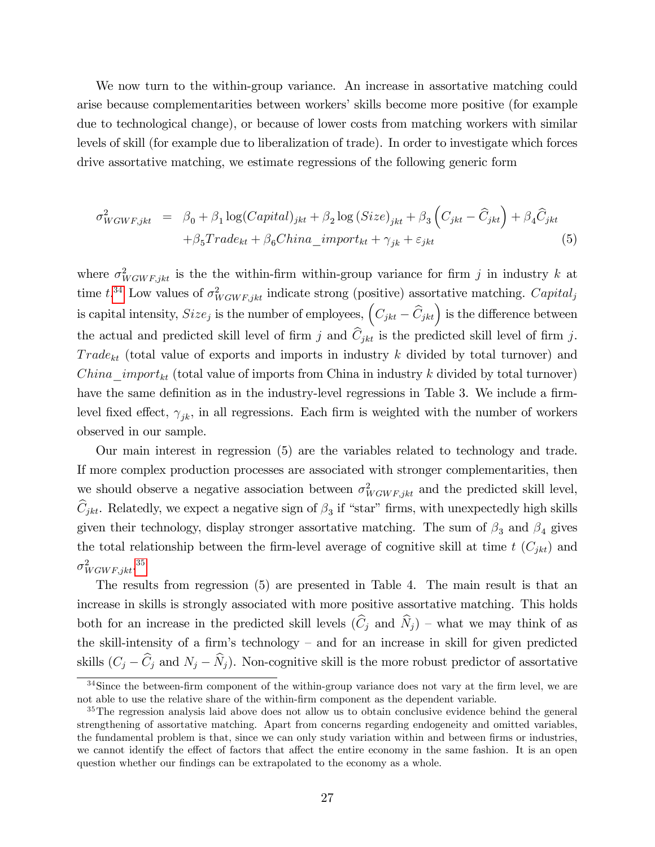We now turn to the within-group variance. An increase in assortative matching could arise because complementarities between workers' skills become more positive (for example due to technological change), or because of lower costs from matching workers with similar levels of skill (for example due to liberalization of trade). In order to investigate which forces drive assortative matching, we estimate regressions of the following generic form

$$
\sigma_{WGWF,jkt}^2 = \beta_0 + \beta_1 \log(Capital)_{jkt} + \beta_2 \log(Size)_{jkt} + \beta_3 \left(C_{jkt} - \widehat{C}_{jkt}\right) + \beta_4 \widehat{C}_{jkt} + \beta_5 Trade_{kt} + \beta_6 China\_import_{kt} + \gamma_{jk} + \varepsilon_{jkt}
$$
\n(5)

where  $\sigma_{WGWF,jkt}^2$  is the the within-firm within-group variance for firm j in industry k at time  $t^{34}$  Low values of  $\sigma_{WGWF,jkt}^2$  indicate strong (positive) assortative matching. Capital<sub>j</sub> is capital intensity,  $Size_j$  is the number of employees,  $(C_{jkt} - \hat{C}_{jkt})$  is the difference between the actual and predicted skill level of firm j and  $\hat{C}_{jkt}$  is the predicted skill level of firm j.  $Trade_{kt}$  (total value of exports and imports in industry k divided by total turnover) and  $China\_import_{kt}$  (total value of imports from China in industry k divided by total turnover) have the same definition as in the industry-level regressions in Table 3. We include a firmlevel fixed effect,  $\gamma_{ik}$ , in all regressions. Each firm is weighted with the number of workers observed in our sample.

Our main interest in regression (5) are the variables related to technology and trade. If more complex production processes are associated with stronger complementarities, then we should observe a negative association between  $\sigma_{W G W F, jkt}^2$  and the predicted skill level,  $C_{jkt}$ . Relatedly, we expect a negative sign of  $\beta_3$  if "star" firms, with unexpectedly high skills given their technology, display stronger assortative matching. The sum of  $\beta_3$  and  $\beta_4$  gives the total relationship between the firm-level average of cognitive skill at time  $t$  ( $C_{jkt}$ ) and  $\sigma^2_{W G W F, jkt}.^{35}$ 

The results from regression (5) are presented in Table 4. The main result is that an increase in skills is strongly associated with more positive assortative matching. This holds both for an increase in the predicted skill levels  $(\widehat{C}_i$  and  $\widehat{N}_i$ ) – what we may think of as the skill-intensity of a firm's technology  $-$  and for an increase in skill for given predicted skills  $(C_j - \widehat{C}_j$  and  $N_j - \widehat{N}_j$ . Non-cognitive skill is the more robust predictor of assortative

 $34$ Since the between-firm component of the within-group variance does not vary at the firm level, we are not able to use the relative share of the within-Örm component as the dependent variable.

<sup>&</sup>lt;sup>35</sup>The regression analysis laid above does not allow us to obtain conclusive evidence behind the general strengthening of assortative matching. Apart from concerns regarding endogeneity and omitted variables, the fundamental problem is that, since we can only study variation within and between firms or industries, we cannot identify the effect of factors that affect the entire economy in the same fashion. It is an open question whether our findings can be extrapolated to the economy as a whole.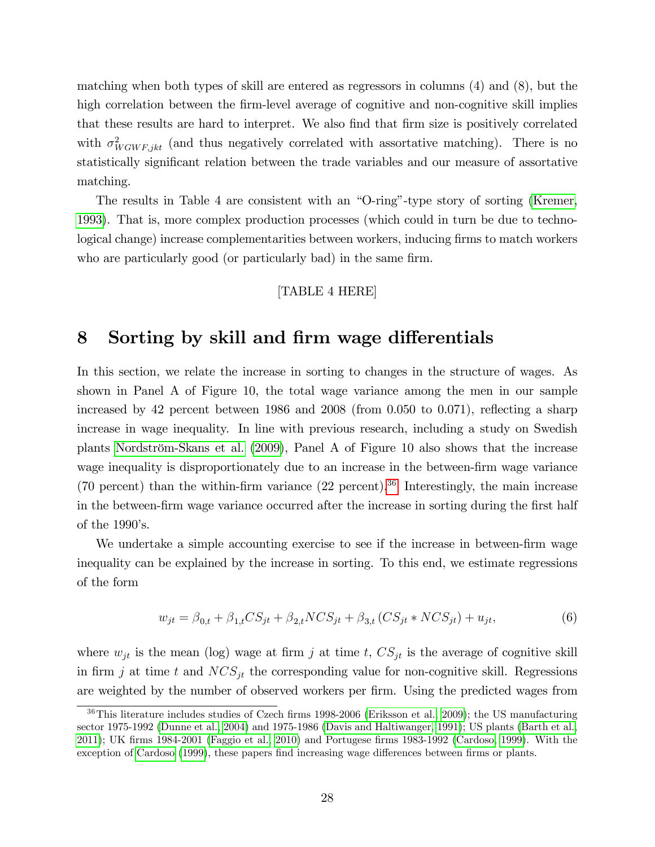matching when both types of skill are entered as regressors in columns (4) and (8), but the high correlation between the firm-level average of cognitive and non-cognitive skill implies that these results are hard to interpret. We also find that firm size is positively correlated with  $\sigma_{WGWF,jkt}^2$  (and thus negatively correlated with assortative matching). There is no statistically significant relation between the trade variables and our measure of assortative matching.

The results in Table 4 are consistent with an "O-ring"-type story of sorting [\(Kremer,](#page-36-0) [1993\)](#page-36-0). That is, more complex production processes (which could in turn be due to technological change) increase complementarities between workers, inducing firms to match workers who are particularly good (or particularly bad) in the same firm.

#### [TABLE 4 HERE]

### 8 Sorting by skill and firm wage differentials

In this section, we relate the increase in sorting to changes in the structure of wages. As shown in Panel A of Figure 10, the total wage variance among the men in our sample increased by 42 percent between 1986 and  $2008$  (from 0.050 to 0.071), reflecting a sharp increase in wage inequality. In line with previous research, including a study on Swedish plants Nordström-Skans et al. [\(2009\)](#page-37-0), Panel A of Figure 10 also shows that the increase wage inequality is disproportionately due to an increase in the between-firm wage variance (70 percent) than the within-firm variance  $(22 \text{ percent})$ .<sup>36</sup> Interestingly, the main increase in the between-firm wage variance occurred after the increase in sorting during the first half of the  $1990$ 's.

We undertake a simple accounting exercise to see if the increase in between-firm wage inequality can be explained by the increase in sorting. To this end, we estimate regressions of the form

$$
w_{jt} = \beta_{0,t} + \beta_{1,t} CS_{jt} + \beta_{2,t} NCS_{jt} + \beta_{3,t} (CS_{jt} * NCS_{jt}) + u_{jt},
$$
\n(6)

where  $w_{jt}$  is the mean (log) wage at firm j at time t,  $CS_{jt}$  is the average of cognitive skill in firm j at time t and  $NCS_{jt}$  the corresponding value for non-cognitive skill. Regressions are weighted by the number of observed workers per firm. Using the predicted wages from

 $36$ This literature includes studies of Czech firms 1998-2006 [\(Eriksson et al., 2009\)](#page-34-0); the US manufacturing sector 1975-1992 [\(Dunne et al., 2004\)](#page-34-0) and 1975-1986 [\(Davis and Haltiwanger, 1991\)](#page-34-0); US plants [\(Barth et al.,](#page-33-0) [2011\)](#page-33-0); UK Örms 1984-2001 [\(Faggio et al., 2010\)](#page-35-0) and Portugese Örms 1983-1992 [\(Cardoso, 1999\)](#page-34-0). With the exception of [Cardoso](#page-34-0) [\(1999\)](#page-34-0), these papers find increasing wage differences between firms or plants.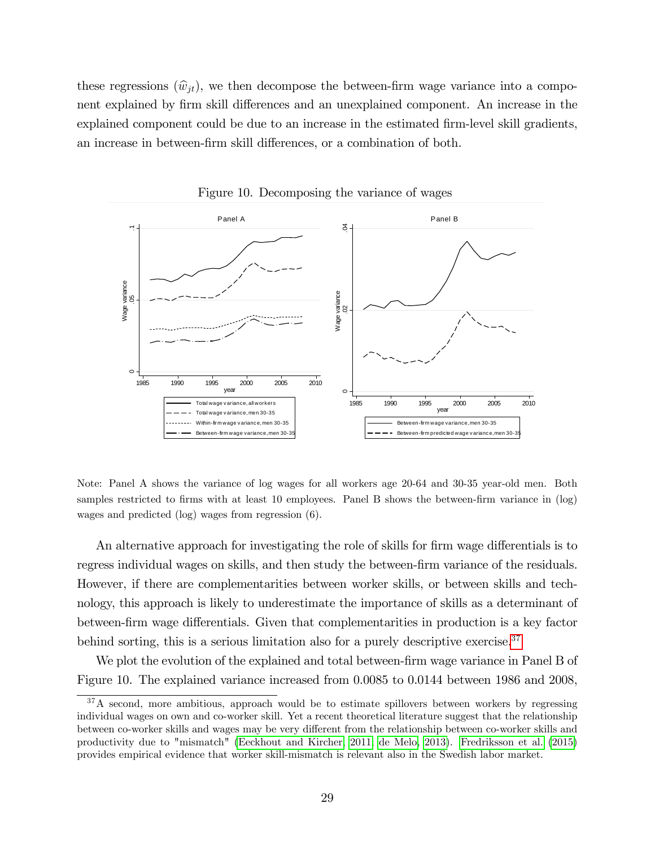these regressions  $(\hat{w}_{it})$ , we then decompose the between-firm wage variance into a component explained by firm skill differences and an unexplained component. An increase in the explained component could be due to an increase in the estimated firm-level skill gradients, an increase in between-firm skill differences, or a combination of both.



Figure 10. Decomposing the variance of wages

Note: Panel A shows the variance of log wages for all workers age 20-64 and 30-35 year-old men. Both samples restricted to firms with at least 10 employees. Panel B shows the between-firm variance in  $(\log)$ wages and predicted (log) wages from regression (6).

An alternative approach for investigating the role of skills for firm wage differentials is to regress individual wages on skills, and then study the between-firm variance of the residuals. However, if there are complementarities between worker skills, or between skills and technology, this approach is likely to underestimate the importance of skills as a determinant of between-firm wage differentials. Given that complementarities in production is a key factor behind sorting, this is a serious limitation also for a purely descriptive exercise. $37$ 

We plot the evolution of the explained and total between-firm wage variance in Panel B of Figure 10. The explained variance increased from 0.0085 to 0.0144 between 1986 and 2008,

<sup>&</sup>lt;sup>37</sup>A second, more ambitious, approach would be to estimate spillovers between workers by regressing individual wages on own and co-worker skill. Yet a recent theoretical literature suggest that the relationship between co-worker skills and wages may be very different from the relationship between co-worker skills and productivity due to "mismatch" [\(Eeckhout and Kircher, 2011; de Melo, 2013\)](#page-34-0). [Fredriksson et al.](#page-35-0) [\(2015\)](#page-35-0) provides empirical evidence that worker skill-mismatch is relevant also in the Swedish labor market.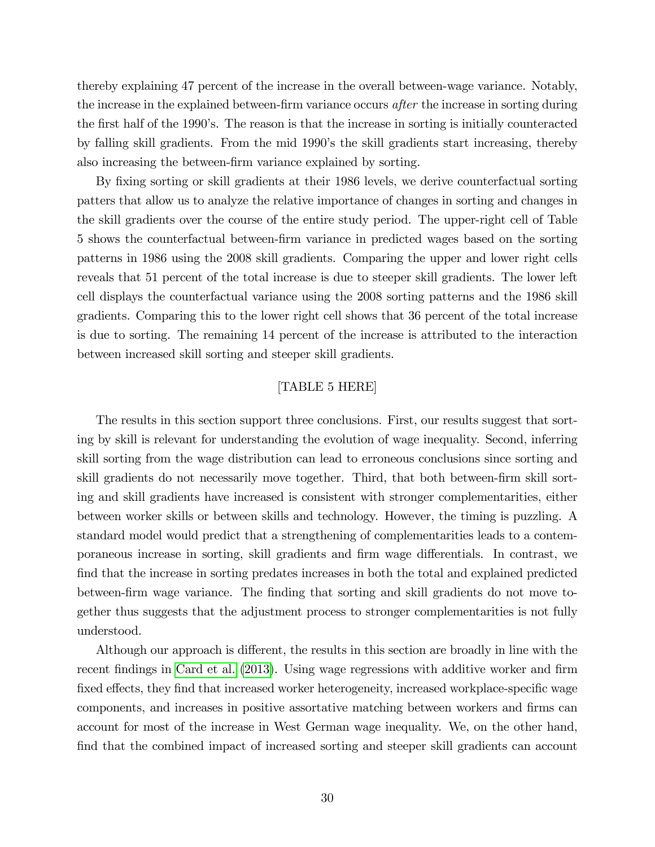thereby explaining 47 percent of the increase in the overall between-wage variance. Notably, the increase in the explained between-firm variance occurs after the increase in sorting during the first half of the 1990's. The reason is that the increase in sorting is initially counteracted by falling skill gradients. From the mid 1990ís the skill gradients start increasing, thereby also increasing the between-firm variance explained by sorting.

By fixing sorting or skill gradients at their 1986 levels, we derive counterfactual sorting patters that allow us to analyze the relative importance of changes in sorting and changes in the skill gradients over the course of the entire study period. The upper-right cell of Table 5 shows the counterfactual between-Örm variance in predicted wages based on the sorting patterns in 1986 using the 2008 skill gradients. Comparing the upper and lower right cells reveals that 51 percent of the total increase is due to steeper skill gradients. The lower left cell displays the counterfactual variance using the 2008 sorting patterns and the 1986 skill gradients. Comparing this to the lower right cell shows that 36 percent of the total increase is due to sorting. The remaining 14 percent of the increase is attributed to the interaction between increased skill sorting and steeper skill gradients.

#### [TABLE 5 HERE]

The results in this section support three conclusions. First, our results suggest that sorting by skill is relevant for understanding the evolution of wage inequality. Second, inferring skill sorting from the wage distribution can lead to erroneous conclusions since sorting and skill gradients do not necessarily move together. Third, that both between-firm skill sorting and skill gradients have increased is consistent with stronger complementarities, either between worker skills or between skills and technology. However, the timing is puzzling. A standard model would predict that a strengthening of complementarities leads to a contemporaneous increase in sorting, skill gradients and firm wage differentials. In contrast, we find that the increase in sorting predates increases in both the total and explained predicted between-firm wage variance. The finding that sorting and skill gradients do not move together thus suggests that the adjustment process to stronger complementarities is not fully understood.

Although our approach is different, the results in this section are broadly in line with the recent findings in [Card et al.](#page-34-0) [\(2013\)](#page-34-0). Using wage regressions with additive worker and firm fixed effects, they find that increased worker heterogeneity, increased workplace-specific wage components, and increases in positive assortative matching between workers and firms can account for most of the increase in West German wage inequality. We, on the other hand, find that the combined impact of increased sorting and steeper skill gradients can account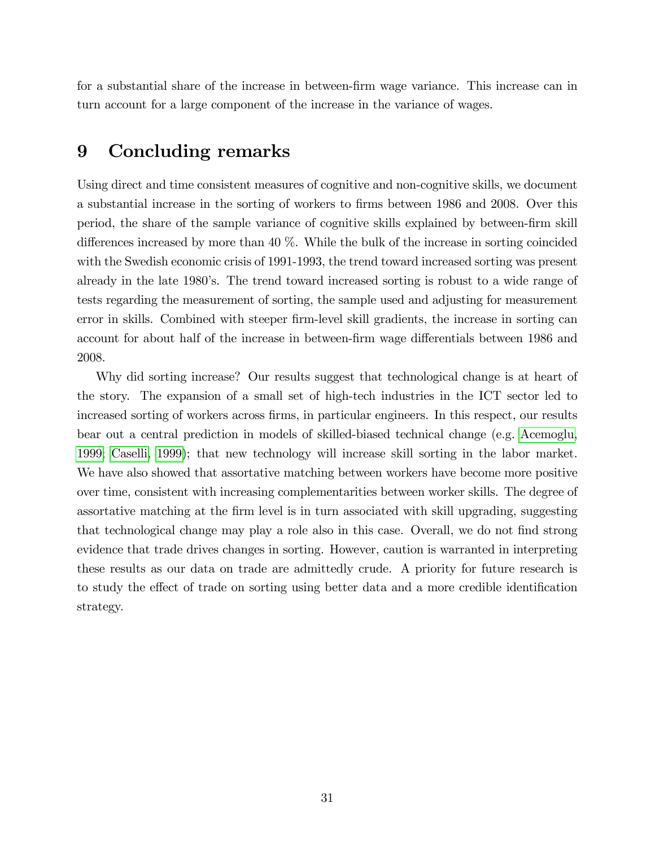for a substantial share of the increase in between-firm wage variance. This increase can in turn account for a large component of the increase in the variance of wages.

## 9 Concluding remarks

Using direct and time consistent measures of cognitive and non-cognitive skills, we document a substantial increase in the sorting of workers to firms between 1986 and 2008. Over this period, the share of the sample variance of cognitive skills explained by between-Örm skill differences increased by more than  $40\%$ . While the bulk of the increase in sorting coincided with the Swedish economic crisis of 1991-1993, the trend toward increased sorting was present already in the late 1980's. The trend toward increased sorting is robust to a wide range of tests regarding the measurement of sorting, the sample used and adjusting for measurement error in skills. Combined with steeper firm-level skill gradients, the increase in sorting can account for about half of the increase in between-firm wage differentials between 1986 and 2008.

Why did sorting increase? Our results suggest that technological change is at heart of the story. The expansion of a small set of high-tech industries in the ICT sector led to increased sorting of workers across firms, in particular engineers. In this respect, our results bear out a central prediction in models of skilled-biased technical change (e.g. [Acemoglu,](#page-33-0) [1999;](#page-33-0) [Caselli, 1999\)](#page-34-0); that new technology will increase skill sorting in the labor market. We have also showed that assortative matching between workers have become more positive over time, consistent with increasing complementarities between worker skills. The degree of assortative matching at the firm level is in turn associated with skill upgrading, suggesting that technological change may play a role also in this case. Overall, we do not find strong evidence that trade drives changes in sorting. However, caution is warranted in interpreting these results as our data on trade are admittedly crude. A priority for future research is to study the effect of trade on sorting using better data and a more credible identification strategy.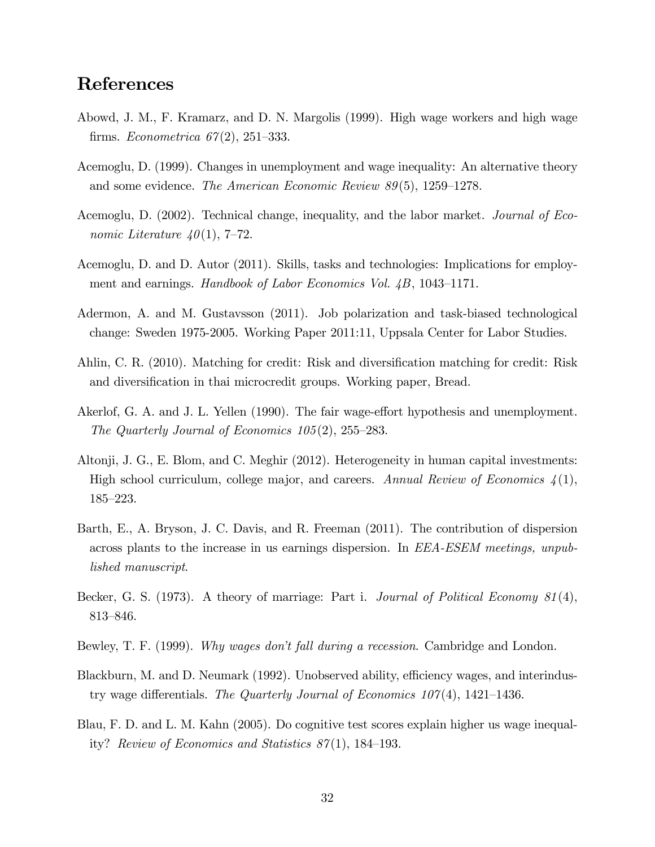## <span id="page-33-0"></span>References

- Abowd, J. M., F. Kramarz, and D. N. Margolis (1999). High wage workers and high wage firms. Econometrica  $67(2)$ , 251–333.
- Acemoglu, D. (1999). Changes in unemployment and wage inequality: An alternative theory and some evidence. The American Economic Review  $89(5)$ , 1259–1278.
- Acemoglu, D. (2002). Technical change, inequality, and the labor market. Journal of Economic Literature  $40(1)$ , 7–72.
- Acemoglu, D. and D. Autor (2011). Skills, tasks and technologies: Implications for employment and earnings. Handbook of Labor Economics Vol.  $\angle B$ , 1043–1171.
- Adermon, A. and M. Gustavsson (2011). Job polarization and task-biased technological change: Sweden 1975-2005. Working Paper 2011:11, Uppsala Center for Labor Studies.
- Ahlin, C. R. (2010). Matching for credit: Risk and diversification matching for credit: Risk and diversification in thai microcredit groups. Working paper, Bread.
- Akerlof, G. A. and J. L. Yellen (1990). The fair wage-effort hypothesis and unemployment. The Quarterly Journal of Economics  $105(2)$ ,  $255-283$ .
- Altonji, J. G., E. Blom, and C. Meghir (2012). Heterogeneity in human capital investments: High school curriculum, college major, and careers. Annual Review of Economics  $\mathcal{L}(1)$ , 185–223.
- Barth, E., A. Bryson, J. C. Davis, and R. Freeman (2011). The contribution of dispersion across plants to the increase in us earnings dispersion. In EEA-ESEM meetings, unpublished manuscript.
- Becker, G. S. (1973). A theory of marriage: Part i. Journal of Political Economy 81(4), 813-846.
- Bewley, T. F. (1999). Why wages don't fall during a recession. Cambridge and London.
- Blackburn, M. and D. Neumark (1992). Unobserved ability, efficiency wages, and interindustry wage differentials. The Quarterly Journal of Economics  $107(4)$ , 1421–1436.
- Blau, F. D. and L. M. Kahn (2005). Do cognitive test scores explain higher us wage inequality? Review of Economics and Statistics  $87(1)$ , 184–193.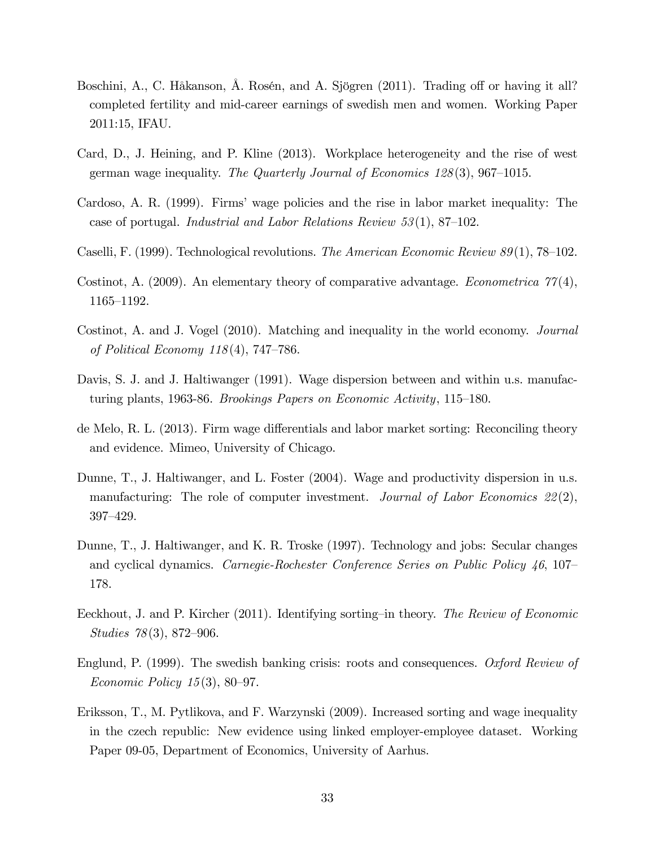- <span id="page-34-0"></span>Boschini, A., C. Håkanson, Å. Rosén, and A. Sjögren (2011). Trading off or having it all? completed fertility and mid-career earnings of swedish men and women. Working Paper 2011:15, IFAU.
- Card, D., J. Heining, and P. Kline (2013). Workplace heterogeneity and the rise of west german wage inequality. The Quarterly Journal of Economics  $128(3)$ , 967–1015.
- Cardoso, A. R. (1999). Firms' wage policies and the rise in labor market inequality: The case of portugal. Industrial and Labor Relations Review  $53(1)$ , 87–102.
- Caselli, F. (1999). Technological revolutions. The American Economic Review  $89(1)$ , 78–102.
- Costinot, A. (2009). An elementary theory of comparative advantage. *Econometrica*  $77(4)$ , 1165–1192.
- Costinot, A. and J. Vogel (2010). Matching and inequality in the world economy. Journal of Political Economy  $118(4)$ , 747–786.
- Davis, S. J. and J. Haltiwanger (1991). Wage dispersion between and within u.s. manufacturing plants, 1963-86. Brookings Papers on Economic Activity,  $115-180$ .
- de Melo, R. L. (2013). Firm wage differentials and labor market sorting: Reconciling theory and evidence. Mimeo, University of Chicago.
- Dunne, T., J. Haltiwanger, and L. Foster  $(2004)$ . Wage and productivity dispersion in u.s. manufacturing: The role of computer investment. Journal of Labor Economics  $22(2)$ , 397–429.
- Dunne, T., J. Haltiwanger, and K. R. Troske (1997). Technology and jobs: Secular changes and cyclical dynamics. Carnegie-Rochester Conference Series on Public Policy  $46, 107$ 178.
- Eeckhout, J. and P. Kircher (2011). Identifying sorting-in theory. The Review of Economic Studies  $78(3)$ , 872–906.
- Englund, P. (1999). The swedish banking crisis: roots and consequences. Oxford Review of Economic Policy  $15(3)$ , 80–97.
- Eriksson, T., M. Pytlikova, and F. Warzynski (2009). Increased sorting and wage inequality in the czech republic: New evidence using linked employer-employee dataset. Working Paper 09-05, Department of Economics, University of Aarhus.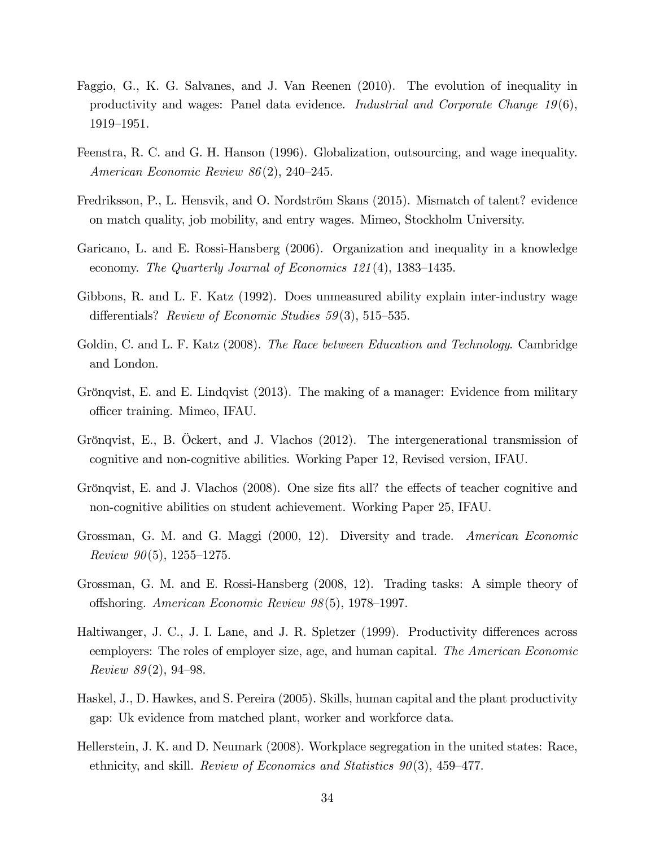- <span id="page-35-0"></span>Faggio, G., K. G. Salvanes, and J. Van Reenen (2010). The evolution of inequality in productivity and wages: Panel data evidence. Industrial and Corporate Change 19(6), 1919–1951.
- Feenstra, R. C. and G. H. Hanson (1996). Globalization, outsourcing, and wage inequality. American Economic Review  $86(2)$ , 240–245.
- Fredriksson, P., L. Hensvik, and O. Nordström Skans (2015). Mismatch of talent? evidence on match quality, job mobility, and entry wages. Mimeo, Stockholm University.
- Garicano, L. and E. Rossi-Hansberg (2006). Organization and inequality in a knowledge economy. The Quarterly Journal of Economics  $121(4)$ , 1383–1435.
- Gibbons, R. and L. F. Katz (1992). Does unmeasured ability explain inter-industry wage differentials? Review of Economic Studies  $59(3)$ , 515–535.
- Goldin, C. and L. F. Katz (2008). The Race between Education and Technology. Cambridge and London.
- Grönqvist, E. and E. Lindqvist (2013). The making of a manager: Evidence from military officer training. Mimeo, IFAU.
- Grönqvist, E., B. Ockert, and J. Vlachos (2012). The intergenerational transmission of cognitive and non-cognitive abilities. Working Paper 12, Revised version, IFAU.
- Grönqvist, E. and J. Vlachos (2008). One size fits all? the effects of teacher cognitive and non-cognitive abilities on student achievement. Working Paper 25, IFAU.
- Grossman, G. M. and G. Maggi (2000, 12). Diversity and trade. American Economic Review  $90(5)$ , 1255–1275.
- Grossman, G. M. and E. Rossi-Hansberg (2008, 12). Trading tasks: A simple theory of offshoring. American Economic Review  $98(5)$ , 1978–1997.
- Haltiwanger, J. C., J. I. Lane, and J. R. Spletzer (1999). Productivity differences across eemployers: The roles of employer size, age, and human capital. The American Economic Review  $89(2)$ , 94–98.
- Haskel, J., D. Hawkes, and S. Pereira (2005). Skills, human capital and the plant productivity gap: Uk evidence from matched plant, worker and workforce data.
- Hellerstein, J. K. and D. Neumark (2008). Workplace segregation in the united states: Race, ethnicity, and skill. *Review of Economics and Statistics 90(3)*, 459–477.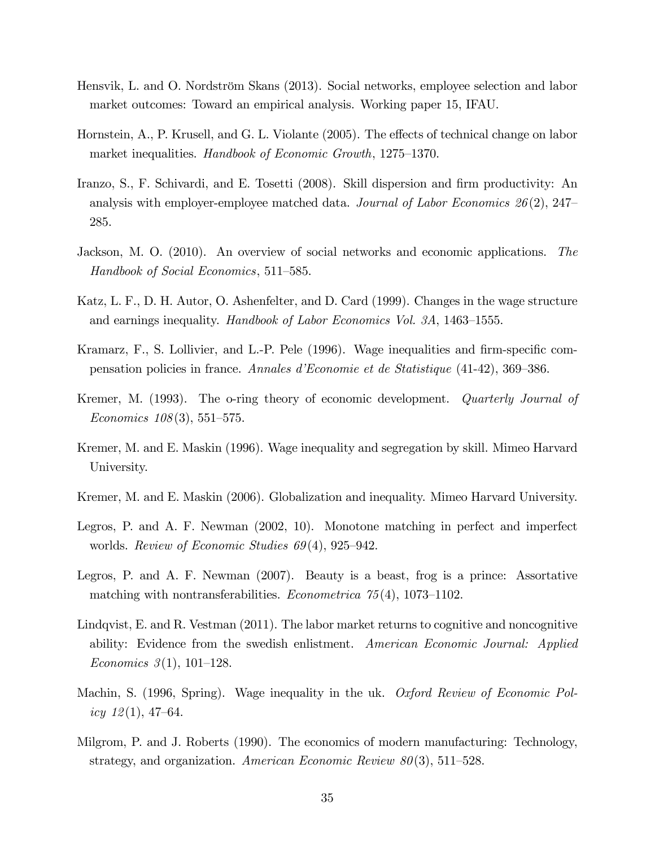- Hensvik, L. and O. Nordström Skans (2013). Social networks, employee selection and labor market outcomes: Toward an empirical analysis. Working paper 15, IFAU.
- Hornstein, A., P. Krusell, and G. L. Violante (2005). The effects of technical change on labor market inequalities. Handbook of Economic Growth,  $1275-1370$ .
- Iranzo, S., F. Schivardi, and E. Tosetti (2008). Skill dispersion and firm productivity: An analysis with employer-employee matched data. Journal of Labor Economics  $26(2)$ , 247– 285.
- Jackson, M. O. (2010). An overview of social networks and economic applications. The Handbook of Social Economics, 511–585.
- Katz, L. F., D. H. Autor, O. Ashenfelter, and D. Card (1999). Changes in the wage structure and earnings inequality. Handbook of Labor Economics Vol. 3A,  $1463-1555$ .
- Kramarz, F., S. Lollivier, and L.-P. Pele (1996). Wage inequalities and firm-specific compensation policies in france. Annales d'Economie et de Statistique (41-42), 369-386.
- Kremer, M. (1993). The o-ring theory of economic development. *Quarterly Journal of* Economics  $108(3)$ , 551–575.
- Kremer, M. and E. Maskin (1996). Wage inequality and segregation by skill. Mimeo Harvard University.
- Kremer, M. and E. Maskin (2006). Globalization and inequality. Mimeo Harvard University.
- Legros, P. and A. F. Newman (2002, 10). Monotone matching in perfect and imperfect worlds. Review of Economic Studies  $69(4)$ , 925–942.
- Legros, P. and A. F. Newman (2007). Beauty is a beast, frog is a prince: Assortative matching with nontransferabilities. *Econometrica*  $75(4)$ , 1073–1102.
- Lindqvist, E. and R. Vestman (2011). The labor market returns to cognitive and noncognitive ability: Evidence from the swedish enlistment. American Economic Journal: Applied Economics  $3(1)$ , 101–128.
- Machin, S. (1996, Spring). Wage inequality in the uk. Oxford Review of Economic Policy  $12(1)$ , 47–64.
- Milgrom, P. and J. Roberts (1990). The economics of modern manufacturing: Technology, strategy, and organization. American Economic Review  $80(3)$ , 511–528.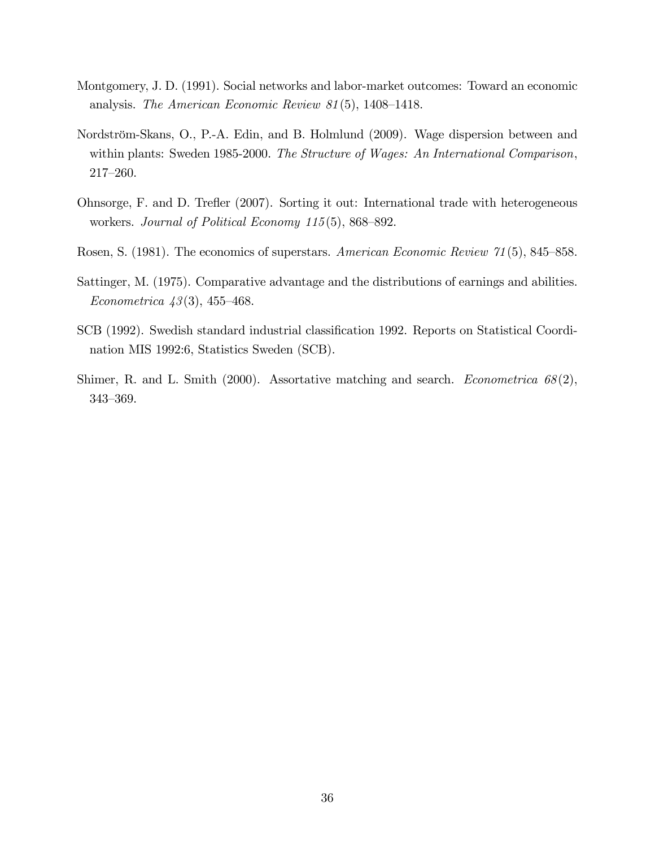- Montgomery, J. D. (1991). Social networks and labor-market outcomes: Toward an economic analysis. The American Economic Review  $81(5)$ , 1408–1418.
- Nordström-Skans, O., P.-A. Edin, and B. Holmlund (2009). Wage dispersion between and within plants: Sweden 1985-2000. The Structure of Wages: An International Comparison,  $217 - 260.$
- Ohnsorge, F. and D. Trefler (2007). Sorting it out: International trade with heterogeneous workers. Journal of Political Economy  $115(5)$ , 868–892.
- Rosen, S. (1981). The economics of superstars. American Economic Review 71(5), 845–858.
- Sattinger, M. (1975). Comparative advantage and the distributions of earnings and abilities. Econometrica  $43(3)$ , 455-468.
- SCB (1992). Swedish standard industrial classification 1992. Reports on Statistical Coordination MIS 1992:6, Statistics Sweden (SCB).
- Shimer, R. and L. Smith (2000). Assortative matching and search. Econometrica 68(2), 343-369.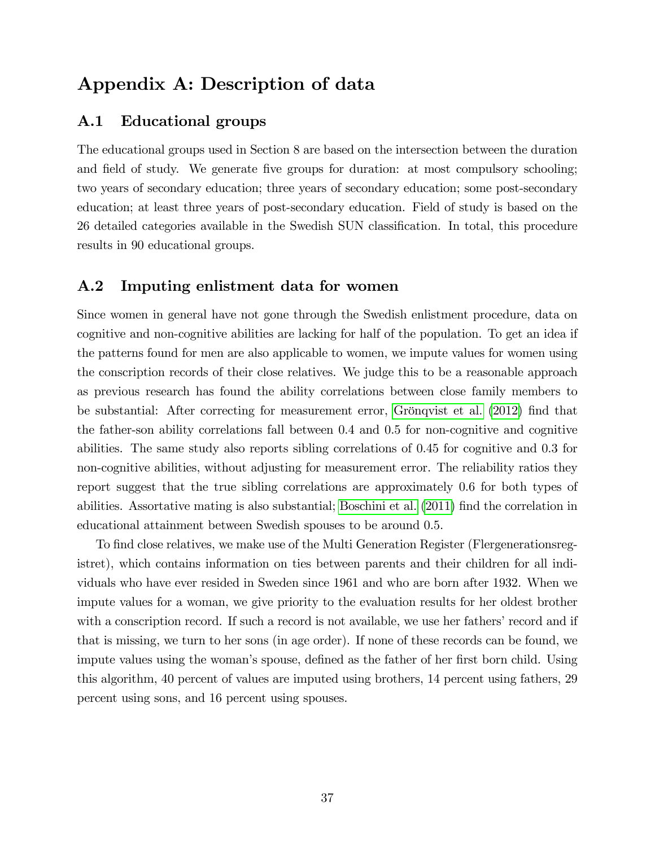# Appendix A: Description of data

## A.1 Educational groups

The educational groups used in Section 8 are based on the intersection between the duration and field of study. We generate five groups for duration: at most compulsory schooling; two years of secondary education; three years of secondary education; some post-secondary education; at least three years of post-secondary education. Field of study is based on the 26 detailed categories available in the Swedish SUN classification. In total, this procedure results in 90 educational groups.

### A.2 Imputing enlistment data for women

Since women in general have not gone through the Swedish enlistment procedure, data on cognitive and non-cognitive abilities are lacking for half of the population. To get an idea if the patterns found for men are also applicable to women, we impute values for women using the conscription records of their close relatives. We judge this to be a reasonable approach as previous research has found the ability correlations between close family members to be substantial: After correcting for measurement error, Grönqvist et al. [\(2012\)](#page-35-0) find that the father-son ability correlations fall between 0.4 and 0.5 for non-cognitive and cognitive abilities. The same study also reports sibling correlations of 0.45 for cognitive and 0.3 for non-cognitive abilities, without adjusting for measurement error. The reliability ratios they report suggest that the true sibling correlations are approximately 0.6 for both types of abilities. Assortative mating is also substantial; [Boschini et al.](#page-34-0) [\(2011\)](#page-34-0) Önd the correlation in educational attainment between Swedish spouses to be around 0.5.

To find close relatives, we make use of the Multi Generation Register (Flergenerationsregistret), which contains information on ties between parents and their children for all individuals who have ever resided in Sweden since 1961 and who are born after 1932. When we impute values for a woman, we give priority to the evaluation results for her oldest brother with a conscription record. If such a record is not available, we use her fathers' record and if that is missing, we turn to her sons (in age order). If none of these records can be found, we impute values using the woman's spouse, defined as the father of her first born child. Using this algorithm, 40 percent of values are imputed using brothers, 14 percent using fathers, 29 percent using sons, and 16 percent using spouses.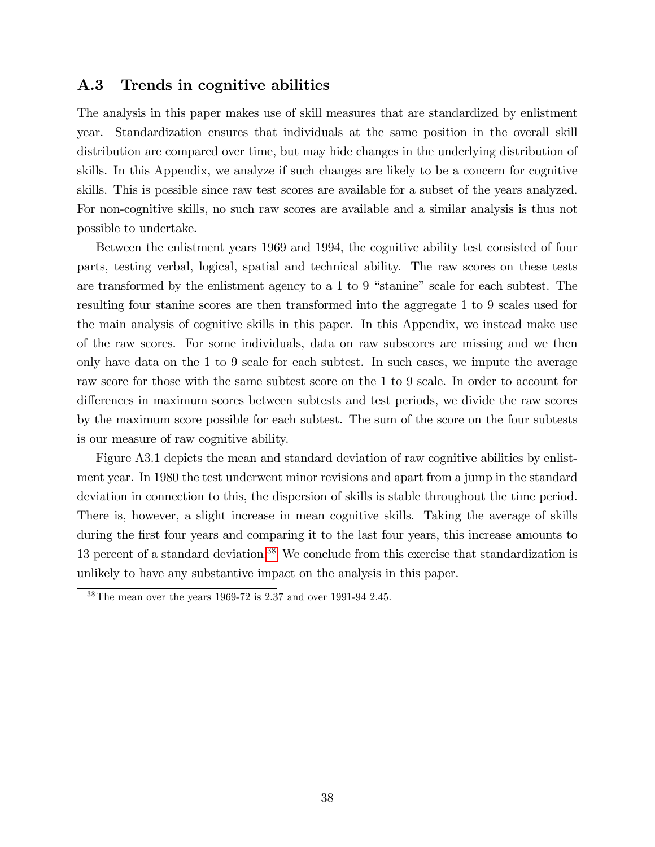## A.3 Trends in cognitive abilities

The analysis in this paper makes use of skill measures that are standardized by enlistment year. Standardization ensures that individuals at the same position in the overall skill distribution are compared over time, but may hide changes in the underlying distribution of skills. In this Appendix, we analyze if such changes are likely to be a concern for cognitive skills. This is possible since raw test scores are available for a subset of the years analyzed. For non-cognitive skills, no such raw scores are available and a similar analysis is thus not possible to undertake.

Between the enlistment years 1969 and 1994, the cognitive ability test consisted of four parts, testing verbal, logical, spatial and technical ability. The raw scores on these tests are transformed by the enlistment agency to a  $1$  to  $9$  "stanine" scale for each subtest. The resulting four stanine scores are then transformed into the aggregate 1 to 9 scales used for the main analysis of cognitive skills in this paper. In this Appendix, we instead make use of the raw scores. For some individuals, data on raw subscores are missing and we then only have data on the 1 to 9 scale for each subtest. In such cases, we impute the average raw score for those with the same subtest score on the 1 to 9 scale. In order to account for differences in maximum scores between subtests and test periods, we divide the raw scores by the maximum score possible for each subtest. The sum of the score on the four subtests is our measure of raw cognitive ability.

Figure A3.1 depicts the mean and standard deviation of raw cognitive abilities by enlistment year. In 1980 the test underwent minor revisions and apart from a jump in the standard deviation in connection to this, the dispersion of skills is stable throughout the time period. There is, however, a slight increase in mean cognitive skills. Taking the average of skills during the first four years and comparing it to the last four years, this increase amounts to 13 percent of a standard deviation.<sup>38</sup> We conclude from this exercise that standardization is unlikely to have any substantive impact on the analysis in this paper.

 $38$ The mean over the years 1969-72 is 2.37 and over 1991-94 2.45.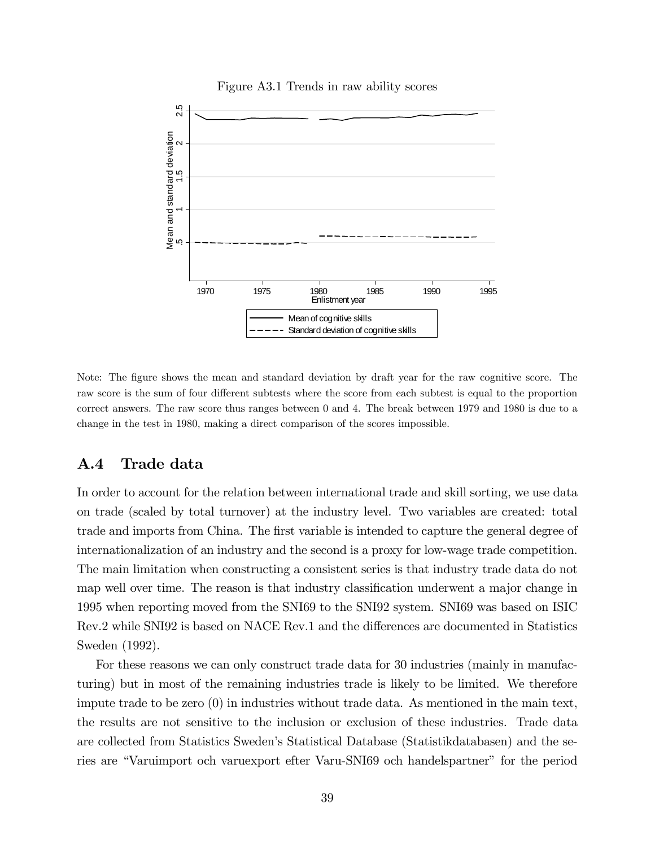

Figure A3.1 Trends in raw ability scores

Note: The figure shows the mean and standard deviation by draft year for the raw cognitive score. The raw score is the sum of four different subtests where the score from each subtest is equal to the proportion correct answers. The raw score thus ranges between 0 and 4. The break between 1979 and 1980 is due to a change in the test in 1980, making a direct comparison of the scores impossible.

### A.4 Trade data

In order to account for the relation between international trade and skill sorting, we use data on trade (scaled by total turnover) at the industry level. Two variables are created: total trade and imports from China. The first variable is intended to capture the general degree of internationalization of an industry and the second is a proxy for low-wage trade competition. The main limitation when constructing a consistent series is that industry trade data do not map well over time. The reason is that industry classification underwent a major change in 1995 when reporting moved from the SNI69 to the SNI92 system. SNI69 was based on ISIC Rev.2 while SNI92 is based on NACE Rev.1 and the differences are documented in Statistics Sweden (1992).

For these reasons we can only construct trade data for 30 industries (mainly in manufacturing) but in most of the remaining industries trade is likely to be limited. We therefore impute trade to be zero (0) in industries without trade data. As mentioned in the main text, the results are not sensitive to the inclusion or exclusion of these industries. Trade data are collected from Statistics Swedenís Statistical Database (Statistikdatabasen) and the series are "Varuimport och varuexport efter Varu-SNI69 och handelspartner" for the period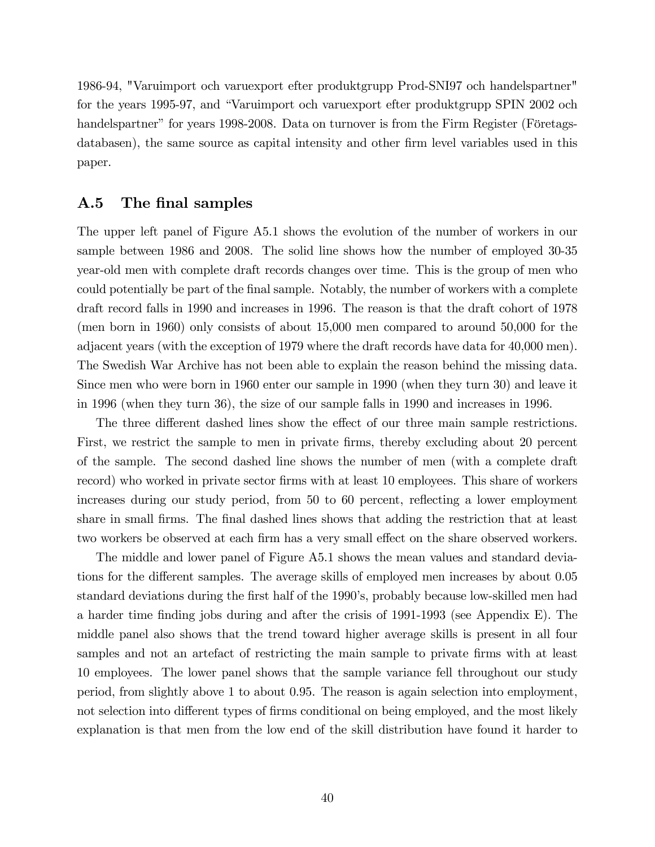1986-94, "Varuimport och varuexport efter produktgrupp Prod-SNI97 och handelspartner" for the years 1995-97, and "Varuimport och varuexport efter produktgrupp SPIN 2002 och handelspartner" for years 1998-2008. Data on turnover is from the Firm Register (Företagsdatabasen), the same source as capital intensity and other firm level variables used in this paper.

### A.5 The final samples

The upper left panel of Figure A5.1 shows the evolution of the number of workers in our sample between 1986 and 2008. The solid line shows how the number of employed 30-35 year-old men with complete draft records changes over time. This is the group of men who could potentially be part of the final sample. Notably, the number of workers with a complete draft record falls in 1990 and increases in 1996. The reason is that the draft cohort of 1978 (men born in 1960) only consists of about 15,000 men compared to around 50,000 for the adjacent years (with the exception of 1979 where the draft records have data for 40,000 men). The Swedish War Archive has not been able to explain the reason behind the missing data. Since men who were born in 1960 enter our sample in 1990 (when they turn 30) and leave it in 1996 (when they turn 36), the size of our sample falls in 1990 and increases in 1996.

The three different dashed lines show the effect of our three main sample restrictions. First, we restrict the sample to men in private firms, thereby excluding about 20 percent of the sample. The second dashed line shows the number of men (with a complete draft record) who worked in private sector firms with at least 10 employees. This share of workers increases during our study period, from 50 to 60 percent, reflecting a lower employment share in small firms. The final dashed lines shows that adding the restriction that at least two workers be observed at each firm has a very small effect on the share observed workers.

The middle and lower panel of Figure A5.1 shows the mean values and standard deviations for the different samples. The average skills of employed men increases by about 0.05 standard deviations during the first half of the 1990's, probably because low-skilled men had a harder time finding jobs during and after the crisis of 1991-1993 (see Appendix E). The middle panel also shows that the trend toward higher average skills is present in all four samples and not an artefact of restricting the main sample to private firms with at least 10 employees. The lower panel shows that the sample variance fell throughout our study period, from slightly above 1 to about 0.95. The reason is again selection into employment, not selection into different types of firms conditional on being employed, and the most likely explanation is that men from the low end of the skill distribution have found it harder to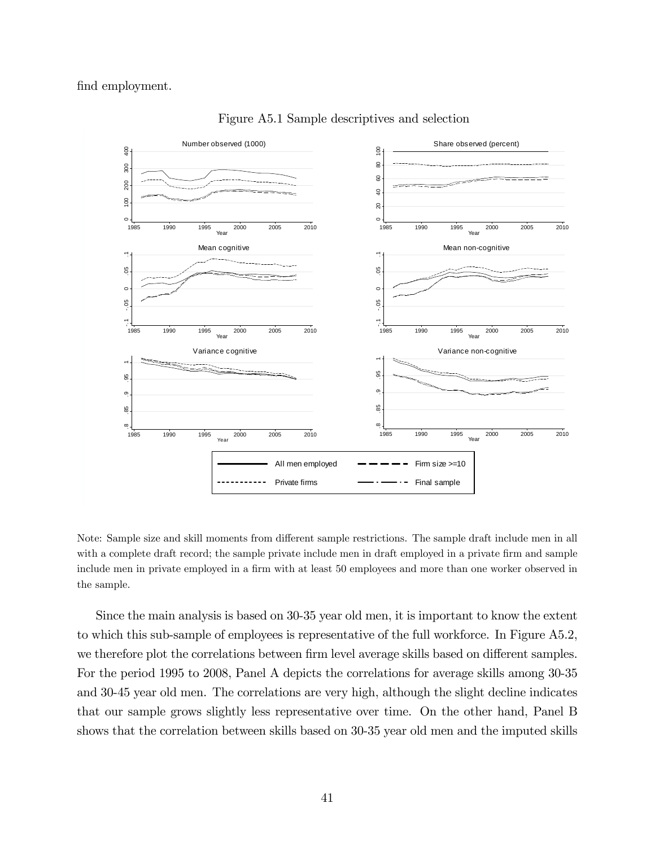### find employment.



Figure A5.1 Sample descriptives and selection

Note: Sample size and skill moments from different sample restrictions. The sample draft include men in all with a complete draft record; the sample private include men in draft employed in a private firm and sample include men in private employed in a firm with at least 50 employees and more than one worker observed in the sample.

Since the main analysis is based on 30-35 year old men, it is important to know the extent to which this sub-sample of employees is representative of the full workforce. In Figure A5.2, we therefore plot the correlations between firm level average skills based on different samples. For the period 1995 to 2008, Panel A depicts the correlations for average skills among 30-35 and 30-45 year old men. The correlations are very high, although the slight decline indicates that our sample grows slightly less representative over time. On the other hand, Panel B shows that the correlation between skills based on 30-35 year old men and the imputed skills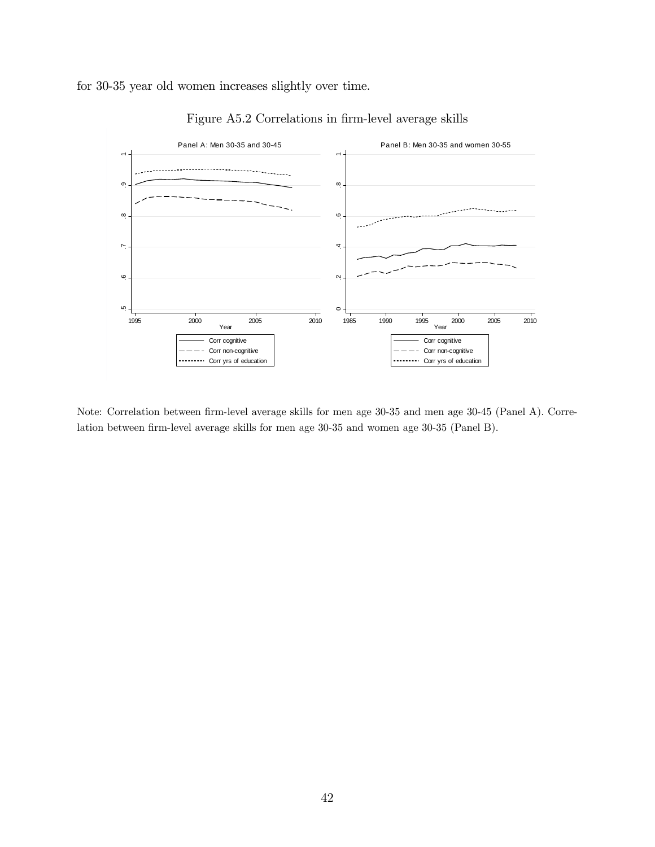for 30-35 year old women increases slightly over time.





Note: Correlation between firm-level average skills for men age 30-35 and men age 30-45 (Panel A). Correlation between firm-level average skills for men age 30-35 and women age 30-35 (Panel B).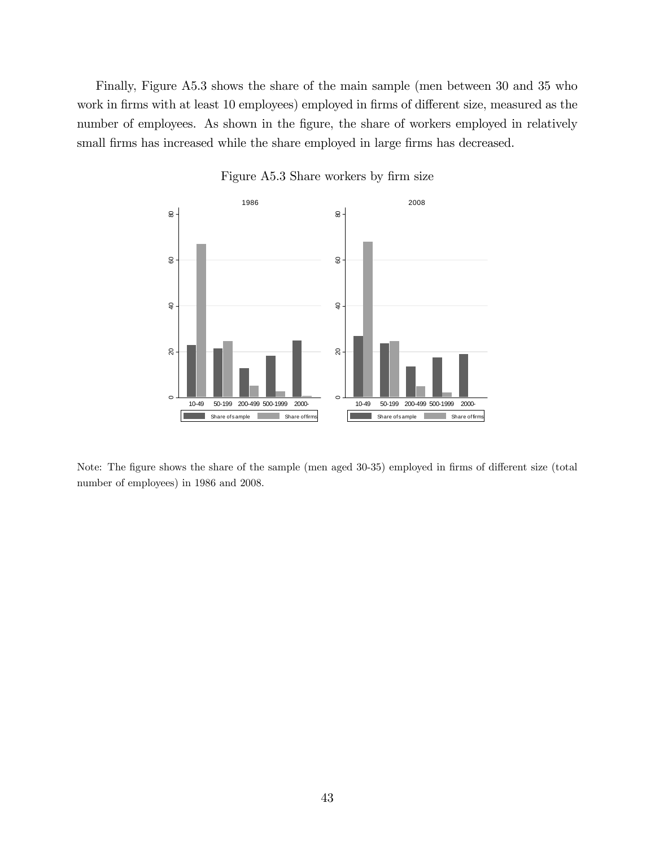Finally, Figure A5.3 shows the share of the main sample (men between 30 and 35 who work in firms with at least 10 employees) employed in firms of different size, measured as the number of employees. As shown in the figure, the share of workers employed in relatively small firms has increased while the share employed in large firms has decreased.



Figure A5.3 Share workers by firm size

Note: The figure shows the share of the sample (men aged 30-35) employed in firms of different size (total number of employees) in 1986 and 2008.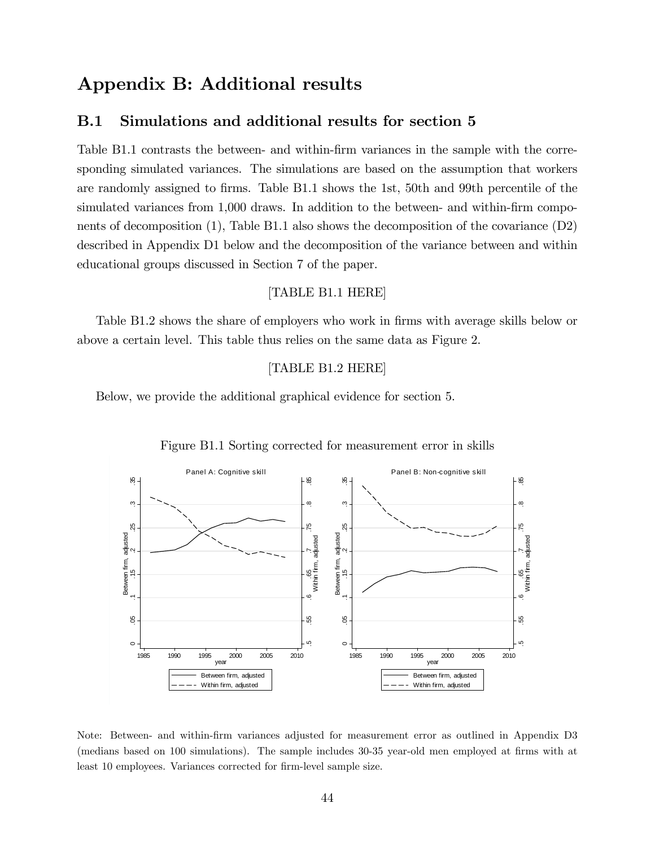# Appendix B: Additional results

## B.1 Simulations and additional results for section 5

Table B1.1 contrasts the between- and within-firm variances in the sample with the corresponding simulated variances. The simulations are based on the assumption that workers are randomly assigned to firms. Table B1.1 shows the 1st, 50th and 99th percentile of the simulated variances from 1,000 draws. In addition to the between- and within-firm components of decomposition (1), Table B1.1 also shows the decomposition of the covariance (D2) described in Appendix D1 below and the decomposition of the variance between and within educational groups discussed in Section 7 of the paper.

### [TABLE B1.1 HERE]

Table B1.2 shows the share of employers who work in firms with average skills below or above a certain level. This table thus relies on the same data as Figure 2.

### [TABLE B1.2 HERE]

Below, we provide the additional graphical evidence for section 5.



#### Figure B1.1 Sorting corrected for measurement error in skills

Note: Between- and within-Örm variances adjusted for measurement error as outlined in Appendix D3 (medians based on 100 simulations). The sample includes 30-35 year-old men employed at firms with at least 10 employees. Variances corrected for firm-level sample size.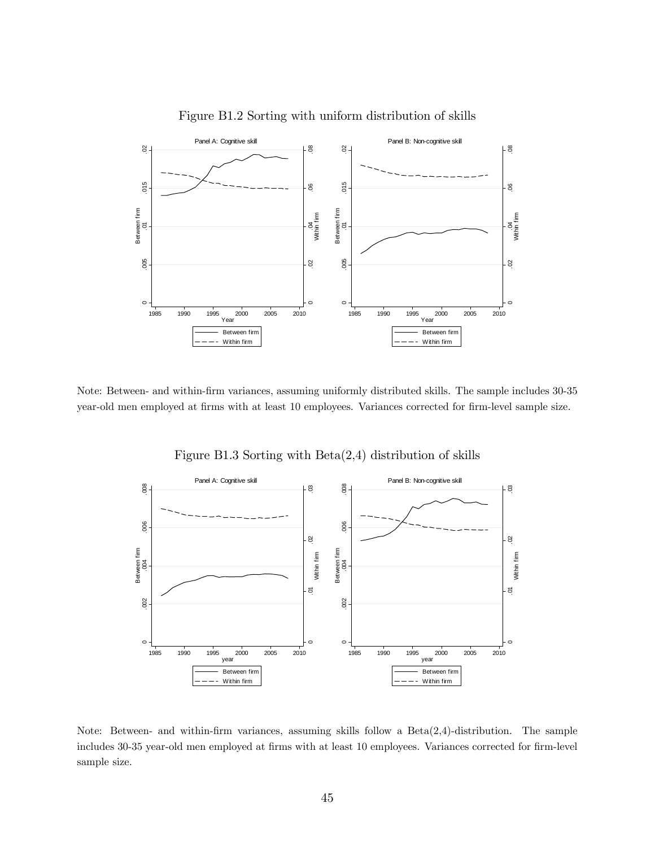

Figure B1.2 Sorting with uniform distribution of skills

Note: Between- and within-Örm variances, assuming uniformly distributed skills. The sample includes 30-35 year-old men employed at firms with at least 10 employees. Variances corrected for firm-level sample size.



Figure B1.3 Sorting with Beta(2,4) distribution of skills

Note: Between- and within-firm variances, assuming skills follow a  $Beta(2,4)$ -distribution. The sample includes 30-35 year-old men employed at firms with at least 10 employees. Variances corrected for firm-level sample size.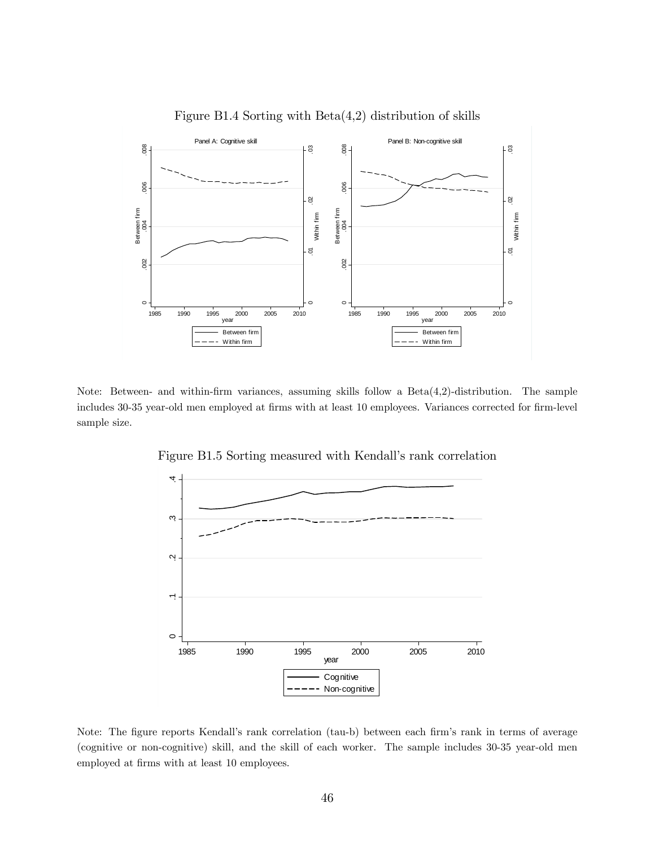

Figure B1.4 Sorting with Beta(4,2) distribution of skills

Note: Between- and within-firm variances, assuming skills follow a  $Beta(4,2)$ -distribution. The sample includes 30-35 year-old men employed at firms with at least 10 employees. Variances corrected for firm-level sample size.



Figure B1.5 Sorting measured with Kendall's rank correlation

Note: The figure reports Kendall's rank correlation (tau-b) between each firm's rank in terms of average (cognitive or non-cognitive) skill, and the skill of each worker. The sample includes 30-35 year-old men employed at firms with at least 10 employees.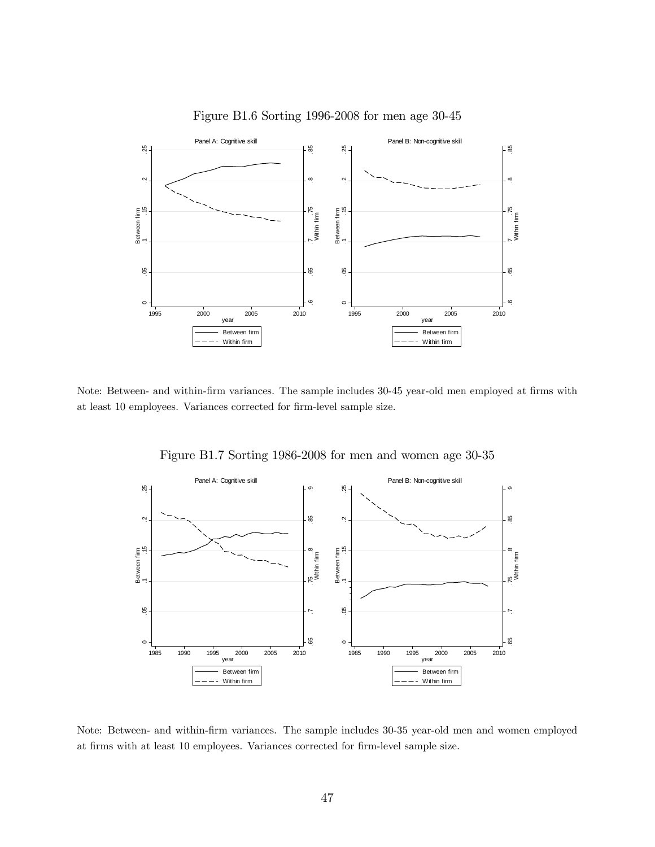

Note: Between- and within-firm variances. The sample includes 30-45 year-old men employed at firms with

at least 10 employees. Variances corrected for firm-level sample size.



Figure B1.7 Sorting 1986-2008 for men and women age 30-35

Note: Between- and within-Örm variances. The sample includes 30-35 year-old men and women employed at firms with at least 10 employees. Variances corrected for firm-level sample size.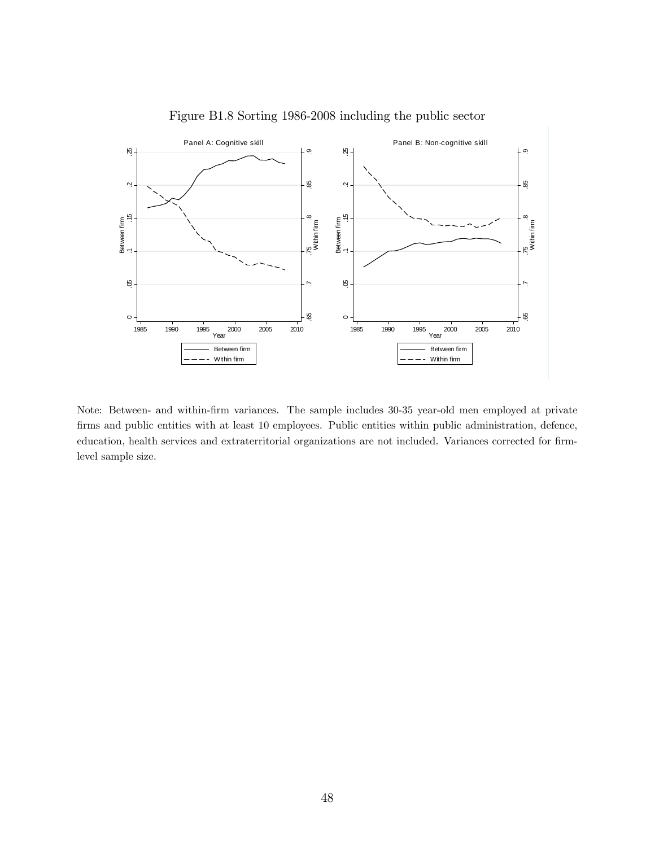

Figure B1.8 Sorting 1986-2008 including the public sector

Note: Between- and within-Örm variances. The sample includes 30-35 year-old men employed at private firms and public entities with at least 10 employees. Public entities within public administration, defence, education, health services and extraterritorial organizations are not included. Variances corrected for firmlevel sample size.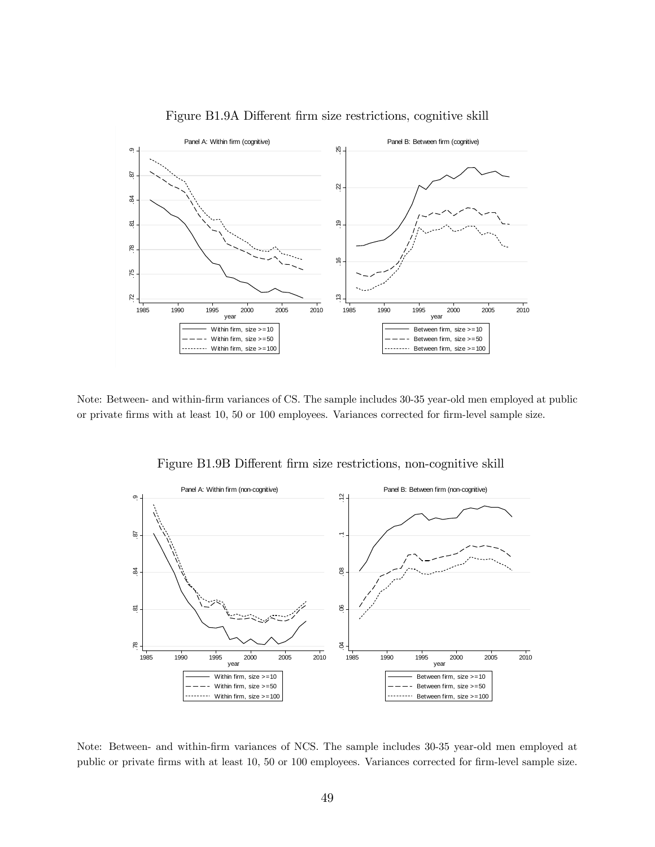

Figure B1.9A Different firm size restrictions, cognitive skill

Note: Between- and within-firm variances of CS. The sample includes 30-35 year-old men employed at public or private firms with at least 10, 50 or 100 employees. Variances corrected for firm-level sample size.



Figure B1.9B Different firm size restrictions, non-cognitive skill

Note: Between- and within-Örm variances of NCS. The sample includes 30-35 year-old men employed at public or private firms with at least 10, 50 or 100 employees. Variances corrected for firm-level sample size.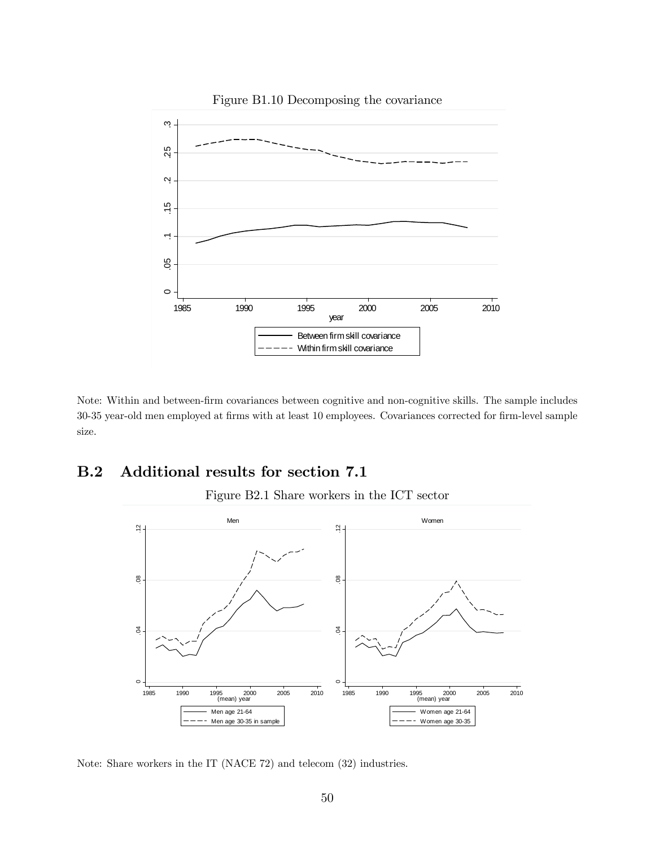

Figure B1.10 Decomposing the covariance

Note: Within and between-Örm covariances between cognitive and non-cognitive skills. The sample includes 30-35 year-old men employed at firms with at least 10 employees. Covariances corrected for firm-level sample size.

# B.2 Additional results for section 7.1

Figure B2.1 Share workers in the ICT sector



Note: Share workers in the IT (NACE 72) and telecom (32) industries.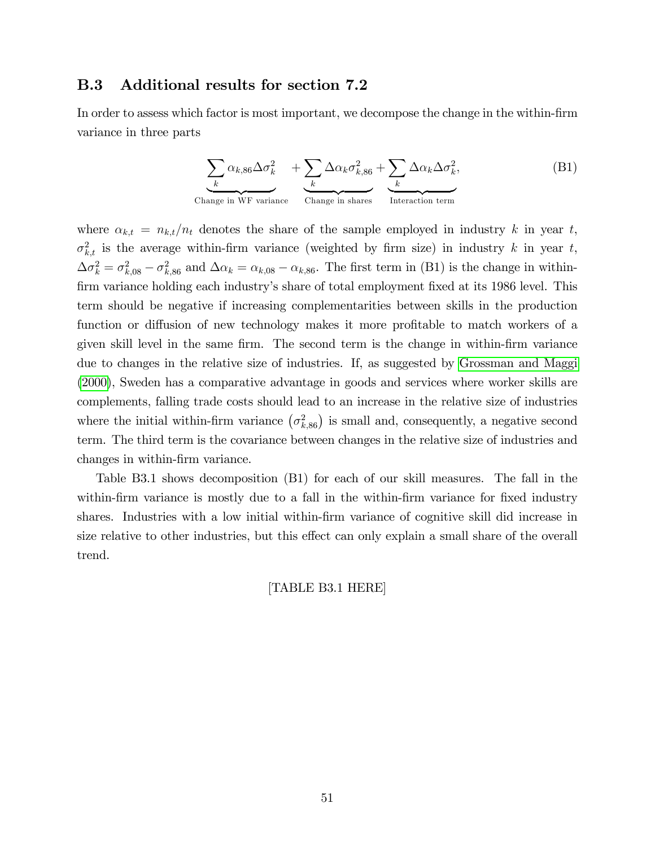### B.3 Additional results for section 7.2

In order to assess which factor is most important, we decompose the change in the within-firm variance in three parts

$$
\underbrace{\sum_{k} \alpha_{k,86} \Delta \sigma_k^2}_{\text{Change in WF variance}} + \underbrace{\sum_{k} \Delta \alpha_k \sigma_{k,86}^2}_{\text{Change in shares}} + \underbrace{\sum_{k} \Delta \alpha_k \Delta \sigma_k^2}_{\text{Interaction term}},
$$
 (B1)

where  $\alpha_{k,t} = n_{k,t}/n_t$  denotes the share of the sample employed in industry k in year t,  $\sigma_{k,t}^2$  is the average within-firm variance (weighted by firm size) in industry k in year t,  $\Delta \sigma_k^2 = \sigma_{k,08}^2 - \sigma_{k,86}^2$  and  $\Delta \alpha_k = \alpha_{k,08} - \alpha_{k,86}$ . The first term in (B1) is the change in withinfirm variance holding each industry's share of total employment fixed at its 1986 level. This term should be negative if increasing complementarities between skills in the production function or diffusion of new technology makes it more profitable to match workers of a given skill level in the same firm. The second term is the change in within-firm variance due to changes in the relative size of industries. If, as suggested by [Grossman and Maggi](#page-35-0) [\(2000\)](#page-35-0), Sweden has a comparative advantage in goods and services where worker skills are complements, falling trade costs should lead to an increase in the relative size of industries where the initial within-firm variance  $(\sigma_{k,86}^2)$  is small and, consequently, a negative second term. The third term is the covariance between changes in the relative size of industries and changes in within-firm variance.

Table B3.1 shows decomposition (B1) for each of our skill measures. The fall in the within-firm variance is mostly due to a fall in the within-firm variance for fixed industry shares. Industries with a low initial within-firm variance of cognitive skill did increase in size relative to other industries, but this effect can only explain a small share of the overall trend.

[TABLE B3.1 HERE]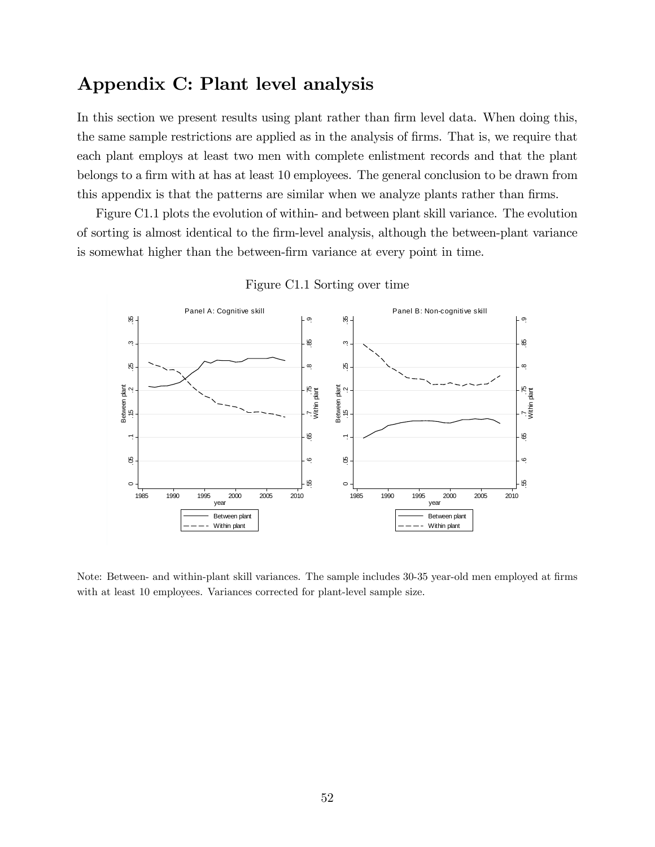# Appendix C: Plant level analysis

In this section we present results using plant rather than firm level data. When doing this, the same sample restrictions are applied as in the analysis of firms. That is, we require that each plant employs at least two men with complete enlistment records and that the plant belongs to a firm with at has at least 10 employees. The general conclusion to be drawn from this appendix is that the patterns are similar when we analyze plants rather than firms.

Figure C1.1 plots the evolution of within- and between plant skill variance. The evolution of sorting is almost identical to the Örm-level analysis, although the between-plant variance is somewhat higher than the between-firm variance at every point in time.



Figure C1.1 Sorting over time

Note: Between- and within-plant skill variances. The sample includes 30-35 year-old men employed at firms with at least 10 employees. Variances corrected for plant-level sample size.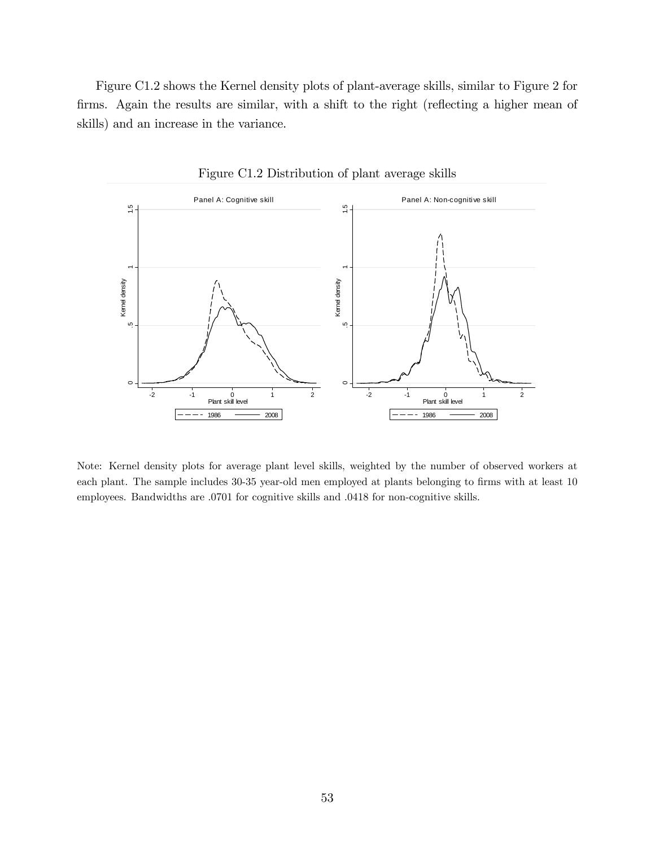Figure C1.2 shows the Kernel density plots of plant-average skills, similar to Figure 2 for firms. Again the results are similar, with a shift to the right (reflecting a higher mean of skills) and an increase in the variance.



Figure C1.2 Distribution of plant average skills

Note: Kernel density plots for average plant level skills, weighted by the number of observed workers at each plant. The sample includes 30-35 year-old men employed at plants belonging to firms with at least 10 employees. Bandwidths are .0701 for cognitive skills and .0418 for non-cognitive skills.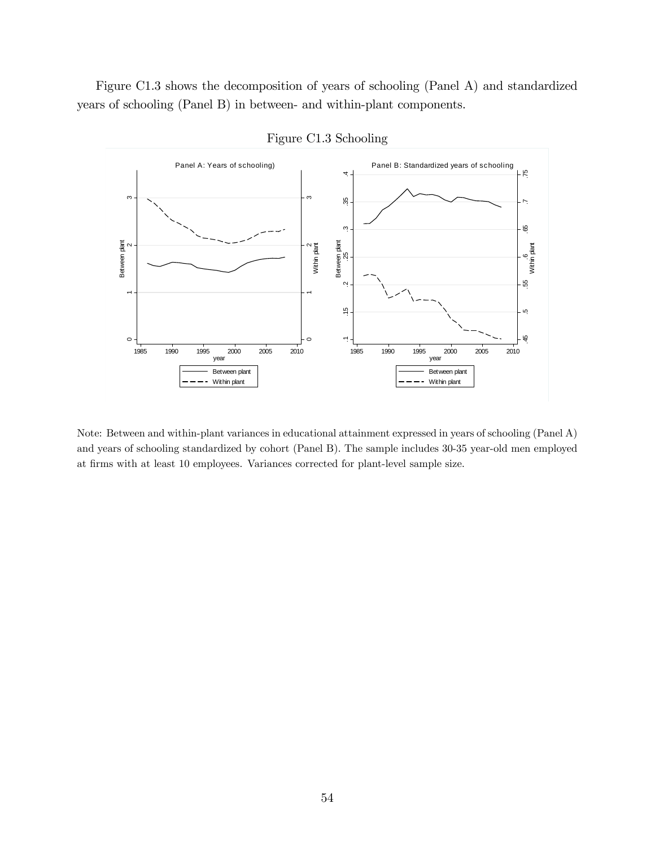Figure C1.3 shows the decomposition of years of schooling (Panel A) and standardized years of schooling (Panel B) in between- and within-plant components.



Figure C1.3 Schooling

Note: Between and within-plant variances in educational attainment expressed in years of schooling (Panel A) and years of schooling standardized by cohort (Panel B). The sample includes 30-35 year-old men employed at firms with at least 10 employees. Variances corrected for plant-level sample size.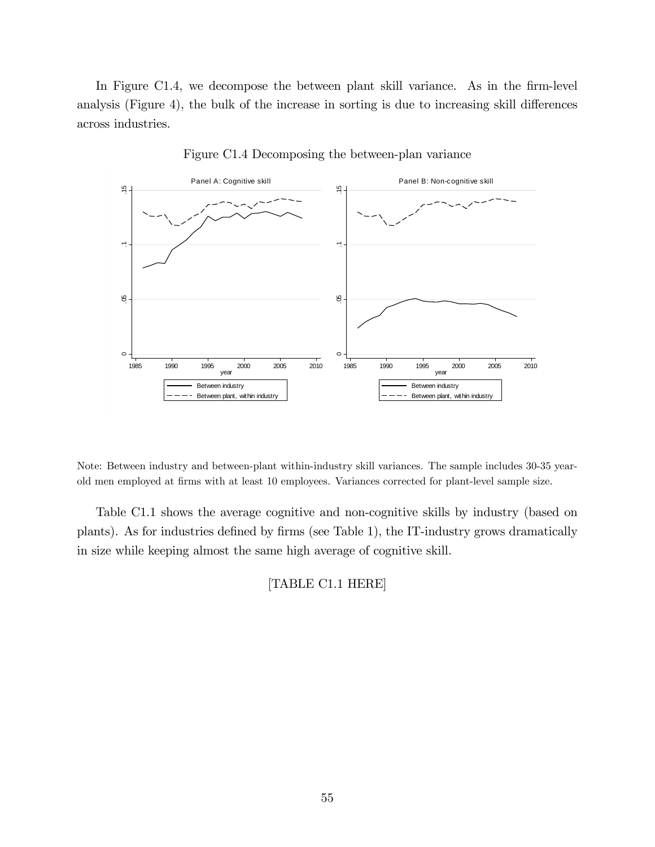In Figure C1.4, we decompose the between plant skill variance. As in the firm-level analysis (Figure 4), the bulk of the increase in sorting is due to increasing skill differences across industries.



Figure C1.4 Decomposing the between-plan variance

Note: Between industry and between-plant within-industry skill variances. The sample includes 30-35 yearold men employed at firms with at least 10 employees. Variances corrected for plant-level sample size.

Table C1.1 shows the average cognitive and non-cognitive skills by industry (based on plants). As for industries defined by firms (see Table 1), the IT-industry grows dramatically in size while keeping almost the same high average of cognitive skill.

[TABLE C1.1 HERE]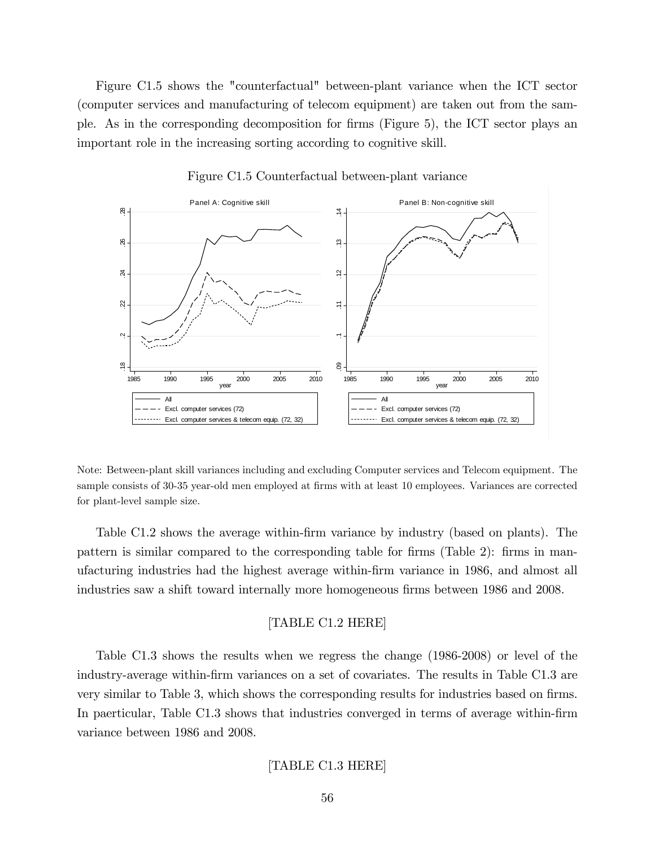Figure C1.5 shows the "counterfactual" between-plant variance when the ICT sector (computer services and manufacturing of telecom equipment) are taken out from the sample. As in the corresponding decomposition for firms (Figure 5), the ICT sector plays an important role in the increasing sorting according to cognitive skill.



Figure C1.5 Counterfactual between-plant variance

Note: Between-plant skill variances including and excluding Computer services and Telecom equipment. The sample consists of 30-35 year-old men employed at firms with at least 10 employees. Variances are corrected for plant-level sample size.

Table C1.2 shows the average within-firm variance by industry (based on plants). The pattern is similar compared to the corresponding table for firms (Table 2): firms in manufacturing industries had the highest average within-Örm variance in 1986, and almost all industries saw a shift toward internally more homogeneous firms between 1986 and 2008.

### [TABLE C1.2 HERE]

Table C1.3 shows the results when we regress the change (1986-2008) or level of the industry-average within-Örm variances on a set of covariates. The results in Table C1.3 are very similar to Table 3, which shows the corresponding results for industries based on firms. In paerticular, Table C1.3 shows that industries converged in terms of average within-firm variance between 1986 and 2008.

### [TABLE C1.3 HERE]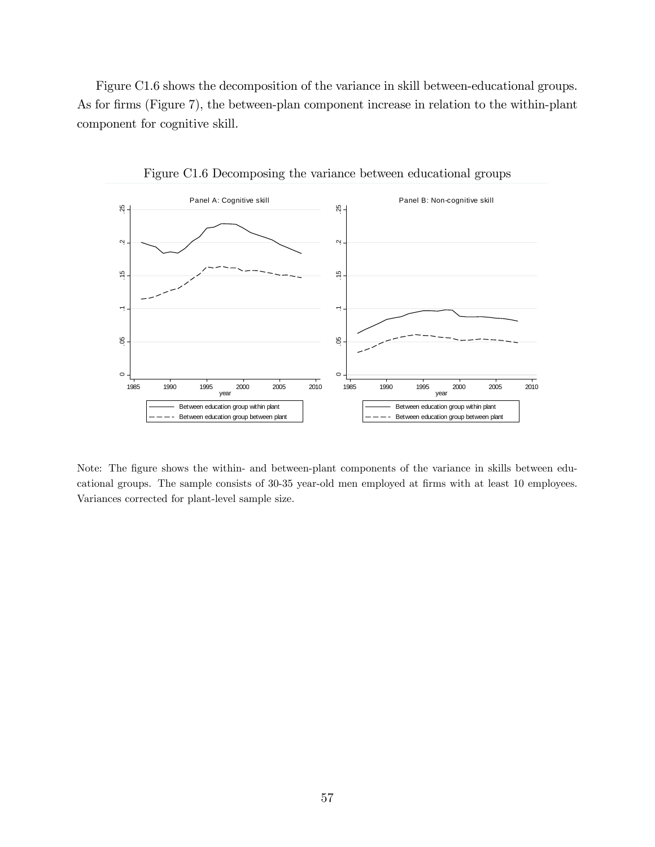Figure C1.6 shows the decomposition of the variance in skill between-educational groups. As for firms (Figure 7), the between-plan component increase in relation to the within-plant component for cognitive skill.



Figure C1.6 Decomposing the variance between educational groups

Note: The figure shows the within- and between-plant components of the variance in skills between educational groups. The sample consists of 30-35 year-old men employed at firms with at least 10 employees. Variances corrected for plant-level sample size.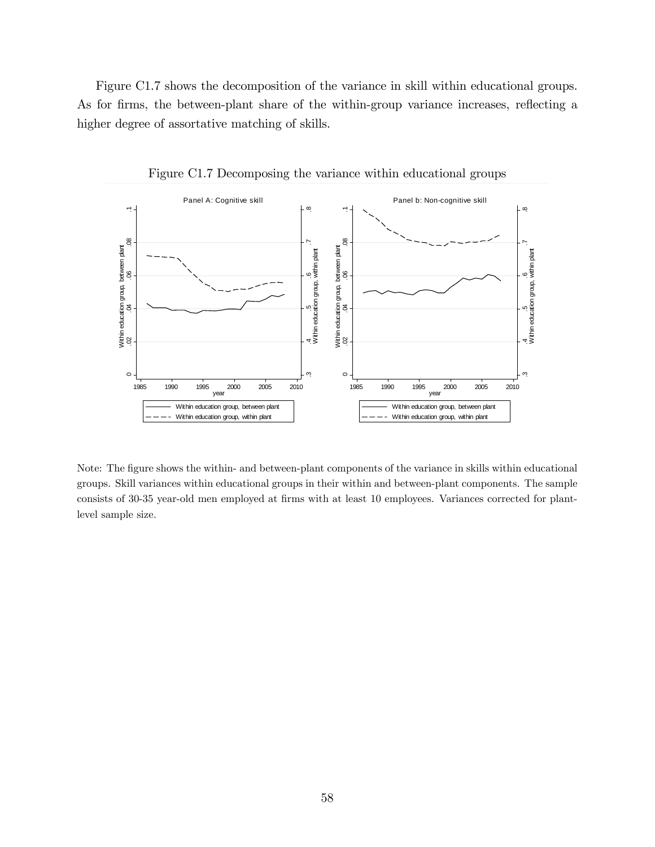Figure C1.7 shows the decomposition of the variance in skill within educational groups. As for firms, the between-plant share of the within-group variance increases, reflecting a higher degree of assortative matching of skills.



Figure C1.7 Decomposing the variance within educational groups

Note: The figure shows the within- and between-plant components of the variance in skills within educational groups. Skill variances within educational groups in their within and between-plant components. The sample consists of 30-35 year-old men employed at firms with at least 10 employees. Variances corrected for plantlevel sample size.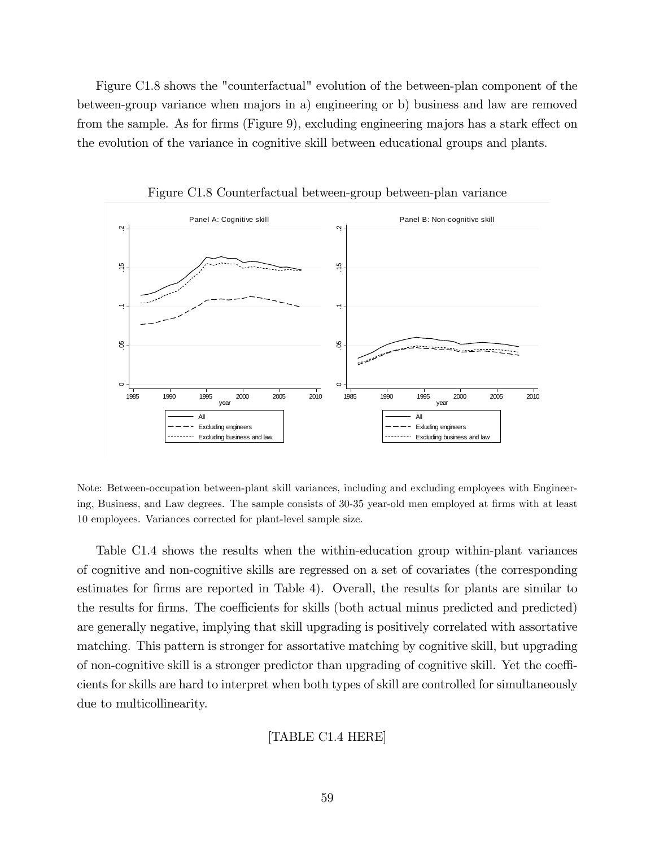Figure C1.8 shows the "counterfactual" evolution of the between-plan component of the between-group variance when majors in a) engineering or b) business and law are removed from the sample. As for firms (Figure 9), excluding engineering majors has a stark effect on the evolution of the variance in cognitive skill between educational groups and plants.



Figure C1.8 Counterfactual between-group between-plan variance

Note: Between-occupation between-plant skill variances, including and excluding employees with Engineering, Business, and Law degrees. The sample consists of 30-35 year-old men employed at firms with at least 10 employees. Variances corrected for plant-level sample size.

Table C1.4 shows the results when the within-education group within-plant variances of cognitive and non-cognitive skills are regressed on a set of covariates (the corresponding estimates for firms are reported in Table 4). Overall, the results for plants are similar to the results for firms. The coefficients for skills (both actual minus predicted and predicted) are generally negative, implying that skill upgrading is positively correlated with assortative matching. This pattern is stronger for assortative matching by cognitive skill, but upgrading of non-cognitive skill is a stronger predictor than upgrading of cognitive skill. Yet the coefficients for skills are hard to interpret when both types of skill are controlled for simultaneously due to multicollinearity.

### [TABLE C1.4 HERE]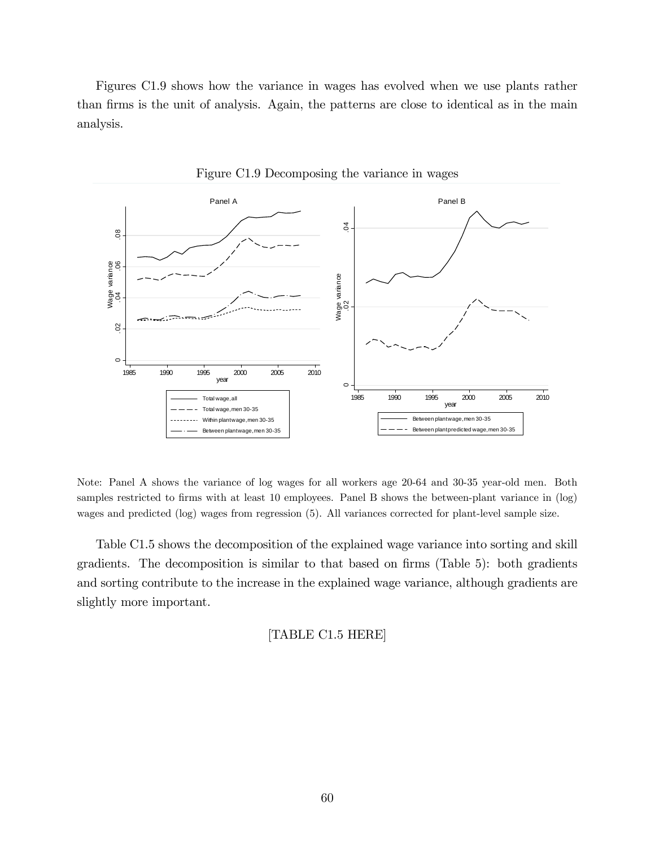Figures C1.9 shows how the variance in wages has evolved when we use plants rather than firms is the unit of analysis. Again, the patterns are close to identical as in the main analysis.



Figure C1.9 Decomposing the variance in wages

Note: Panel A shows the variance of log wages for all workers age 20-64 and 30-35 year-old men. Both samples restricted to firms with at least 10 employees. Panel B shows the between-plant variance in (log) wages and predicted (log) wages from regression (5). All variances corrected for plant-level sample size.

Table C1.5 shows the decomposition of the explained wage variance into sorting and skill gradients. The decomposition is similar to that based on firms (Table 5): both gradients and sorting contribute to the increase in the explained wage variance, although gradients are slightly more important.

[TABLE C1.5 HERE]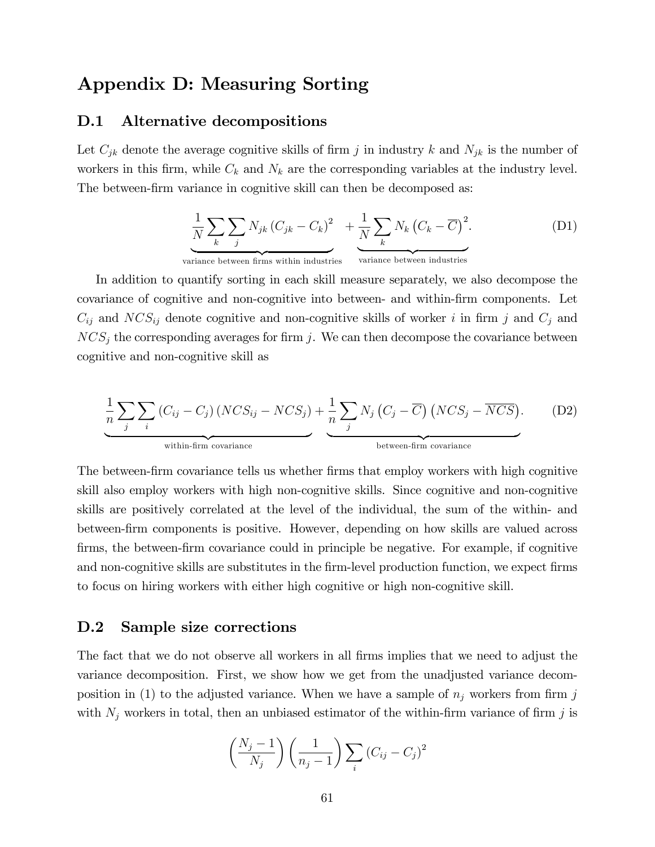# Appendix D: Measuring Sorting

### D.1 Alternative decompositions

Let  $C_{jk}$  denote the average cognitive skills of firm j in industry k and  $N_{jk}$  is the number of workers in this firm, while  $C_k$  and  $N_k$  are the corresponding variables at the industry level. The between-firm variance in cognitive skill can then be decomposed as:

$$
\underbrace{\frac{1}{N}\sum_{k}\sum_{j}N_{jk}\left(C_{jk}-C_{k}\right)^{2}}_{\text{triangle between firms within industries}}+\underbrace{\frac{1}{N}\sum_{k}N_{k}\left(C_{k}-\overline{C}\right)^{2}}_{\text{variance between industries}}.\tag{D1}
$$

variance between firms within industries

In addition to quantify sorting in each skill measure separately, we also decompose the covariance of cognitive and non-cognitive into between- and within-Örm components. Let  $C_{ij}$  and  $NCS_{ij}$  denote cognitive and non-cognitive skills of worker i in firm j and  $C_j$  and  $NCS<sub>j</sub>$  the corresponding averages for firm j. We can then decompose the covariance between cognitive and non-cognitive skill as

$$
\frac{1}{n} \sum_{j} \sum_{i} (C_{ij} - C_{j}) (NCS_{ij} - NCS_{j}) + \frac{1}{n} \sum_{j} N_{j} (C_{j} - \overline{C}) (NCS_{j} - \overline{NCS}).
$$
 (D2)  
within-firm covariance between-firm covariance

The between-firm covariance tells us whether firms that employ workers with high cognitive skill also employ workers with high non-cognitive skills. Since cognitive and non-cognitive skills are positively correlated at the level of the individual, the sum of the within- and between-firm components is positive. However, depending on how skills are valued across Örms, the between-Örm covariance could in principle be negative. For example, if cognitive and non-cognitive skills are substitutes in the firm-level production function, we expect firms to focus on hiring workers with either high cognitive or high non-cognitive skill.

### D.2 Sample size corrections

The fact that we do not observe all workers in all firms implies that we need to adjust the variance decomposition. First, we show how we get from the unadjusted variance decomposition in (1) to the adjusted variance. When we have a sample of  $n_j$  workers from firm j with  $N_j$  workers in total, then an unbiased estimator of the within-firm variance of firm j is

$$
\left(\frac{N_j-1}{N_j}\right)\left(\frac{1}{n_j-1}\right)\sum_i\left(C_{ij}-C_j\right)^2
$$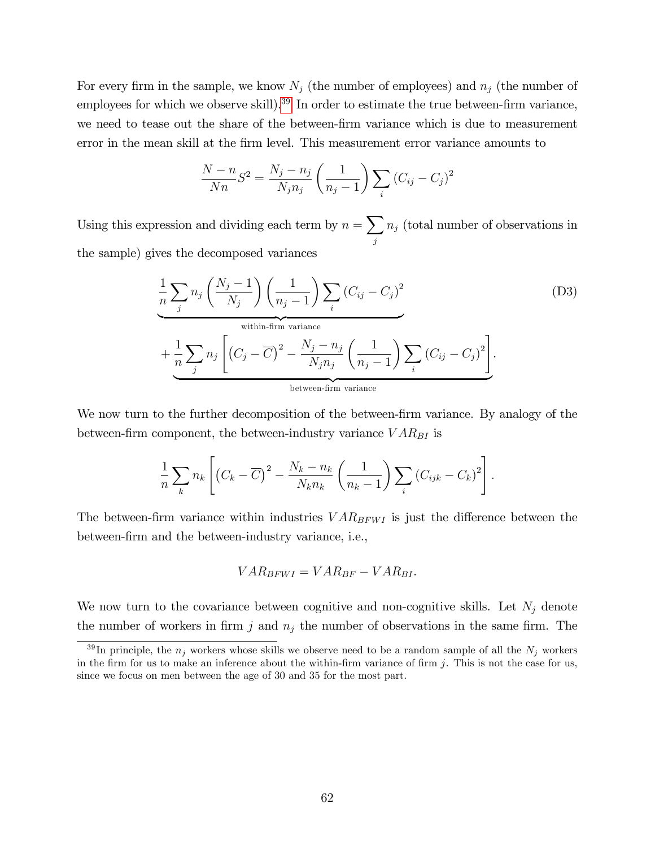For every firm in the sample, we know  $N_j$  (the number of employees) and  $n_j$  (the number of employees for which we observe skill).<sup>39</sup> In order to estimate the true between-firm variance, we need to tease out the share of the between-firm variance which is due to measurement error in the mean skill at the Örm level. This measurement error variance amounts to

$$
\frac{N-n}{Nn}S^{2} = \frac{N_{j}-n_{j}}{N_{j}n_{j}}\left(\frac{1}{n_{j}-1}\right)\sum_{i}\left(C_{ij}-C_{j}\right)^{2}
$$

Using this expression and dividing each term by  $n = \sum$ j  $n_j$  (total number of observations in the sample) gives the decomposed variances

$$
\frac{1}{n} \sum_{j} n_{j} \left(\frac{N_{j}-1}{N_{j}}\right) \left(\frac{1}{n_{j}-1}\right) \sum_{i} \left(C_{ij}-C_{j}\right)^{2}
$$
\n(D3)

\nwithin-firm variance

\n
$$
+ \frac{1}{n} \sum_{j} n_{j} \left[\left(C_{j}-\overline{C}\right)^{2} - \frac{N_{j}-n_{j}}{N_{j}n_{j}}\left(\frac{1}{n_{j}-1}\right) \sum_{i} \left(C_{ij}-C_{j}\right)^{2}\right].
$$
\nbetween-firm variance

We now turn to the further decomposition of the between-firm variance. By analogy of the between-firm component, the between-industry variance  $VAR_{BI}$  is

$$
\frac{1}{n}\sum_{k} n_k \left[ \left( C_k - \overline{C} \right)^2 - \frac{N_k - n_k}{N_k n_k} \left( \frac{1}{n_k - 1} \right) \sum_{i} \left( C_{ijk} - C_k \right)^2 \right].
$$

The between-firm variance within industries  $VAR_{BFWI}$  is just the difference between the between-Örm and the between-industry variance, i.e.,

$$
VAR_{BFWI} = VAR_{BF} - VAR_{BI}.
$$

We now turn to the covariance between cognitive and non-cognitive skills. Let  $N_j$  denote the number of workers in firm j and  $n_i$  the number of observations in the same firm. The

<sup>&</sup>lt;sup>39</sup>In principle, the  $n_j$  workers whose skills we observe need to be a random sample of all the  $N_j$  workers in the firm for us to make an inference about the within-firm variance of firm  $j$ . This is not the case for us, since we focus on men between the age of 30 and 35 for the most part.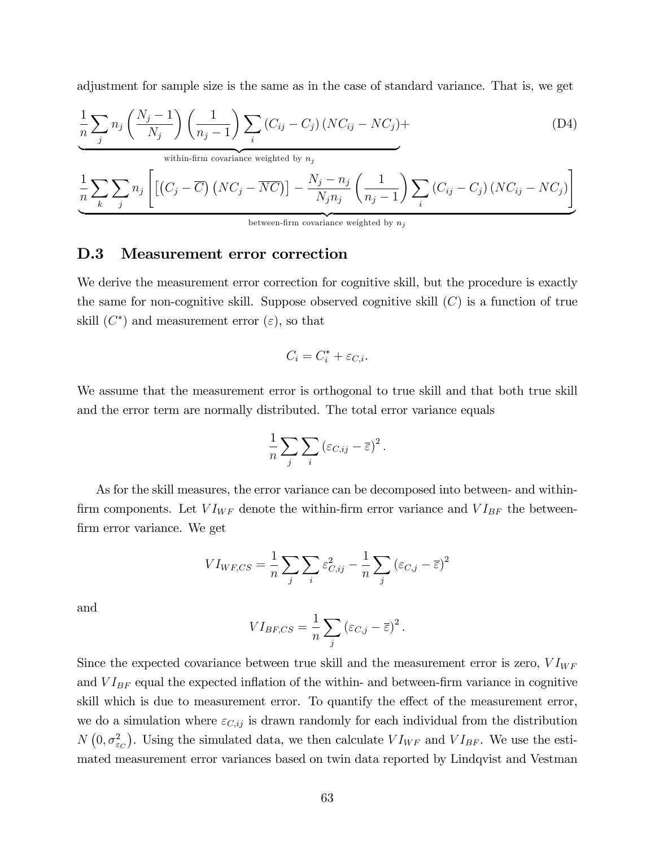adjustment for sample size is the same as in the case of standard variance. That is, we get

$$
\frac{1}{n}\sum_{j} n_j \left(\frac{N_j - 1}{N_j}\right) \left(\frac{1}{n_j - 1}\right) \sum_{i} \left(C_{ij} - C_j\right) \left(NC_{ij} - NC_j\right) + \tag{D4}
$$

within-firm covariance weighted by  $n_j$ 

$$
\frac{1}{n} \sum_{k} \sum_{j} n_{j} \left[ \left[ \left( C_{j} - \overline{C} \right) \left( NC_{j} - \overline{NC} \right) \right] - \frac{N_{j} - n_{j}}{N_{j} n_{j}} \left( \frac{1}{n_{j} - 1} \right) \sum_{i} \left( C_{ij} - C_{j} \right) \left( NC_{ij} - NC_{j} \right) \right]
$$
\nbetween-firm covariance weighted by  $n_{j}$ 

### D.3 Measurement error correction

We derive the measurement error correction for cognitive skill, but the procedure is exactly the same for non-cognitive skill. Suppose observed cognitive skill  $(C)$  is a function of true skill  $(C^*)$  and measurement error  $(\varepsilon)$ , so that

$$
C_i = C_i^* + \varepsilon_{C,i}.
$$

We assume that the measurement error is orthogonal to true skill and that both true skill and the error term are normally distributed. The total error variance equals

$$
\frac{1}{n}\sum_{j}\sum_{i}(\varepsilon_{C,ij}-\overline{\varepsilon})^{2}.
$$

As for the skill measures, the error variance can be decomposed into between- and withinfirm components. Let  $VI_{WF}$  denote the within-firm error variance and  $VI_{BF}$  the betweenfirm error variance. We get

$$
VI_{WF, CS} = \frac{1}{n} \sum_{j} \sum_{i} \varepsilon_{C, ij}^{2} - \frac{1}{n} \sum_{j} (\varepsilon_{C, j} - \overline{\varepsilon})^{2}
$$

and

$$
VI_{BF,CS} = \frac{1}{n} \sum_{j} (\varepsilon_{C,j} - \overline{\varepsilon})^2.
$$

Since the expected covariance between true skill and the measurement error is zero,  $VI_{WF}$ and  $VI_{BF}$  equal the expected inflation of the within- and between-firm variance in cognitive skill which is due to measurement error. To quantify the effect of the measurement error, we do a simulation where  $\varepsilon_{C,ij}$  is drawn randomly for each individual from the distribution  $N(0, \sigma_{\varepsilon_C}^2)$ . Using the simulated data, we then calculate  $VI_{WF}$  and  $VI_{BF}$ . We use the estimated measurement error variances based on twin data reported by Lindqvist and Vestman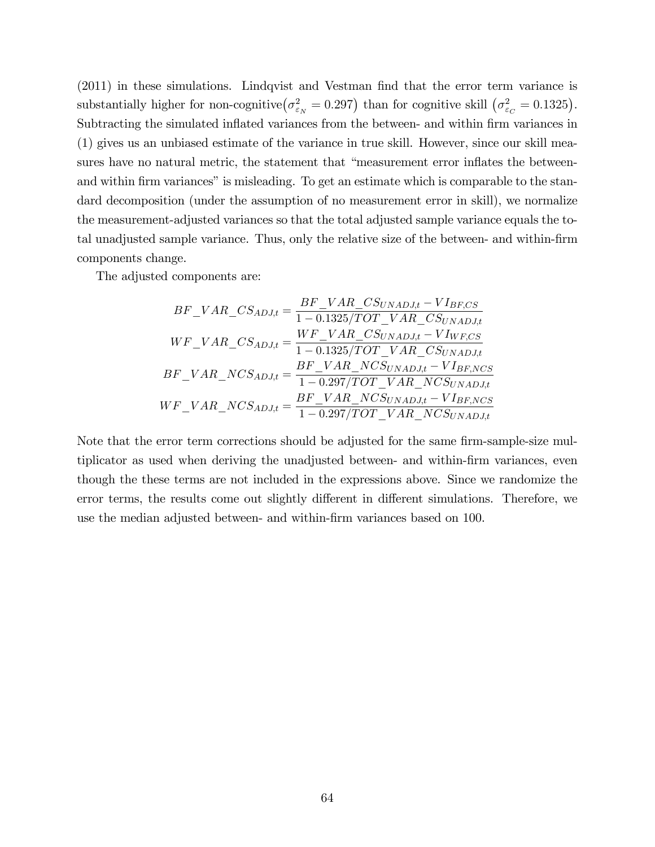$(2011)$  in these simulations. Lindqvist and Vestman find that the error term variance is substantially higher for non-cognitive  $(\sigma_{\varepsilon_N}^2 = 0.297)$  than for cognitive skill  $(\sigma_{\varepsilon_C}^2 = 0.1325)$ . Subtracting the simulated inflated variances from the between- and within firm variances in (1) gives us an unbiased estimate of the variance in true skill. However, since our skill measures have no natural metric, the statement that "measurement error inflates the betweenand within firm variances" is misleading. To get an estimate which is comparable to the standard decomposition (under the assumption of no measurement error in skill), we normalize the measurement-adjusted variances so that the total adjusted sample variance equals the total unadjusted sample variance. Thus, only the relative size of the between- and within-firm components change.

The adjusted components are:

$$
BF\_VAR\_CS_{ADJ,t} = \frac{BF\_VAR\_CS_{UNADJ,t} - VI_{BF,CS}}{1 - 0.1325/TOT\_VAR\_CS_{UNADJ,t}}
$$

$$
WF\_VAR\_CS_{ADJ,t} = \frac{WF\_VAR\_CS_{UNADJ,t} - VI_{WF,CS}}{1 - 0.1325/TOT\_VAR\_CS_{UNADJ,t}}
$$

$$
BF\_VAR\_NCS_{ADJ,t} = \frac{BF\_VAR\_NCS_{UNADJ,t} - VI_{BF,NCS}}{1 - 0.297/TOT\_VAR\_NCS_{UNADJ,t}}
$$

$$
WF\_VAR\_NCS_{ADJ,t} = \frac{BF\_VAR\_NCS_{UNADJ,t} - VI_{BF,NCS}}{1 - 0.297/TOT\_VAR\_NCS_{UNADJ,t}}
$$

Note that the error term corrections should be adjusted for the same firm-sample-size multiplicator as used when deriving the unadjusted between- and within-firm variances, even though the these terms are not included in the expressions above. Since we randomize the error terms, the results come out slightly different in different simulations. Therefore, we use the median adjusted between- and within-Örm variances based on 100.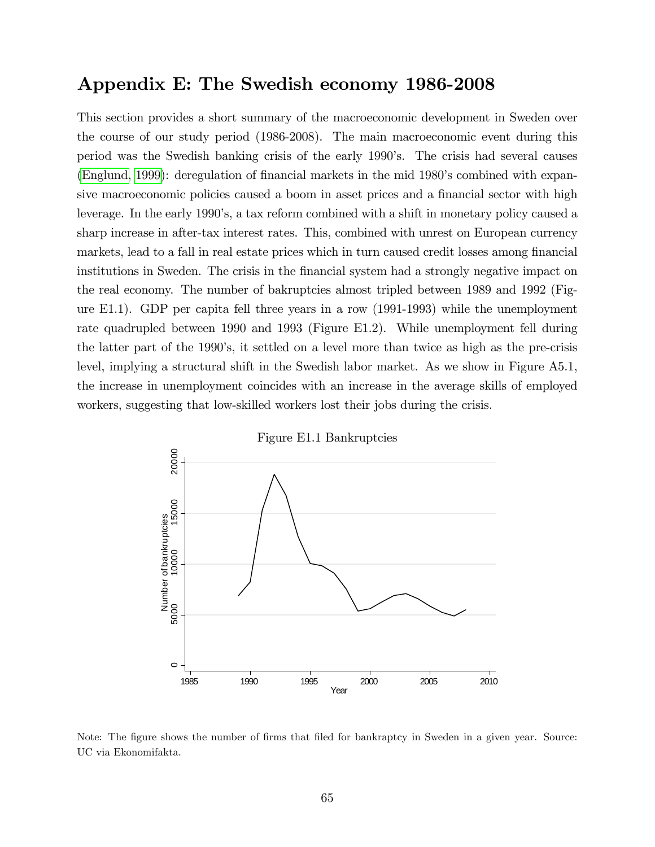# Appendix E: The Swedish economy 1986-2008

This section provides a short summary of the macroeconomic development in Sweden over the course of our study period (1986-2008). The main macroeconomic event during this period was the Swedish banking crisis of the early 1990ís. The crisis had several causes [\(Englund, 1999\)](#page-34-0): deregulation of financial markets in the mid 1980's combined with expansive macroeconomic policies caused a boom in asset prices and a financial sector with high leverage. In the early 1990's, a tax reform combined with a shift in monetary policy caused a sharp increase in after-tax interest rates. This, combined with unrest on European currency markets, lead to a fall in real estate prices which in turn caused credit losses among financial institutions in Sweden. The crisis in the financial system had a strongly negative impact on the real economy. The number of bakruptcies almost tripled between 1989 and 1992 (Figure E1.1). GDP per capita fell three years in a row (1991-1993) while the unemployment rate quadrupled between 1990 and 1993 (Figure E1.2). While unemployment fell during the latter part of the 1990ís, it settled on a level more than twice as high as the pre-crisis level, implying a structural shift in the Swedish labor market. As we show in Figure A5.1, the increase in unemployment coincides with an increase in the average skills of employed workers, suggesting that low-skilled workers lost their jobs during the crisis.



Figure E1.1 Bankruptcies

Note: The figure shows the number of firms that filed for bankraptcy in Sweden in a given year. Source: UC via Ekonomifakta.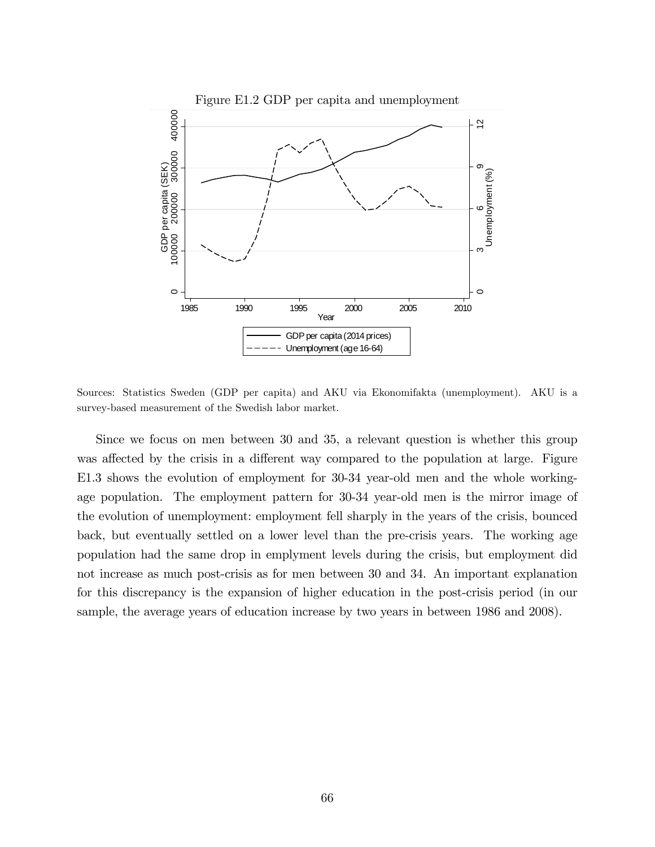

Sources: Statistics Sweden (GDP per capita) and AKU via Ekonomifakta (unemployment). AKU is a survey-based measurement of the Swedish labor market.

Since we focus on men between 30 and 35, a relevant question is whether this group was affected by the crisis in a different way compared to the population at large. Figure E1.3 shows the evolution of employment for 30-34 year-old men and the whole workingage population. The employment pattern for 30-34 year-old men is the mirror image of the evolution of unemployment: employment fell sharply in the years of the crisis, bounced back, but eventually settled on a lower level than the pre-crisis years. The working age population had the same drop in emplyment levels during the crisis, but employment did not increase as much post-crisis as for men between 30 and 34. An important explanation for this discrepancy is the expansion of higher education in the post-crisis period (in our sample, the average years of education increase by two years in between 1986 and 2008).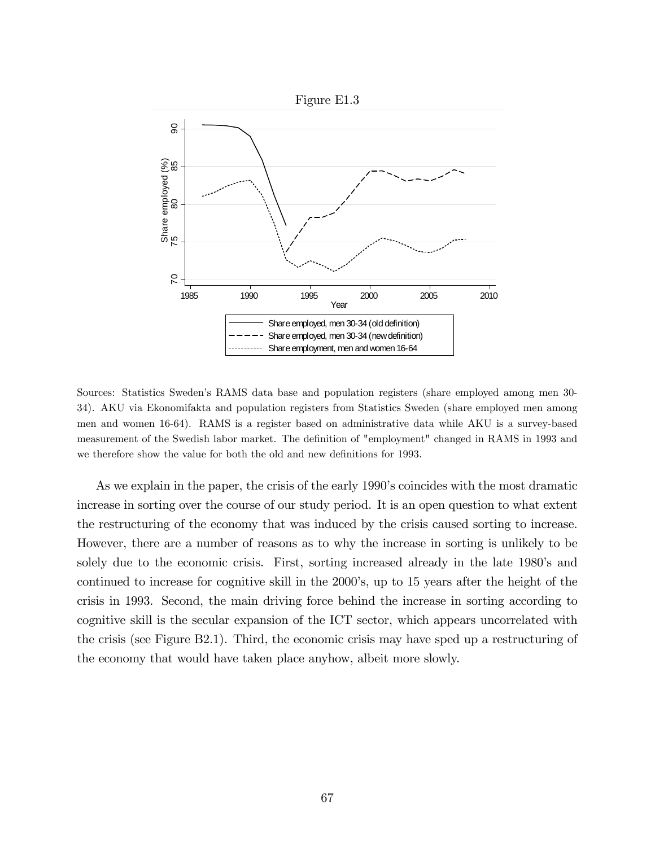

Sources: Statistics Swedenís RAMS data base and population registers (share employed among men 30- 34). AKU via Ekonomifakta and population registers from Statistics Sweden (share employed men among men and women 16-64). RAMS is a register based on administrative data while AKU is a survey-based measurement of the Swedish labor market. The definition of "employment" changed in RAMS in 1993 and we therefore show the value for both the old and new definitions for 1993.

As we explain in the paper, the crisis of the early 1990's coincides with the most dramatic increase in sorting over the course of our study period. It is an open question to what extent the restructuring of the economy that was induced by the crisis caused sorting to increase. However, there are a number of reasons as to why the increase in sorting is unlikely to be solely due to the economic crisis. First, sorting increased already in the late 1980's and continued to increase for cognitive skill in the 2000ís, up to 15 years after the height of the crisis in 1993. Second, the main driving force behind the increase in sorting according to cognitive skill is the secular expansion of the ICT sector, which appears uncorrelated with the crisis (see Figure B2.1). Third, the economic crisis may have sped up a restructuring of the economy that would have taken place anyhow, albeit more slowly.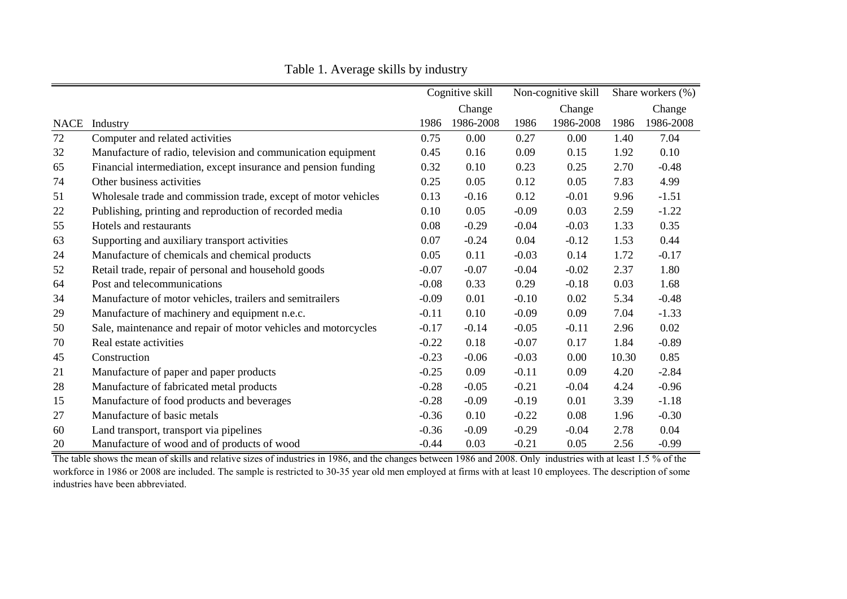|             |                                                                |         | Cognitive skill |         | Non-cognitive skill |       | Share workers $(\% )$ |  |
|-------------|----------------------------------------------------------------|---------|-----------------|---------|---------------------|-------|-----------------------|--|
|             |                                                                |         | Change          |         | Change              |       | Change                |  |
| <b>NACE</b> | Industry                                                       | 1986    | 1986-2008       | 1986    | 1986-2008           | 1986  | 1986-2008             |  |
| 72          | Computer and related activities                                | 0.75    | 0.00            | 0.27    | 0.00                | 1.40  | 7.04                  |  |
| 32          | Manufacture of radio, television and communication equipment   | 0.45    | 0.16            | 0.09    | 0.15                | 1.92  | 0.10                  |  |
| 65          | Financial intermediation, except insurance and pension funding | 0.32    | 0.10            | 0.23    | 0.25                | 2.70  | $-0.48$               |  |
| 74          | Other business activities                                      | 0.25    | 0.05            | 0.12    | 0.05                | 7.83  | 4.99                  |  |
| 51          | Wholesale trade and commission trade, except of motor vehicles | 0.13    | $-0.16$         | 0.12    | $-0.01$             | 9.96  | $-1.51$               |  |
| 22          | Publishing, printing and reproduction of recorded media        | 0.10    | 0.05            | $-0.09$ | 0.03                | 2.59  | $-1.22$               |  |
| 55          | Hotels and restaurants                                         | 0.08    | $-0.29$         | $-0.04$ | $-0.03$             | 1.33  | 0.35                  |  |
| 63          | Supporting and auxiliary transport activities                  | 0.07    | $-0.24$         | 0.04    | $-0.12$             | 1.53  | 0.44                  |  |
| 24          | Manufacture of chemicals and chemical products                 | 0.05    | 0.11            | $-0.03$ | 0.14                | 1.72  | $-0.17$               |  |
| 52          | Retail trade, repair of personal and household goods           | $-0.07$ | $-0.07$         | $-0.04$ | $-0.02$             | 2.37  | 1.80                  |  |
| 64          | Post and telecommunications                                    | $-0.08$ | 0.33            | 0.29    | $-0.18$             | 0.03  | 1.68                  |  |
| 34          | Manufacture of motor vehicles, trailers and semitrailers       | $-0.09$ | 0.01            | $-0.10$ | 0.02                | 5.34  | $-0.48$               |  |
| 29          | Manufacture of machinery and equipment n.e.c.                  | $-0.11$ | 0.10            | $-0.09$ | 0.09                | 7.04  | $-1.33$               |  |
| 50          | Sale, maintenance and repair of motor vehicles and motorcycles | $-0.17$ | $-0.14$         | $-0.05$ | $-0.11$             | 2.96  | $0.02\,$              |  |
| 70          | Real estate activities                                         | $-0.22$ | 0.18            | $-0.07$ | 0.17                | 1.84  | $-0.89$               |  |
| 45          | Construction                                                   | $-0.23$ | $-0.06$         | $-0.03$ | 0.00                | 10.30 | 0.85                  |  |
| 21          | Manufacture of paper and paper products                        | $-0.25$ | 0.09            | $-0.11$ | 0.09                | 4.20  | $-2.84$               |  |
| 28          | Manufacture of fabricated metal products                       | $-0.28$ | $-0.05$         | $-0.21$ | $-0.04$             | 4.24  | $-0.96$               |  |
| 15          | Manufacture of food products and beverages                     | $-0.28$ | $-0.09$         | $-0.19$ | 0.01                | 3.39  | $-1.18$               |  |
| 27          | Manufacture of basic metals                                    | $-0.36$ | 0.10            | $-0.22$ | 0.08                | 1.96  | $-0.30$               |  |
| 60          | Land transport, transport via pipelines                        | $-0.36$ | $-0.09$         | $-0.29$ | $-0.04$             | 2.78  | 0.04                  |  |
| 20          | Manufacture of wood and of products of wood                    | $-0.44$ | 0.03            | $-0.21$ | 0.05                | 2.56  | $-0.99$               |  |

Table 1. Average skills by industry

The table shows the mean of skills and relative sizes of industries in 1986, and the changes between 1986 and 2008. Only industries with at least 1.5 % of the workforce in 1986 or 2008 are included. The sample is restricted to 30-35 year old men employed at firms with at least 10 employees. The description of some industries have been abbreviated.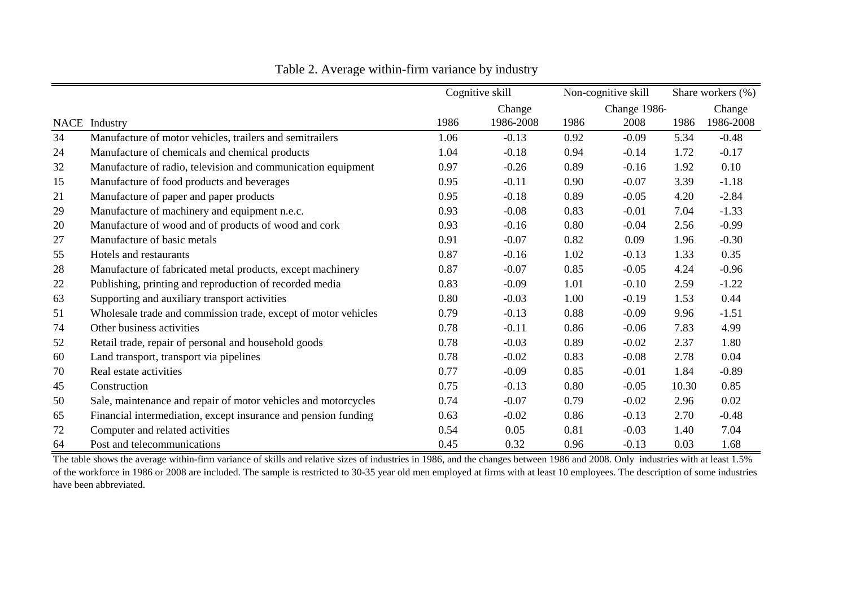|    |                                                                |      | Cognitive skill |      | Non-cognitive skill |       | Share workers (%) |  |
|----|----------------------------------------------------------------|------|-----------------|------|---------------------|-------|-------------------|--|
|    |                                                                |      | Change          |      | Change 1986-        |       | Change            |  |
|    | NACE Industry                                                  | 1986 | 1986-2008       | 1986 | 2008                | 1986  | 1986-2008         |  |
| 34 | Manufacture of motor vehicles, trailers and semitrailers       | 1.06 | $-0.13$         | 0.92 | $-0.09$             | 5.34  | $-0.48$           |  |
| 24 | Manufacture of chemicals and chemical products                 | 1.04 | $-0.18$         | 0.94 | $-0.14$             | 1.72  | $-0.17$           |  |
| 32 | Manufacture of radio, television and communication equipment   | 0.97 | $-0.26$         | 0.89 | $-0.16$             | 1.92  | 0.10              |  |
| 15 | Manufacture of food products and beverages                     | 0.95 | $-0.11$         | 0.90 | $-0.07$             | 3.39  | $-1.18$           |  |
| 21 | Manufacture of paper and paper products                        | 0.95 | $-0.18$         | 0.89 | $-0.05$             | 4.20  | $-2.84$           |  |
| 29 | Manufacture of machinery and equipment n.e.c.                  | 0.93 | $-0.08$         | 0.83 | $-0.01$             | 7.04  | $-1.33$           |  |
| 20 | Manufacture of wood and of products of wood and cork           | 0.93 | $-0.16$         | 0.80 | $-0.04$             | 2.56  | $-0.99$           |  |
| 27 | Manufacture of basic metals                                    | 0.91 | $-0.07$         | 0.82 | 0.09                | 1.96  | $-0.30$           |  |
| 55 | Hotels and restaurants                                         | 0.87 | $-0.16$         | 1.02 | $-0.13$             | 1.33  | 0.35              |  |
| 28 | Manufacture of fabricated metal products, except machinery     | 0.87 | $-0.07$         | 0.85 | $-0.05$             | 4.24  | $-0.96$           |  |
| 22 | Publishing, printing and reproduction of recorded media        | 0.83 | $-0.09$         | 1.01 | $-0.10$             | 2.59  | $-1.22$           |  |
| 63 | Supporting and auxiliary transport activities                  | 0.80 | $-0.03$         | 1.00 | $-0.19$             | 1.53  | 0.44              |  |
| 51 | Wholesale trade and commission trade, except of motor vehicles | 0.79 | $-0.13$         | 0.88 | $-0.09$             | 9.96  | $-1.51$           |  |
| 74 | Other business activities                                      | 0.78 | $-0.11$         | 0.86 | $-0.06$             | 7.83  | 4.99              |  |
| 52 | Retail trade, repair of personal and household goods           | 0.78 | $-0.03$         | 0.89 | $-0.02$             | 2.37  | 1.80              |  |
| 60 | Land transport, transport via pipelines                        | 0.78 | $-0.02$         | 0.83 | $-0.08$             | 2.78  | 0.04              |  |
| 70 | Real estate activities                                         | 0.77 | $-0.09$         | 0.85 | $-0.01$             | 1.84  | $-0.89$           |  |
| 45 | Construction                                                   | 0.75 | $-0.13$         | 0.80 | $-0.05$             | 10.30 | 0.85              |  |
| 50 | Sale, maintenance and repair of motor vehicles and motorcycles | 0.74 | $-0.07$         | 0.79 | $-0.02$             | 2.96  | 0.02              |  |
| 65 | Financial intermediation, except insurance and pension funding | 0.63 | $-0.02$         | 0.86 | $-0.13$             | 2.70  | $-0.48$           |  |
| 72 | Computer and related activities                                | 0.54 | 0.05            | 0.81 | $-0.03$             | 1.40  | 7.04              |  |
| 64 | Post and telecommunications                                    | 0.45 | 0.32            | 0.96 | $-0.13$             | 0.03  | 1.68              |  |

Table 2. Average within-firm variance by industry

The table shows the average within-firm variance of skills and relative sizes of industries in 1986, and the changes between 1986 and 2008. Only industries with at least 1.5% of the workforce in 1986 or 2008 are included. The sample is restricted to 30-35 year old men employed at firms with at least 10 employees. The description of some industries have been abbreviated.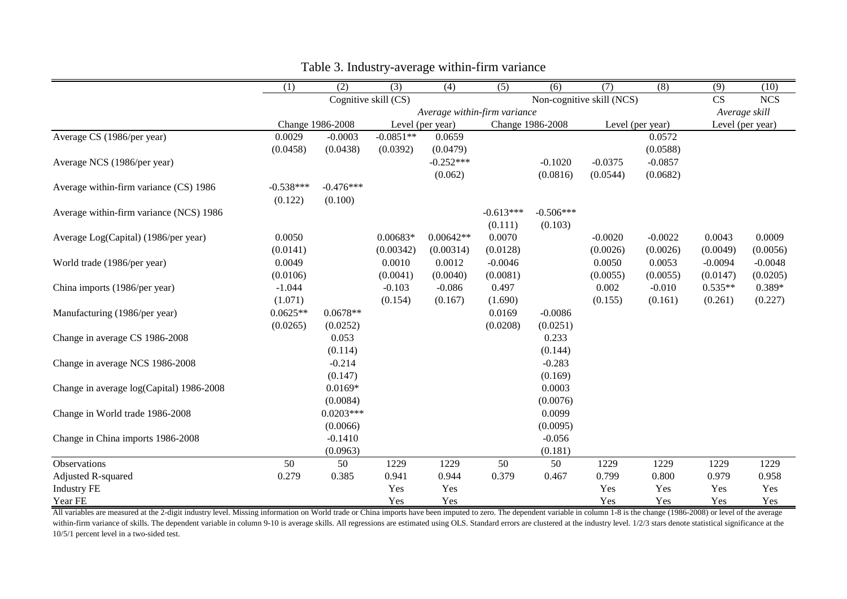|                                          | $\overline{(1)}$ | (2)                                               | (3)              | (4)         | $\overline{(5)}$ | (6)         | (7)              | (8)       | $\overline{(9)}$ | (10)      |
|------------------------------------------|------------------|---------------------------------------------------|------------------|-------------|------------------|-------------|------------------|-----------|------------------|-----------|
|                                          |                  | Cognitive skill (CS)<br>Non-cognitive skill (NCS) |                  |             |                  | CS          | <b>NCS</b>       |           |                  |           |
|                                          |                  | Average within-firm variance                      |                  |             |                  |             | Average skill    |           |                  |           |
|                                          |                  | Change 1986-2008                                  | Level (per year) |             | Change 1986-2008 |             | Level (per year) |           | Level (per year) |           |
| Average CS (1986/per year)               | 0.0029           | $-0.0003$                                         | $-0.0851**$      | 0.0659      |                  |             |                  | 0.0572    |                  |           |
|                                          | (0.0458)         | (0.0438)                                          | (0.0392)         | (0.0479)    |                  |             |                  | (0.0588)  |                  |           |
| Average NCS (1986/per year)              |                  |                                                   |                  | $-0.252***$ |                  | $-0.1020$   | $-0.0375$        | $-0.0857$ |                  |           |
|                                          |                  |                                                   |                  | (0.062)     |                  | (0.0816)    | (0.0544)         | (0.0682)  |                  |           |
| Average within-firm variance (CS) 1986   | $-0.538***$      | $-0.476***$                                       |                  |             |                  |             |                  |           |                  |           |
|                                          | (0.122)          | (0.100)                                           |                  |             |                  |             |                  |           |                  |           |
| Average within-firm variance (NCS) 1986  |                  |                                                   |                  |             | $-0.613***$      | $-0.506***$ |                  |           |                  |           |
|                                          |                  |                                                   |                  |             | (0.111)          | (0.103)     |                  |           |                  |           |
| Average Log(Capital) (1986/per year)     | 0.0050           |                                                   | $0.00683*$       | $0.00642**$ | 0.0070           |             | $-0.0020$        | $-0.0022$ | 0.0043           | 0.0009    |
|                                          | (0.0141)         |                                                   | (0.00342)        | (0.00314)   | (0.0128)         |             | (0.0026)         | (0.0026)  | (0.0049)         | (0.0056)  |
| World trade (1986/per year)              | 0.0049           |                                                   | 0.0010           | 0.0012      | $-0.0046$        |             | 0.0050           | 0.0053    | $-0.0094$        | $-0.0048$ |
|                                          | (0.0106)         |                                                   | (0.0041)         | (0.0040)    | (0.0081)         |             | (0.0055)         | (0.0055)  | (0.0147)         | (0.0205)  |
| China imports (1986/per year)            | $-1.044$         |                                                   | $-0.103$         | $-0.086$    | 0.497            |             | 0.002            | $-0.010$  | $0.535**$        | $0.389*$  |
|                                          | (1.071)          |                                                   | (0.154)          | (0.167)     | (1.690)          |             | (0.155)          | (0.161)   | (0.261)          | (0.227)   |
| Manufacturing (1986/per year)            | $0.0625**$       | $0.0678**$                                        |                  |             | 0.0169           | $-0.0086$   |                  |           |                  |           |
|                                          | (0.0265)         | (0.0252)                                          |                  |             | (0.0208)         | (0.0251)    |                  |           |                  |           |
| Change in average CS 1986-2008           |                  | 0.053                                             |                  |             |                  | 0.233       |                  |           |                  |           |
|                                          |                  | (0.114)                                           |                  |             |                  | (0.144)     |                  |           |                  |           |
| Change in average NCS 1986-2008          |                  | $-0.214$                                          |                  |             |                  | $-0.283$    |                  |           |                  |           |
|                                          |                  | (0.147)                                           |                  |             |                  | (0.169)     |                  |           |                  |           |
| Change in average log(Capital) 1986-2008 |                  | $0.0169*$                                         |                  |             |                  | 0.0003      |                  |           |                  |           |
|                                          |                  | (0.0084)                                          |                  |             |                  | (0.0076)    |                  |           |                  |           |
| Change in World trade 1986-2008          |                  | $0.0203***$                                       |                  |             |                  | 0.0099      |                  |           |                  |           |
|                                          |                  | (0.0066)                                          |                  |             |                  | (0.0095)    |                  |           |                  |           |
| Change in China imports 1986-2008        |                  | $-0.1410$                                         |                  |             |                  | $-0.056$    |                  |           |                  |           |
|                                          |                  | (0.0963)                                          |                  |             |                  | (0.181)     |                  |           |                  |           |
| Observations                             | 50               | 50                                                | 1229             | 1229        | 50               | 50          | 1229             | 1229      | 1229             | 1229      |
| Adjusted R-squared                       | 0.279            | 0.385                                             | 0.941            | 0.944       | 0.379            | 0.467       | 0.799            | 0.800     | 0.979            | 0.958     |
| <b>Industry FE</b>                       |                  |                                                   | Yes              | Yes         |                  |             | Yes              | Yes       | Yes              | Yes       |
| Year FE                                  |                  |                                                   | Yes              | Yes         |                  |             | Yes              | Yes       | Yes              | Yes       |

Table 3. Industry-average within-firm variance

All variables are measured at the 2-digit industry level. Missing information on World trade or China imports have been imputed to zero. The dependent variable in column 1-8 is the change (1986-2008) or level of the averag within-firm variance of skills. The dependent variable in column 9-10 is average skills. All regressions are estimated using OLS. Standard errors are clustered at the industry level. 1/2/3 stars denote statistical signific 10/5/1 percent level in a two-sided test.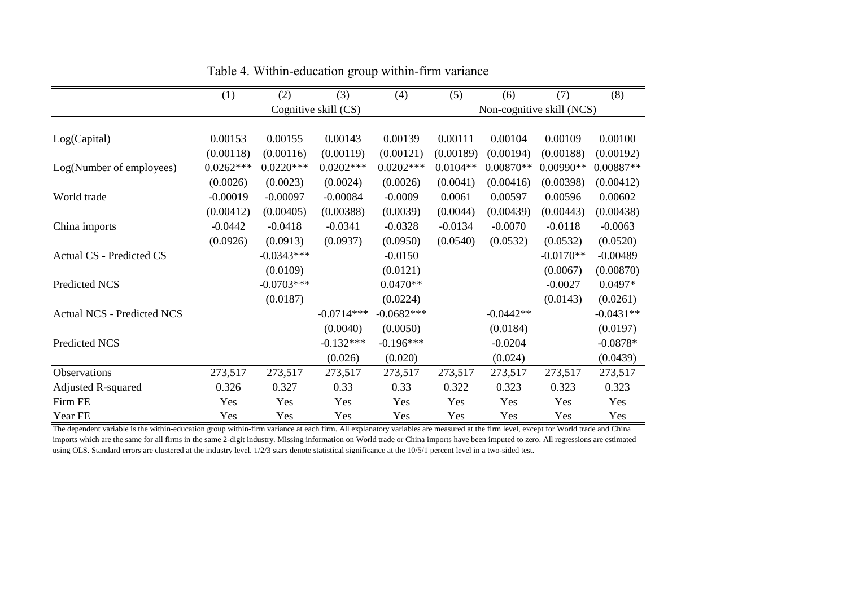|                                   | (1)         | (2)          | (3)                  | (4)          | (5)        | (6)         | (7)                       | $\overline{(8)}$ |
|-----------------------------------|-------------|--------------|----------------------|--------------|------------|-------------|---------------------------|------------------|
|                                   |             |              | Cognitive skill (CS) |              |            |             | Non-cognitive skill (NCS) |                  |
|                                   |             |              |                      |              |            |             |                           |                  |
| Log(Capital)                      | 0.00153     | 0.00155      | 0.00143              | 0.00139      | 0.00111    | 0.00104     | 0.00109                   | 0.00100          |
|                                   | (0.00118)   | (0.00116)    | (0.00119)            | (0.00121)    | (0.00189)  | (0.00194)   | (0.00188)                 | (0.00192)        |
| Log(Number of employees)          | $0.0262***$ | $0.0220***$  | $0.0202***$          | $0.0202***$  | $0.0104**$ | $0.00870**$ | $0.00990**$               | 0.00887**        |
|                                   | (0.0026)    | (0.0023)     | (0.0024)             | (0.0026)     | (0.0041)   | (0.00416)   | (0.00398)                 | (0.00412)        |
| World trade                       | $-0.00019$  | $-0.00097$   | $-0.00084$           | $-0.0009$    | 0.0061     | 0.00597     | 0.00596                   | 0.00602          |
|                                   | (0.00412)   | (0.00405)    | (0.00388)            | (0.0039)     | (0.0044)   | (0.00439)   | (0.00443)                 | (0.00438)        |
| China imports                     | $-0.0442$   | $-0.0418$    | $-0.0341$            | $-0.0328$    | $-0.0134$  | $-0.0070$   | $-0.0118$                 | $-0.0063$        |
|                                   | (0.0926)    | (0.0913)     | (0.0937)             | (0.0950)     | (0.0540)   | (0.0532)    | (0.0532)                  | (0.0520)         |
| <b>Actual CS - Predicted CS</b>   |             | $-0.0343***$ |                      | $-0.0150$    |            |             | $-0.0170**$               | $-0.00489$       |
|                                   |             | (0.0109)     |                      | (0.0121)     |            |             | (0.0067)                  | (0.00870)        |
| Predicted NCS                     |             | $-0.0703***$ |                      | $0.0470**$   |            |             | $-0.0027$                 | $0.0497*$        |
|                                   |             | (0.0187)     |                      | (0.0224)     |            |             | (0.0143)                  | (0.0261)         |
| <b>Actual NCS - Predicted NCS</b> |             |              | $-0.0714***$         | $-0.0682***$ |            | $-0.0442**$ |                           | $-0.0431**$      |
|                                   |             |              | (0.0040)             | (0.0050)     |            | (0.0184)    |                           | (0.0197)         |
| Predicted NCS                     |             |              | $-0.132***$          | $-0.196***$  |            | $-0.0204$   |                           | $-0.0878*$       |
|                                   |             |              | (0.026)              | (0.020)      |            | (0.024)     |                           | (0.0439)         |
| Observations                      | 273,517     | 273,517      | 273,517              | 273,517      | 273,517    | 273,517     | 273,517                   | 273,517          |
| <b>Adjusted R-squared</b>         | 0.326       | 0.327        | 0.33                 | 0.33         | 0.322      | 0.323       | 0.323                     | 0.323            |
| Firm FE                           | Yes         | Yes          | Yes                  | Yes          | Yes        | Yes         | Yes                       | Yes              |
| Year FE                           | Yes         | Yes          | Yes                  | Yes          | Yes        | Yes         | Yes                       | Yes              |

Table 4. Within-education group within-firm variance

The dependent variable is the within-education group within-firm variance at each firm. All explanatory variables are measured at the firm level, except for World trade and China imports which are the same for all firms in the same 2-digit industry. Missing information on World trade or China imports have been imputed to zero. All regressions are estimated using OLS. Standard errors are clustered at the industry level. 1/2/3 stars denote statistical significance at the 10/5/1 percent level in a two-sided test.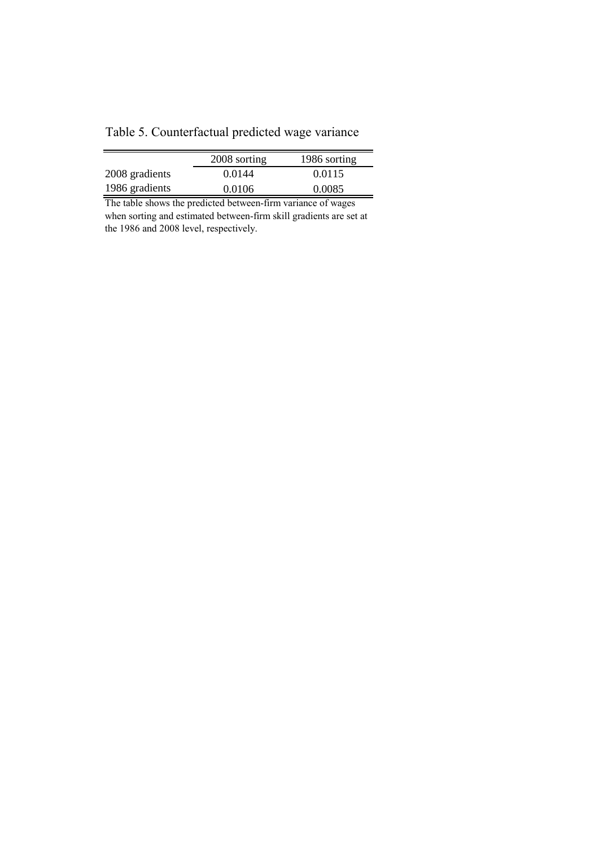| Table 5. Counterfactual predicted wage variance |  |
|-------------------------------------------------|--|
|                                                 |  |
|                                                 |  |

|                | 2008 sorting | 1986 sorting |
|----------------|--------------|--------------|
| 2008 gradients | 0.0144       | 0.0115       |
| 1986 gradients | 0.0106       | 0.0085       |

The table shows the predicted between-firm variance of wages when sorting and estimated between-firm skill gradients are set at the 1986 and 2008 level, respectively.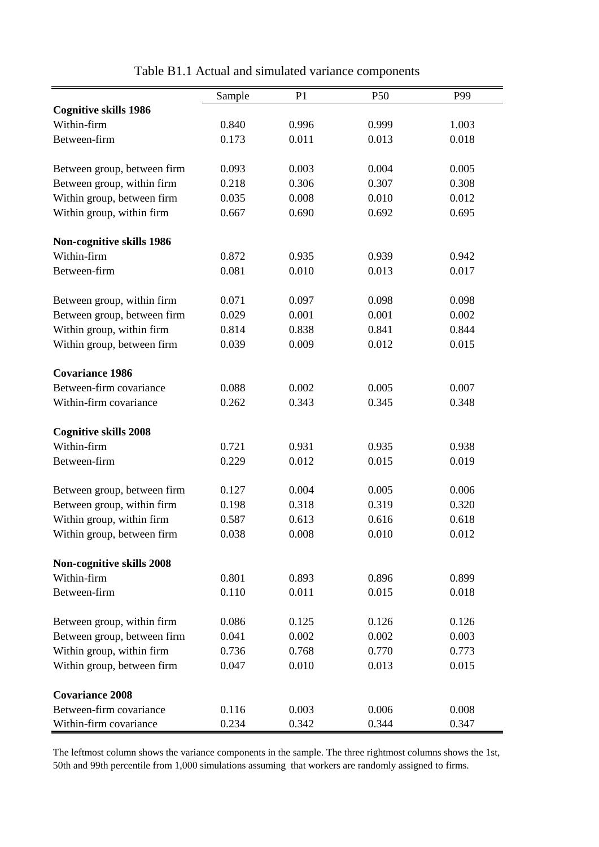|                                                   | Sample         | P <sub>1</sub> | P <sub>50</sub> | P99   |
|---------------------------------------------------|----------------|----------------|-----------------|-------|
| <b>Cognitive skills 1986</b>                      |                |                |                 |       |
| Within-firm                                       | 0.840          | 0.996          | 0.999           | 1.003 |
| Between-firm                                      | 0.173          | 0.011          | 0.013           | 0.018 |
|                                                   |                |                |                 |       |
| Between group, between firm                       | 0.093          | 0.003          | 0.004           | 0.005 |
| Between group, within firm                        | 0.218          | 0.306          | 0.307           | 0.308 |
| Within group, between firm                        | 0.035          | 0.008          | 0.010           | 0.012 |
| Within group, within firm                         | 0.667          | 0.690          | 0.692           | 0.695 |
| Non-cognitive skills 1986                         |                |                |                 |       |
| Within-firm                                       | 0.872          | 0.935          | 0.939           | 0.942 |
| Between-firm                                      | 0.081          | 0.010          | 0.013           | 0.017 |
| Between group, within firm                        | 0.071          | 0.097          | 0.098           | 0.098 |
| Between group, between firm                       | 0.029          | 0.001          | 0.001           | 0.002 |
| Within group, within firm                         | 0.814          | 0.838          | 0.841           | 0.844 |
| Within group, between firm                        | 0.039          | 0.009          | 0.012           | 0.015 |
| <b>Covariance 1986</b>                            |                |                |                 |       |
| Between-firm covariance                           | 0.088          | 0.002          | 0.005           | 0.007 |
| Within-firm covariance                            | 0.262          | 0.343          | 0.345           | 0.348 |
|                                                   |                |                |                 |       |
| <b>Cognitive skills 2008</b>                      |                |                |                 |       |
| Within-firm                                       | 0.721          | 0.931          | 0.935           | 0.938 |
| Between-firm                                      | 0.229          | 0.012          | 0.015           | 0.019 |
| Between group, between firm                       | 0.127          | 0.004          | 0.005           | 0.006 |
| Between group, within firm                        | 0.198          | 0.318          | 0.319           | 0.320 |
| Within group, within firm                         | 0.587          | 0.613          | 0.616           | 0.618 |
| Within group, between firm                        | 0.038          | 0.008          | 0.010           | 0.012 |
| Non-cognitive skills 2008                         |                |                |                 |       |
| Within-firm                                       | 0.801          | 0.893          | 0.896           | 0.899 |
| Between-firm                                      | 0.110          | 0.011          | 0.015           | 0.018 |
| Between group, within firm                        | 0.086          | 0.125          | 0.126           | 0.126 |
| Between group, between firm                       | 0.041          | 0.002          | 0.002           | 0.003 |
| Within group, within firm                         | 0.736          | 0.768          | 0.770           | 0.773 |
| Within group, between firm                        | 0.047          | 0.010          | 0.013           | 0.015 |
|                                                   |                |                |                 |       |
| <b>Covariance 2008</b><br>Between-firm covariance |                |                |                 |       |
|                                                   | 0.116<br>0.234 | 0.003          | 0.006           | 0.008 |
| Within-firm covariance                            |                | 0.342          | 0.344           | 0.347 |

Table B1.1 Actual and simulated variance components

The leftmost column shows the variance components in the sample. The three rightmost columns shows the 1st, 50th and 99th percentile from 1,000 simulations assuming that workers are randomly assigned to firms.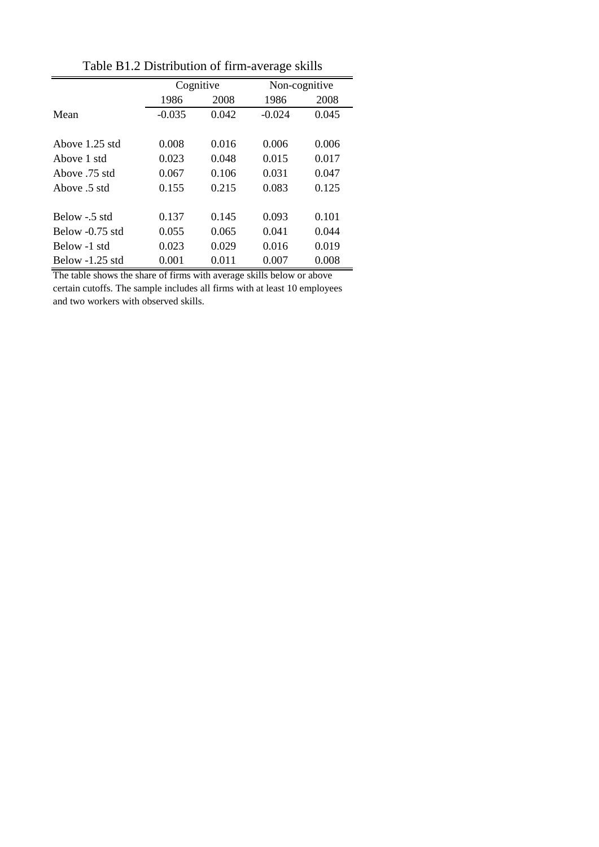|                   |          | Cognitive | Non-cognitive |       |
|-------------------|----------|-----------|---------------|-------|
|                   | 1986     | 2008      | 1986          | 2008  |
| Mean              | $-0.035$ | 0.042     | $-0.024$      | 0.045 |
|                   |          |           |               |       |
| Above 1.25 std    | 0.008    | 0.016     | 0.006         | 0.006 |
| Above 1 std       | 0.023    | 0.048     | 0.015         | 0.017 |
| Above 75 std      | 0.067    | 0.106     | 0.031         | 0.047 |
| Above .5 std      | 0.155    | 0.215     | 0.083         | 0.125 |
|                   |          |           |               |       |
| Below - 5 std     | 0.137    | 0.145     | 0.093         | 0.101 |
| Below $-0.75$ std | 0.055    | 0.065     | 0.041         | 0.044 |
| Below -1 std      | 0.023    | 0.029     | 0.016         | 0.019 |
| Below $-1.25$ std | 0.001    | 0.011     | 0.007         | 0.008 |
|                   |          |           |               |       |

Table B1.2 Distribution of firm-average skills

The table shows the share of firms with average skills below or above certain cutoffs. The sample includes all firms with at least 10 employees and two workers with observed skills.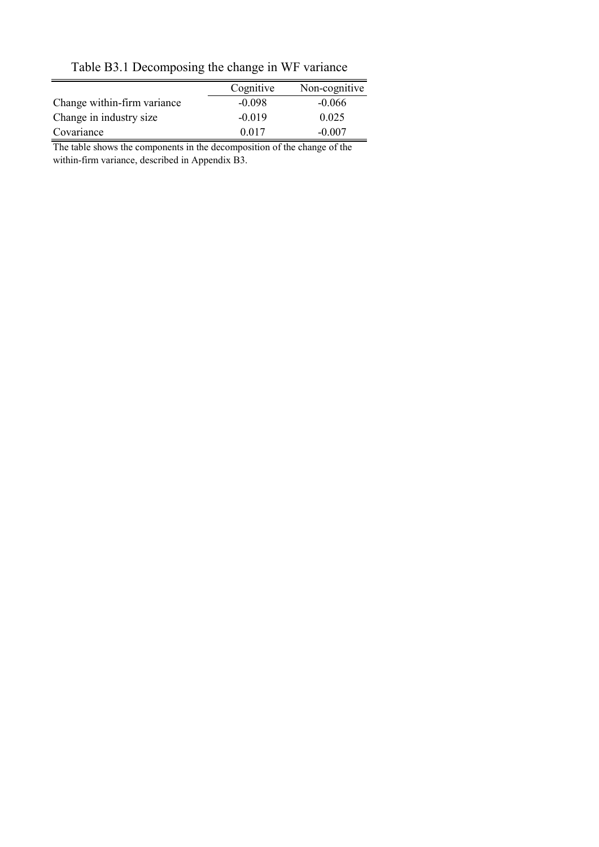|                             | Cognitive | Non-cognitive |
|-----------------------------|-----------|---------------|
| Change within-firm variance | $-0.098$  | $-0.066$      |
| Change in industry size     | $-0.019$  | 0.025         |
| Covariance                  | 0.017     | $-0.007$      |

Table B3.1 Decomposing the change in WF variance

The table shows the components in the decomposition of the change of the within-firm variance, described in Appendix B3.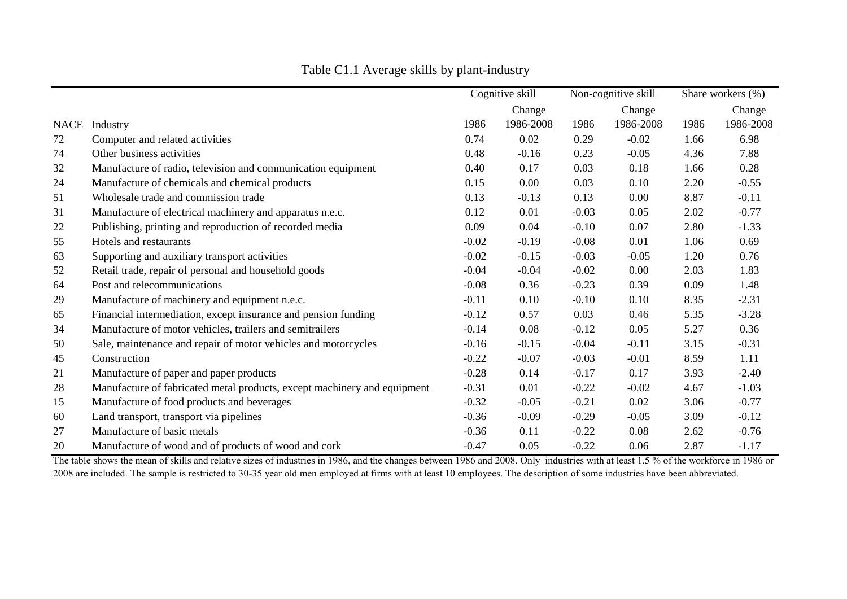|    |                                                                          |         | Cognitive skill |         | Non-cognitive skill |      | Share workers (%) |
|----|--------------------------------------------------------------------------|---------|-----------------|---------|---------------------|------|-------------------|
|    |                                                                          |         | Change          |         | Change              |      | Change            |
|    | NACE Industry                                                            | 1986    | 1986-2008       | 1986    | 1986-2008           | 1986 | 1986-2008         |
| 72 | Computer and related activities                                          | 0.74    | 0.02            | 0.29    | $-0.02$             | 1.66 | 6.98              |
| 74 | Other business activities                                                | 0.48    | $-0.16$         | 0.23    | $-0.05$             | 4.36 | 7.88              |
| 32 | Manufacture of radio, television and communication equipment             | 0.40    | 0.17            | 0.03    | 0.18                | 1.66 | 0.28              |
| 24 | Manufacture of chemicals and chemical products                           | 0.15    | $0.00\,$        | 0.03    | 0.10                | 2.20 | $-0.55$           |
| 51 | Wholesale trade and commission trade                                     | 0.13    | $-0.13$         | 0.13    | 0.00                | 8.87 | $-0.11$           |
| 31 | Manufacture of electrical machinery and apparatus n.e.c.                 | 0.12    | 0.01            | $-0.03$ | 0.05                | 2.02 | $-0.77$           |
| 22 | Publishing, printing and reproduction of recorded media                  | 0.09    | 0.04            | $-0.10$ | 0.07                | 2.80 | $-1.33$           |
| 55 | Hotels and restaurants                                                   | $-0.02$ | $-0.19$         | $-0.08$ | 0.01                | 1.06 | 0.69              |
| 63 | Supporting and auxiliary transport activities                            | $-0.02$ | $-0.15$         | $-0.03$ | $-0.05$             | 1.20 | 0.76              |
| 52 | Retail trade, repair of personal and household goods                     | $-0.04$ | $-0.04$         | $-0.02$ | 0.00                | 2.03 | 1.83              |
| 64 | Post and telecommunications                                              | $-0.08$ | 0.36            | $-0.23$ | 0.39                | 0.09 | 1.48              |
| 29 | Manufacture of machinery and equipment n.e.c.                            | $-0.11$ | 0.10            | $-0.10$ | 0.10                | 8.35 | $-2.31$           |
| 65 | Financial intermediation, except insurance and pension funding           | $-0.12$ | 0.57            | 0.03    | 0.46                | 5.35 | $-3.28$           |
| 34 | Manufacture of motor vehicles, trailers and semitrailers                 | $-0.14$ | 0.08            | $-0.12$ | 0.05                | 5.27 | 0.36              |
| 50 | Sale, maintenance and repair of motor vehicles and motorcycles           | $-0.16$ | $-0.15$         | $-0.04$ | $-0.11$             | 3.15 | $-0.31$           |
| 45 | Construction                                                             | $-0.22$ | $-0.07$         | $-0.03$ | $-0.01$             | 8.59 | 1.11              |
| 21 | Manufacture of paper and paper products                                  | $-0.28$ | 0.14            | $-0.17$ | 0.17                | 3.93 | $-2.40$           |
| 28 | Manufacture of fabricated metal products, except machinery and equipment | $-0.31$ | 0.01            | $-0.22$ | $-0.02$             | 4.67 | $-1.03$           |
| 15 | Manufacture of food products and beverages                               | $-0.32$ | $-0.05$         | $-0.21$ | 0.02                | 3.06 | $-0.77$           |
| 60 | Land transport, transport via pipelines                                  | $-0.36$ | $-0.09$         | $-0.29$ | $-0.05$             | 3.09 | $-0.12$           |
| 27 | Manufacture of basic metals                                              | $-0.36$ | 0.11            | $-0.22$ | 0.08                | 2.62 | $-0.76$           |
| 20 | Manufacture of wood and of products of wood and cork                     | $-0.47$ | 0.05            | $-0.22$ | 0.06                | 2.87 | $-1.17$           |

Table C1.1 Average skills by plant-industry

The table shows the mean of skills and relative sizes of industries in 1986, and the changes between 1986 and 2008. Only industries with at least 1.5 % of the workforce in 1986 or 2008 are included. The sample is restricted to 30-35 year old men employed at firms with at least 10 employees. The description of some industries have been abbreviated.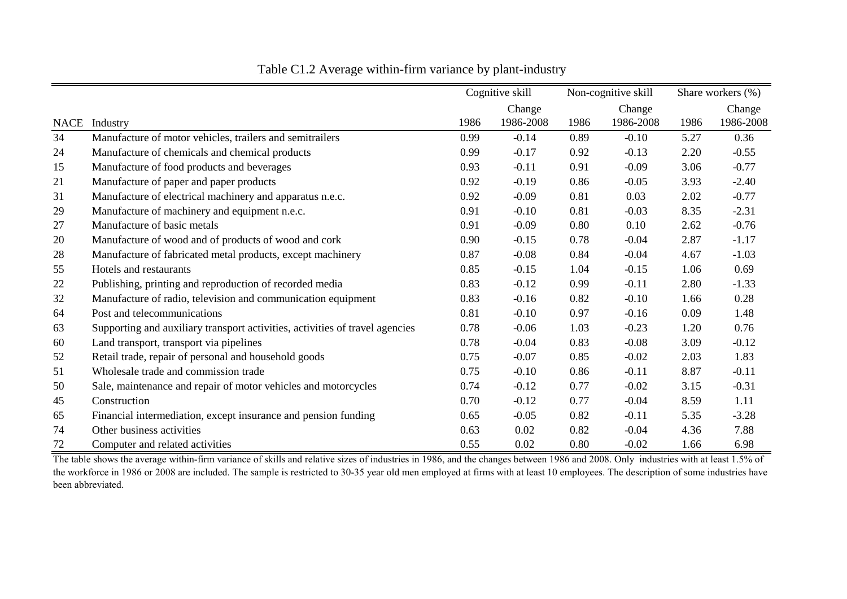|             |                                                                              |      | Cognitive skill |      | Non-cognitive skill |      | Share workers (%) |
|-------------|------------------------------------------------------------------------------|------|-----------------|------|---------------------|------|-------------------|
|             |                                                                              |      | Change          |      | Change              |      | Change            |
| <b>NACE</b> | Industry                                                                     | 1986 | 1986-2008       | 1986 | 1986-2008           | 1986 | 1986-2008         |
| 34          | Manufacture of motor vehicles, trailers and semitrailers                     | 0.99 | $-0.14$         | 0.89 | $-0.10$             | 5.27 | 0.36              |
| 24          | Manufacture of chemicals and chemical products                               | 0.99 | $-0.17$         | 0.92 | $-0.13$             | 2.20 | $-0.55$           |
| 15          | Manufacture of food products and beverages                                   | 0.93 | $-0.11$         | 0.91 | $-0.09$             | 3.06 | $-0.77$           |
| 21          | Manufacture of paper and paper products                                      | 0.92 | $-0.19$         | 0.86 | $-0.05$             | 3.93 | $-2.40$           |
| 31          | Manufacture of electrical machinery and apparatus n.e.c.                     | 0.92 | $-0.09$         | 0.81 | 0.03                | 2.02 | $-0.77$           |
| 29          | Manufacture of machinery and equipment n.e.c.                                | 0.91 | $-0.10$         | 0.81 | $-0.03$             | 8.35 | $-2.31$           |
| 27          | Manufacture of basic metals                                                  | 0.91 | $-0.09$         | 0.80 | 0.10                | 2.62 | $-0.76$           |
| 20          | Manufacture of wood and of products of wood and cork                         | 0.90 | $-0.15$         | 0.78 | $-0.04$             | 2.87 | $-1.17$           |
| 28          | Manufacture of fabricated metal products, except machinery                   | 0.87 | $-0.08$         | 0.84 | $-0.04$             | 4.67 | $-1.03$           |
| 55          | Hotels and restaurants                                                       | 0.85 | $-0.15$         | 1.04 | $-0.15$             | 1.06 | 0.69              |
| 22          | Publishing, printing and reproduction of recorded media                      | 0.83 | $-0.12$         | 0.99 | $-0.11$             | 2.80 | $-1.33$           |
| 32          | Manufacture of radio, television and communication equipment                 | 0.83 | $-0.16$         | 0.82 | $-0.10$             | 1.66 | 0.28              |
| 64          | Post and telecommunications                                                  | 0.81 | $-0.10$         | 0.97 | $-0.16$             | 0.09 | 1.48              |
| 63          | Supporting and auxiliary transport activities, activities of travel agencies | 0.78 | $-0.06$         | 1.03 | $-0.23$             | 1.20 | 0.76              |
| 60          | Land transport, transport via pipelines                                      | 0.78 | $-0.04$         | 0.83 | $-0.08$             | 3.09 | $-0.12$           |
| 52          | Retail trade, repair of personal and household goods                         | 0.75 | $-0.07$         | 0.85 | $-0.02$             | 2.03 | 1.83              |
| 51          | Wholesale trade and commission trade                                         | 0.75 | $-0.10$         | 0.86 | $-0.11$             | 8.87 | $-0.11$           |
| 50          | Sale, maintenance and repair of motor vehicles and motorcycles               | 0.74 | $-0.12$         | 0.77 | $-0.02$             | 3.15 | $-0.31$           |
| 45          | Construction                                                                 | 0.70 | $-0.12$         | 0.77 | $-0.04$             | 8.59 | 1.11              |
| 65          | Financial intermediation, except insurance and pension funding               | 0.65 | $-0.05$         | 0.82 | $-0.11$             | 5.35 | $-3.28$           |
| 74          | Other business activities                                                    | 0.63 | 0.02            | 0.82 | $-0.04$             | 4.36 | 7.88              |
| 72          | Computer and related activities                                              | 0.55 | 0.02            | 0.80 | $-0.02$             | 1.66 | 6.98              |

Table C1.2 Average within-firm variance by plant-industry

The table shows the average within-firm variance of skills and relative sizes of industries in 1986, and the changes between 1986 and 2008. Only industries with at least 1.5% of the workforce in 1986 or 2008 are included. The sample is restricted to 30-35 year old men employed at firms with at least 10 employees. The description of some industries have been abbreviated.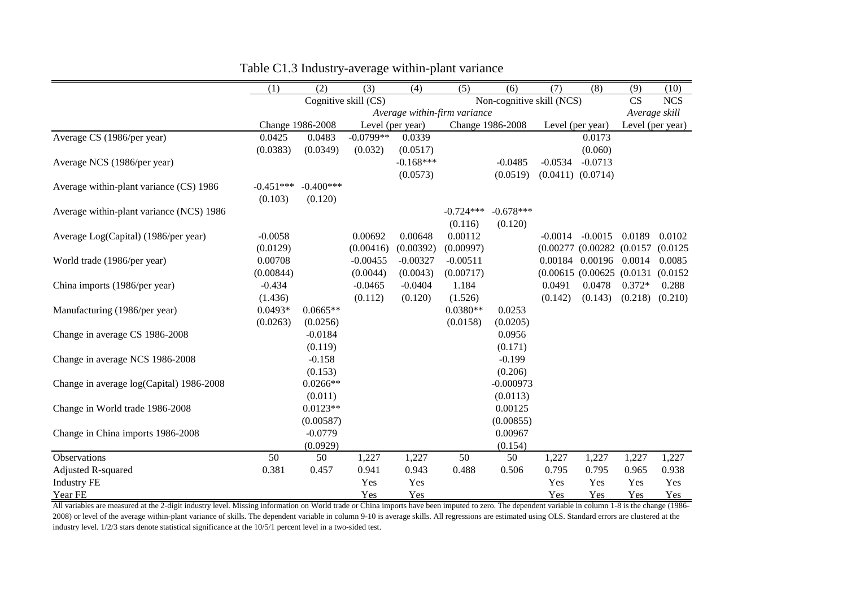|                                          | (1)         | (2)              | $\overline{(3)}$     | (4)                          | $\overline{(5)}$ | (6)                       | (7)       | $\overline{(8)}$              | (9)           | (10)             |
|------------------------------------------|-------------|------------------|----------------------|------------------------------|------------------|---------------------------|-----------|-------------------------------|---------------|------------------|
|                                          |             |                  | Cognitive skill (CS) |                              |                  | Non-cognitive skill (NCS) |           |                               | <b>CS</b>     | <b>NCS</b>       |
|                                          |             |                  |                      | Average within-firm variance |                  |                           |           |                               | Average skill |                  |
|                                          |             | Change 1986-2008 | Level (per year)     |                              |                  | Change 1986-2008          |           | Level (per year)              |               | Level (per year) |
| Average CS (1986/per year)               | 0.0425      | 0.0483           | $-0.0799**$          | 0.0339                       |                  |                           |           | 0.0173                        |               |                  |
|                                          | (0.0383)    | (0.0349)         | (0.032)              | (0.0517)                     |                  |                           |           | (0.060)                       |               |                  |
| Average NCS (1986/per year)              |             |                  |                      | $-0.168***$                  |                  | $-0.0485$                 | $-0.0534$ | $-0.0713$                     |               |                  |
|                                          |             |                  |                      | (0.0573)                     |                  | (0.0519)                  |           | $(0.0411)$ $(0.0714)$         |               |                  |
| Average within-plant variance (CS) 1986  | $-0.451***$ | $-0.400***$      |                      |                              |                  |                           |           |                               |               |                  |
|                                          | (0.103)     | (0.120)          |                      |                              |                  |                           |           |                               |               |                  |
| Average within-plant variance (NCS) 1986 |             |                  |                      |                              | $-0.724***$      | $-0.678***$               |           |                               |               |                  |
|                                          |             |                  |                      |                              | (0.116)          | (0.120)                   |           |                               |               |                  |
| Average Log(Capital) (1986/per year)     | $-0.0058$   |                  | 0.00692              | 0.00648                      | 0.00112          |                           | $-0.0014$ | $-0.0015$                     | 0.0189        | 0.0102           |
|                                          | (0.0129)    |                  | (0.00416)            | (0.00392)                    | (0.00997)        |                           |           | $(0.00277\ (0.00282\ (0.0157$ |               | (0.0125)         |
| World trade (1986/per year)              | 0.00708     |                  | $-0.00455$           | $-0.00327$                   | $-0.00511$       |                           |           | 0.00184 0.00196               | 0.0014        | 0.0085           |
|                                          | (0.00844)   |                  | (0.0044)             | (0.0043)                     | (0.00717)        |                           |           | (0.00615 (0.00625 (0.0131     |               | (0.0152)         |
| China imports (1986/per year)            | $-0.434$    |                  | $-0.0465$            | $-0.0404$                    | 1.184            |                           | 0.0491    | 0.0478                        | $0.372*$      | 0.288            |
|                                          | (1.436)     |                  | (0.112)              | (0.120)                      | (1.526)          |                           | (0.142)   | (0.143)                       | (0.218)       | (0.210)          |
| Manufacturing (1986/per year)            | $0.0493*$   | $0.0665**$       |                      |                              | $0.0380**$       | 0.0253                    |           |                               |               |                  |
|                                          | (0.0263)    | (0.0256)         |                      |                              | (0.0158)         | (0.0205)                  |           |                               |               |                  |
| Change in average CS 1986-2008           |             | $-0.0184$        |                      |                              |                  | 0.0956                    |           |                               |               |                  |
|                                          |             | (0.119)          |                      |                              |                  | (0.171)                   |           |                               |               |                  |
| Change in average NCS 1986-2008          |             | $-0.158$         |                      |                              |                  | $-0.199$                  |           |                               |               |                  |
|                                          |             | (0.153)          |                      |                              |                  | (0.206)                   |           |                               |               |                  |
| Change in average log(Capital) 1986-2008 |             | $0.0266**$       |                      |                              |                  | $-0.000973$               |           |                               |               |                  |
|                                          |             | (0.011)          |                      |                              |                  | (0.0113)                  |           |                               |               |                  |
| Change in World trade 1986-2008          |             | $0.0123**$       |                      |                              |                  | 0.00125                   |           |                               |               |                  |
|                                          |             | (0.00587)        |                      |                              |                  | (0.00855)                 |           |                               |               |                  |
| Change in China imports 1986-2008        |             | $-0.0779$        |                      |                              |                  | 0.00967                   |           |                               |               |                  |
|                                          |             | (0.0929)         |                      |                              |                  | (0.154)                   |           |                               |               |                  |
| Observations                             | 50          | 50               | 1,227                | 1,227                        | 50               | 50                        | 1,227     | 1,227                         | 1,227         | 1,227            |
| Adjusted R-squared                       | 0.381       | 0.457            | 0.941                | 0.943                        | 0.488            | 0.506                     | 0.795     | 0.795                         | 0.965         | 0.938            |
| <b>Industry FE</b>                       |             |                  | Yes                  | Yes                          |                  |                           | Yes       | Yes                           | Yes           | Yes              |
| Year FE                                  |             |                  | Yes                  | Yes                          |                  |                           | Yes       | Yes                           | Yes           | Yes              |

Table C1.3 Industry-average within-plant variance

All variables are measured at the 2-digit industry level. Missing information on World trade or China imports have been imputed to zero. The dependent variable in column 1-8 is the change (1986-2008) or level of the average within-plant variance of skills. The dependent variable in column 9-10 is average skills. All regressions are estimated using OLS. Standard errors are clustered at the industry level. 1/2/3 stars denote statistical significance at the 10/5/1 percent level in a two-sided test.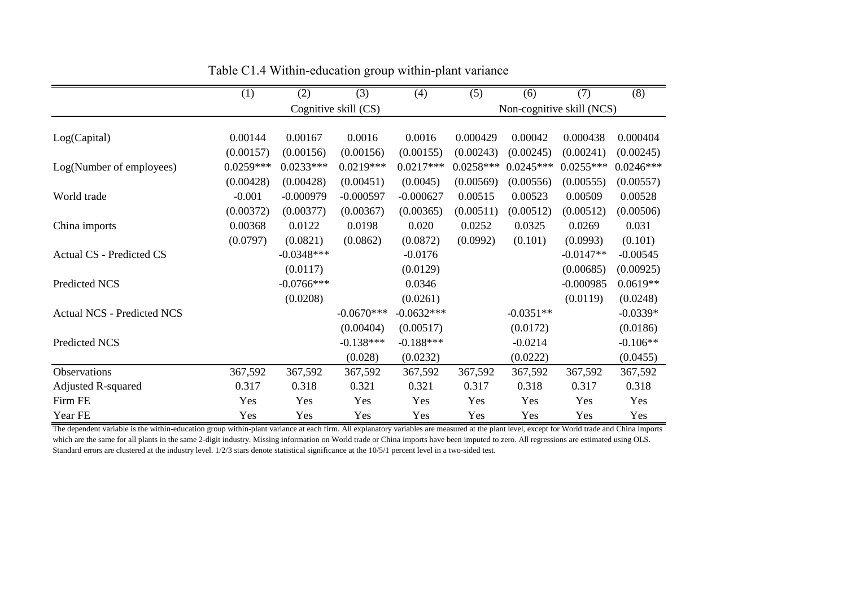|                                   | (1)         | (2)          | (3)                  | (4)          | (5)         | (6)         | (7)                       | (8)         |
|-----------------------------------|-------------|--------------|----------------------|--------------|-------------|-------------|---------------------------|-------------|
|                                   |             |              | Cognitive skill (CS) |              |             |             | Non-cognitive skill (NCS) |             |
|                                   |             |              |                      |              |             |             |                           |             |
| Log(Capital)                      | 0.00144     | 0.00167      | 0.0016               | 0.0016       | 0.000429    | 0.00042     | 0.000438                  | 0.000404    |
|                                   | (0.00157)   | (0.00156)    | (0.00156)            | (0.00155)    | (0.00243)   | (0.00245)   | (0.00241)                 | (0.00245)   |
| Log(Number of employees)          | $0.0259***$ | $0.0233***$  | $0.0219***$          | $0.0217***$  | $0.0258***$ | $0.0245***$ | $0.0255***$               | $0.0246***$ |
|                                   | (0.00428)   | (0.00428)    | (0.00451)            | (0.0045)     | (0.00569)   | (0.00556)   | (0.00555)                 | (0.00557)   |
| World trade                       | $-0.001$    | $-0.000979$  | $-0.000597$          | $-0.000627$  | 0.00515     | 0.00523     | 0.00509                   | 0.00528     |
|                                   | (0.00372)   | (0.00377)    | (0.00367)            | (0.00365)    | (0.00511)   | (0.00512)   | (0.00512)                 | (0.00506)   |
| China imports                     | 0.00368     | 0.0122       | 0.0198               | 0.020        | 0.0252      | 0.0325      | 0.0269                    | 0.031       |
|                                   | (0.0797)    | (0.0821)     | (0.0862)             | (0.0872)     | (0.0992)    | (0.101)     | (0.0993)                  | (0.101)     |
| Actual CS - Predicted CS          |             | $-0.0348***$ |                      | $-0.0176$    |             |             | $-0.0147**$               | $-0.00545$  |
|                                   |             | (0.0117)     |                      | (0.0129)     |             |             | (0.00685)                 | (0.00925)   |
| Predicted NCS                     |             | $-0.0766***$ |                      | 0.0346       |             |             | $-0.000985$               | $0.0619**$  |
|                                   |             | (0.0208)     |                      | (0.0261)     |             |             | (0.0119)                  | (0.0248)    |
| <b>Actual NCS - Predicted NCS</b> |             |              | $-0.0670***$         | $-0.0632***$ |             | $-0.0351**$ |                           | $-0.0339*$  |
|                                   |             |              | (0.00404)            | (0.00517)    |             | (0.0172)    |                           | (0.0186)    |
| Predicted NCS                     |             |              | $-0.138***$          | $-0.188***$  |             | $-0.0214$   |                           | $-0.106**$  |
|                                   |             |              | (0.028)              | (0.0232)     |             | (0.0222)    |                           | (0.0455)    |
| Observations                      | 367,592     | 367,592      | 367,592              | 367,592      | 367,592     | 367,592     | 367,592                   | 367,592     |
| <b>Adjusted R-squared</b>         | 0.317       | 0.318        | 0.321                | 0.321        | 0.317       | 0.318       | 0.317                     | 0.318       |
| Firm FE                           | Yes         | Yes          | Yes                  | Yes          | Yes         | Yes         | Yes                       | Yes         |
| Year FE                           | Yes         | Yes          | Yes                  | Yes          | Yes         | Yes         | Yes                       | Yes         |

Table C1.4 Within-education group within-plant variance

The dependent variable is the within-education group within-plant variance at each firm. All explanatory variables are measured at the plant level, except for World trade and China imports which are the same for all plants in the same 2-digit industry. Missing information on World trade or China imports have been imputed to zero. All regressions are estimated using OLS. Standard errors are clustered at the industry level. 1/2/3 stars denote statistical significance at the 10/5/1 percent level in a two-sided test.